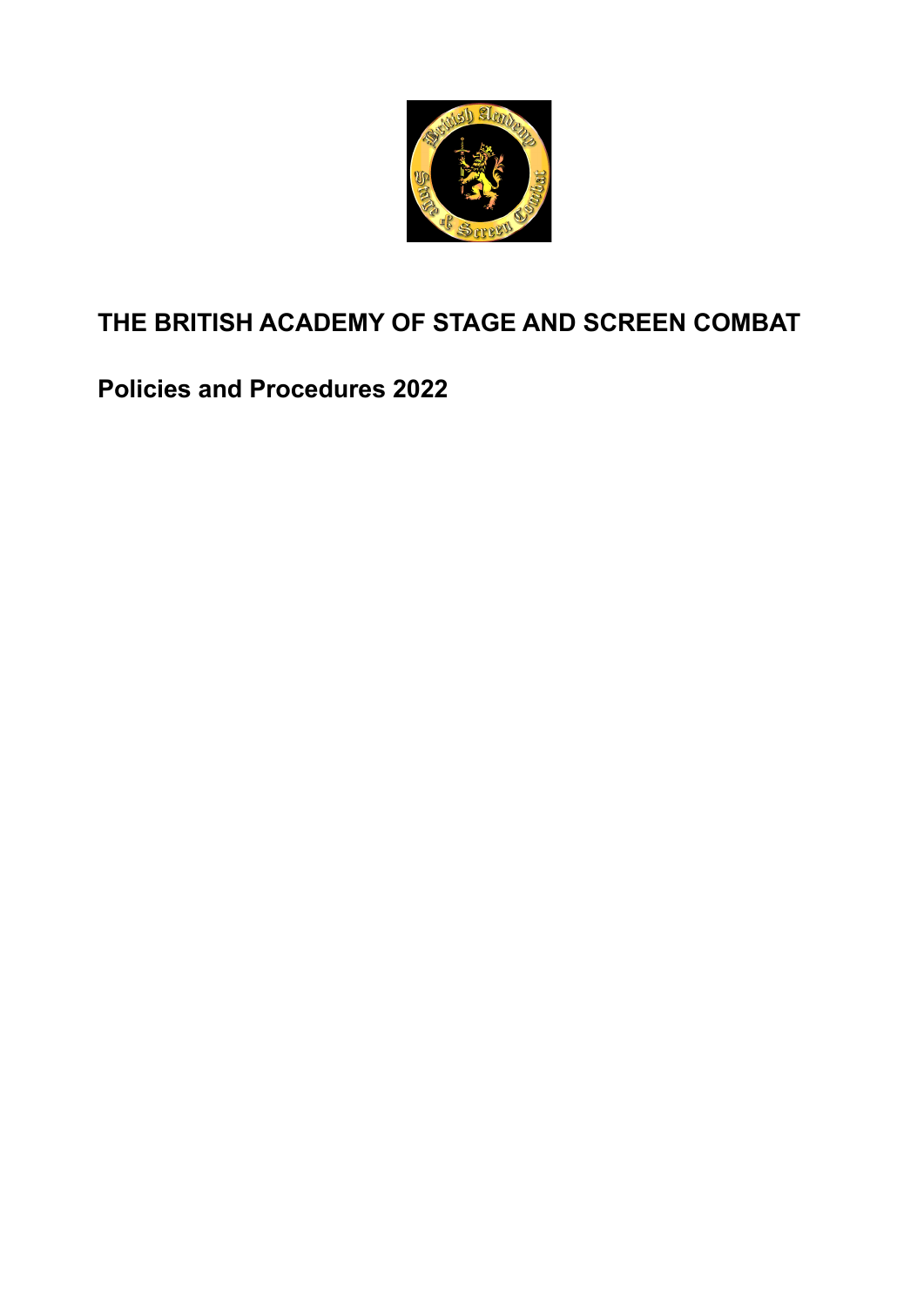

# **THE BRITISH ACADEMY OF STAGE AND SCREEN COMBAT**

# **Policies and Procedures 2022**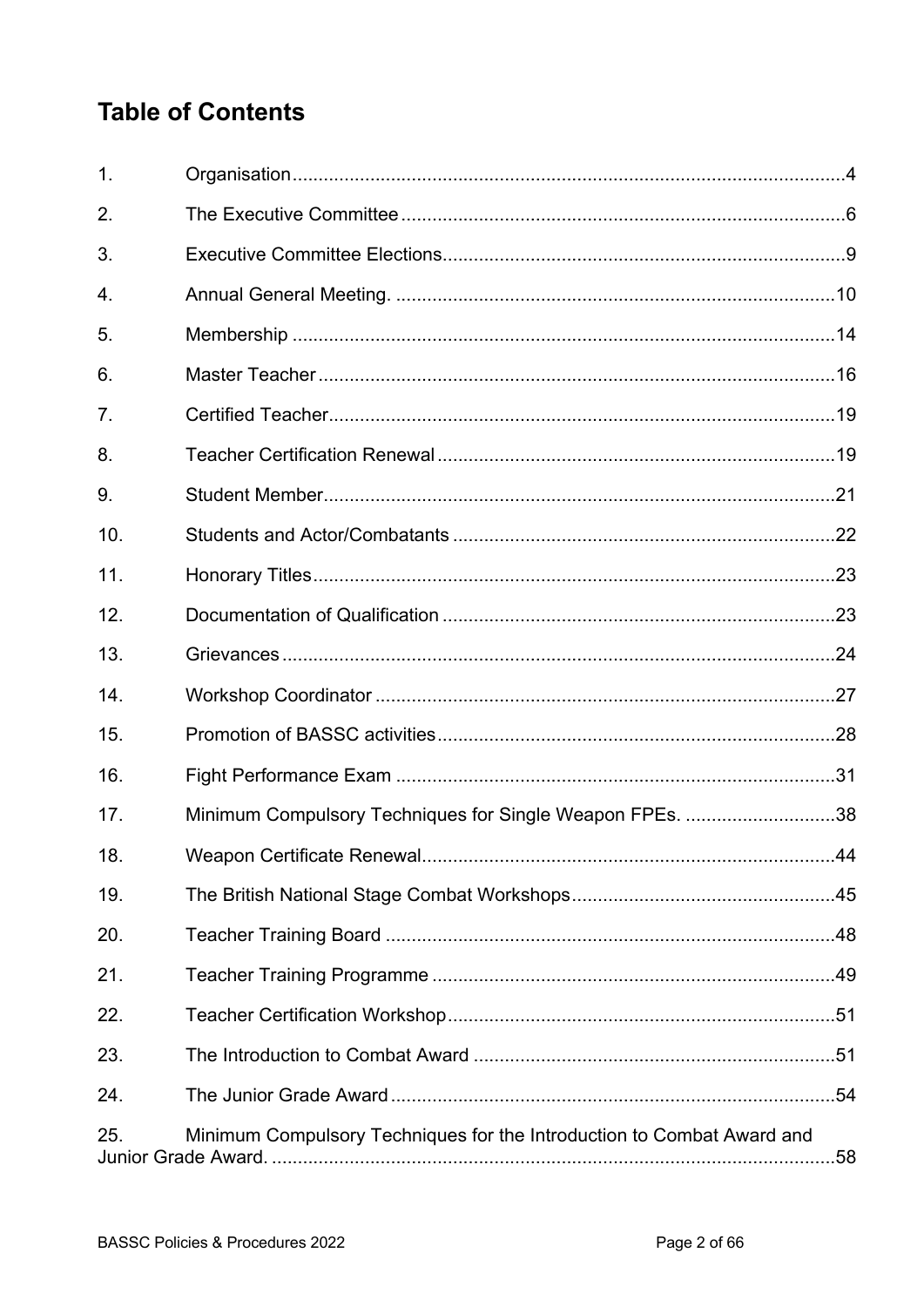# **Table of Contents**

| $\mathbf{1}$ .  |                                                                        |     |
|-----------------|------------------------------------------------------------------------|-----|
| 2.              |                                                                        |     |
| 3.              |                                                                        |     |
| 4.              |                                                                        |     |
| 5.              |                                                                        |     |
| 6.              |                                                                        |     |
| 7.              |                                                                        |     |
| 8.              |                                                                        |     |
| 9.              |                                                                        |     |
| 10.             |                                                                        |     |
| 11.             |                                                                        |     |
| 12.             |                                                                        |     |
| 13.             |                                                                        |     |
| 14.             |                                                                        |     |
| 15.             |                                                                        |     |
| 16.             |                                                                        |     |
| 17.             | Minimum Compulsory Techniques for Single Weapon FPEs. 38               |     |
| 18 <sub>1</sub> |                                                                        | .44 |
| 19.             |                                                                        |     |
| 20.             |                                                                        |     |
| 21.             |                                                                        |     |
| 22.             |                                                                        |     |
| 23.             |                                                                        |     |
| 24.             |                                                                        |     |
| 25.             | Minimum Compulsory Techniques for the Introduction to Combat Award and |     |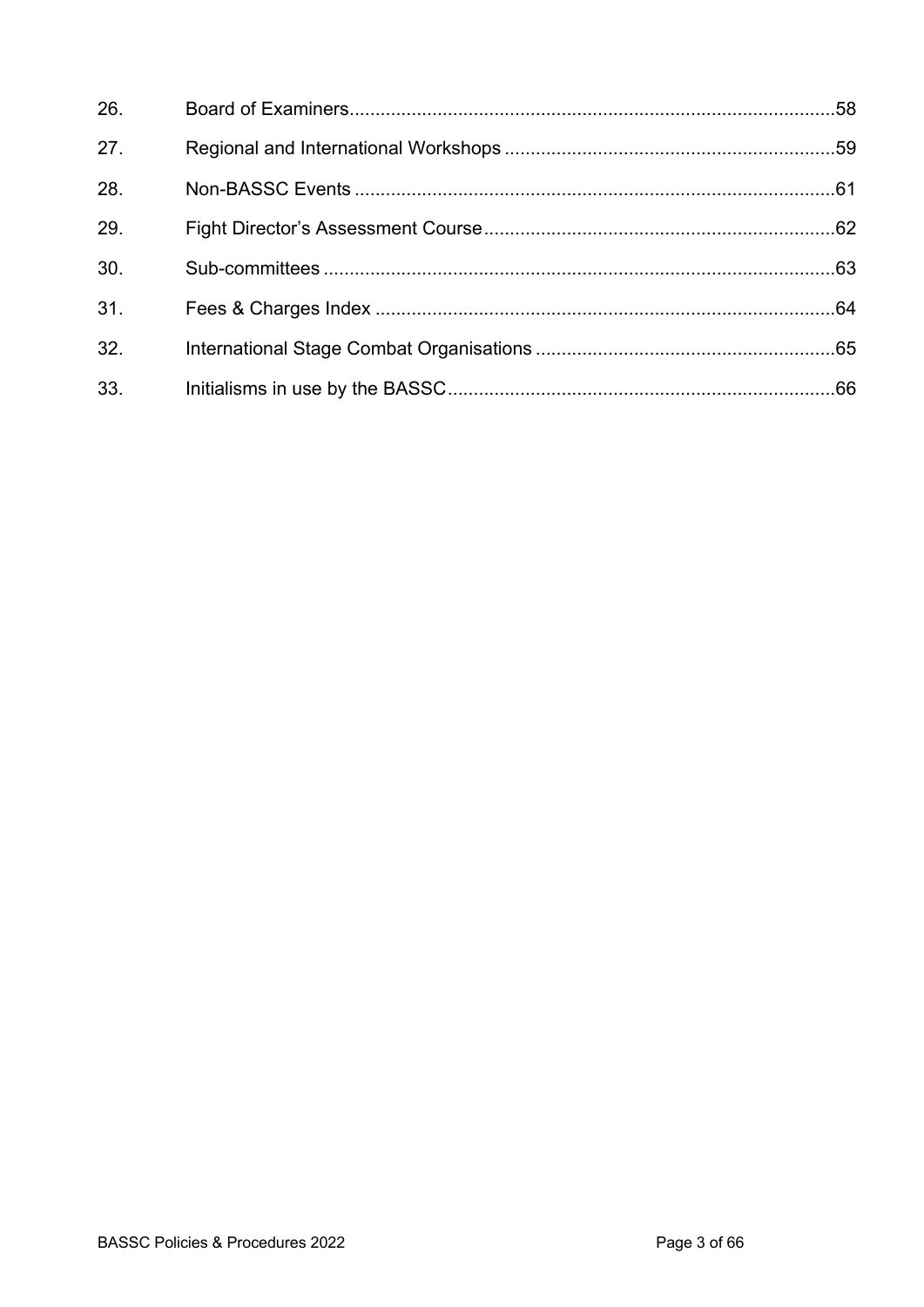| 26. |  |
|-----|--|
| 27. |  |
| 28. |  |
| 29. |  |
| 30. |  |
| 31. |  |
| 32. |  |
| 33. |  |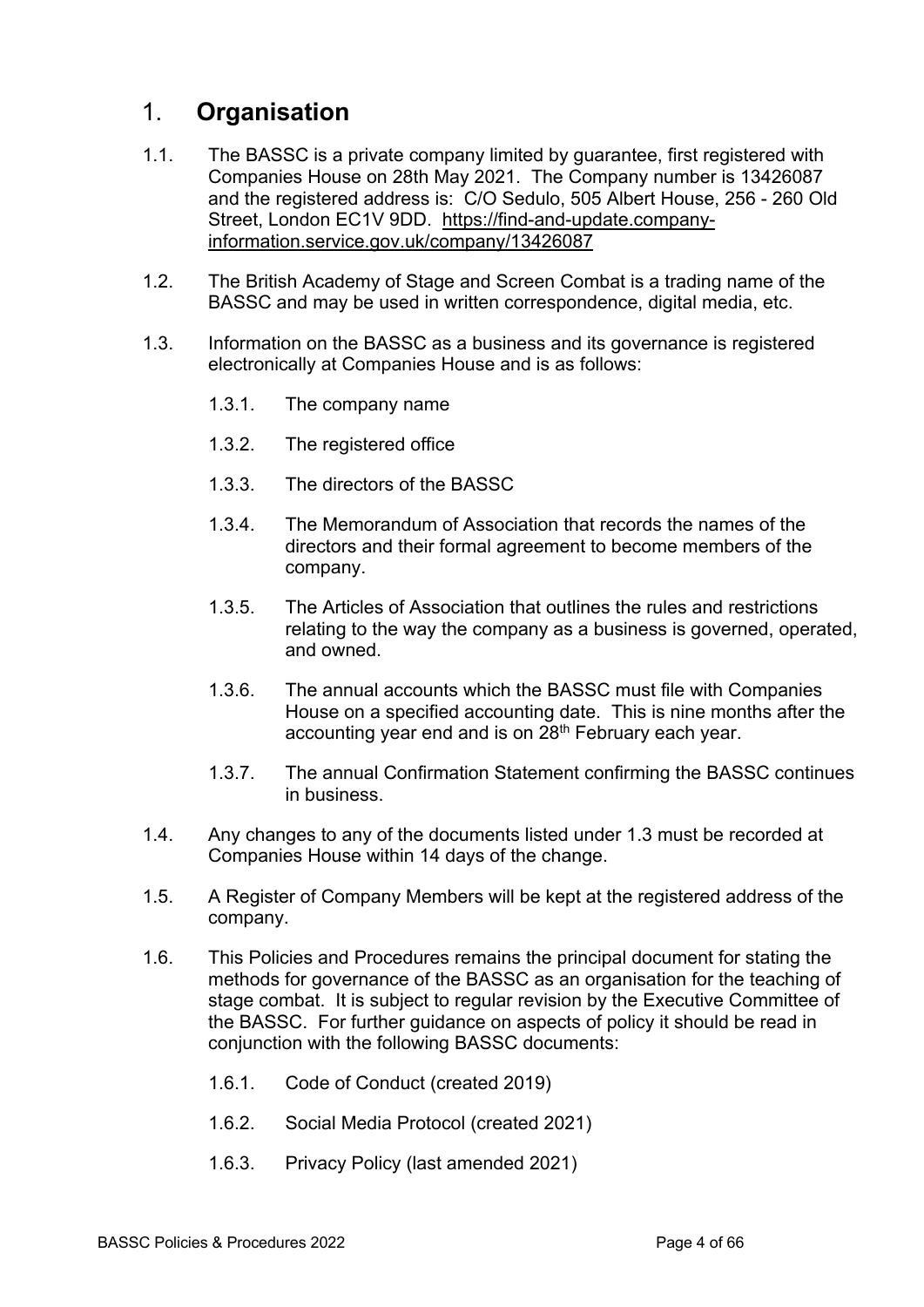# 1. **Organisation**

- 1.1. The BASSC is a private company limited by guarantee, first registered with Companies House on 28th May 2021. The Company number is 13426087 and the registered address is: C/O Sedulo, 505 Albert House, 256 - 260 Old Street, London EC1V 9DD. https://find-and-update.companyinformation.service.gov.uk/company/13426087
- 1.2. The British Academy of Stage and Screen Combat is a trading name of the BASSC and may be used in written correspondence, digital media, etc.
- 1.3. Information on the BASSC as a business and its governance is registered electronically at Companies House and is as follows:
	- 1.3.1. The company name
	- 1.3.2. The registered office
	- 1.3.3. The directors of the BASSC
	- 1.3.4. The Memorandum of Association that records the names of the directors and their formal agreement to become members of the company.
	- 1.3.5. The Articles of Association that outlines the rules and restrictions relating to the way the company as a business is governed, operated, and owned.
	- 1.3.6. The annual accounts which the BASSC must file with Companies House on a specified accounting date. This is nine months after the accounting year end and is on 28<sup>th</sup> February each year.
	- 1.3.7. The annual Confirmation Statement confirming the BASSC continues in business.
- 1.4. Any changes to any of the documents listed under 1.3 must be recorded at Companies House within 14 days of the change.
- 1.5. A Register of Company Members will be kept at the registered address of the company.
- 1.6. This Policies and Procedures remains the principal document for stating the methods for governance of the BASSC as an organisation for the teaching of stage combat. It is subject to regular revision by the Executive Committee of the BASSC. For further guidance on aspects of policy it should be read in conjunction with the following BASSC documents:
	- 1.6.1. Code of Conduct (created 2019)
	- 1.6.2. Social Media Protocol (created 2021)
	- 1.6.3. Privacy Policy (last amended 2021)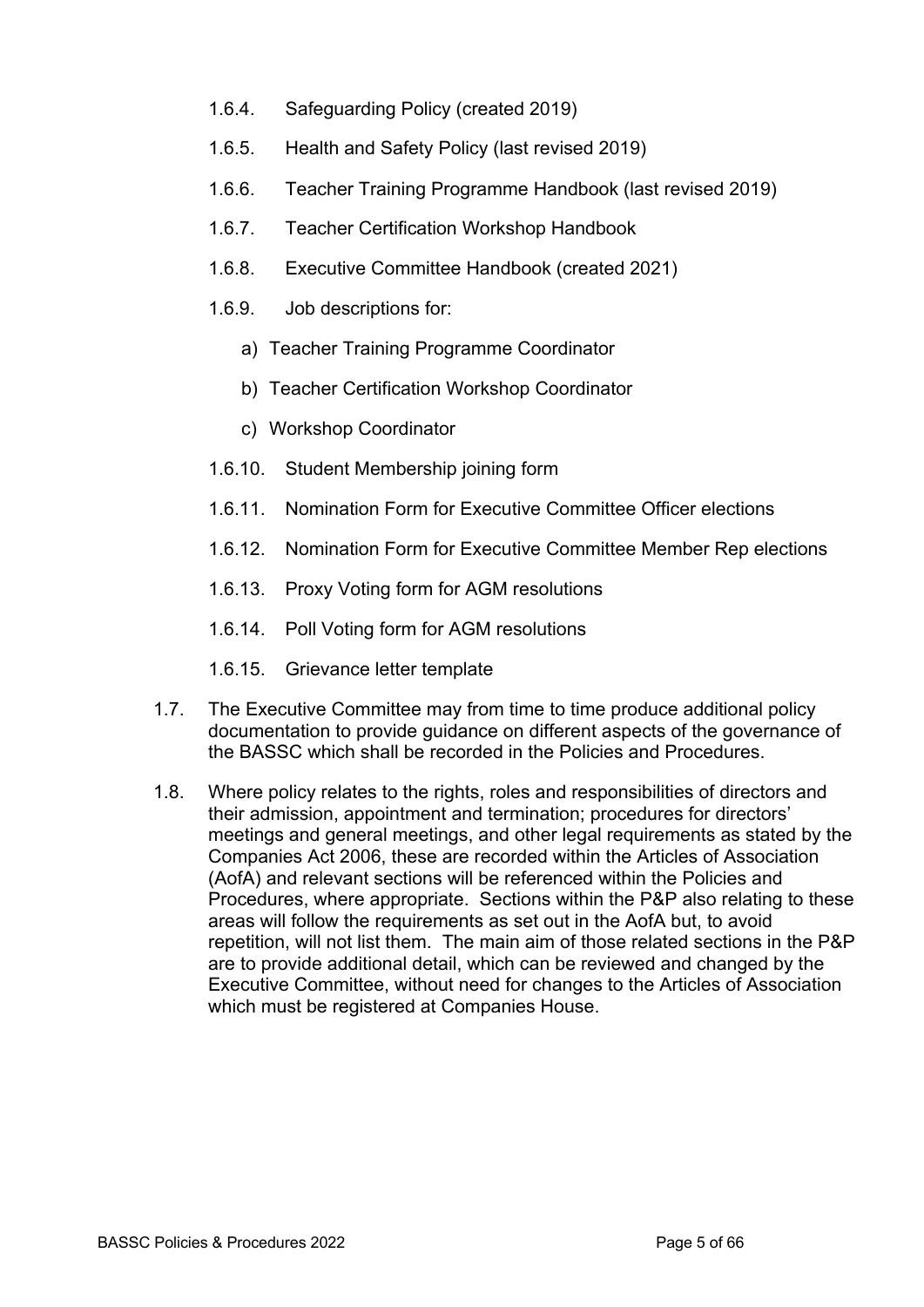- 1.6.4. Safeguarding Policy (created 2019)
- 1.6.5. Health and Safety Policy (last revised 2019)
- 1.6.6. Teacher Training Programme Handbook (last revised 2019)
- 1.6.7. Teacher Certification Workshop Handbook
- 1.6.8. Executive Committee Handbook (created 2021)
- 1.6.9. Job descriptions for:
	- a) Teacher Training Programme Coordinator
	- b) Teacher Certification Workshop Coordinator
	- c) Workshop Coordinator
- 1.6.10. Student Membership joining form
- 1.6.11. Nomination Form for Executive Committee Officer elections
- 1.6.12. Nomination Form for Executive Committee Member Rep elections
- 1.6.13. Proxy Voting form for AGM resolutions
- 1.6.14. Poll Voting form for AGM resolutions
- 1.6.15. Grievance letter template
- 1.7. The Executive Committee may from time to time produce additional policy documentation to provide guidance on different aspects of the governance of the BASSC which shall be recorded in the Policies and Procedures.
- 1.8. Where policy relates to the rights, roles and responsibilities of directors and their admission, appointment and termination; procedures for directors' meetings and general meetings, and other legal requirements as stated by the Companies Act 2006, these are recorded within the Articles of Association (AofA) and relevant sections will be referenced within the Policies and Procedures, where appropriate. Sections within the P&P also relating to these areas will follow the requirements as set out in the AofA but, to avoid repetition, will not list them. The main aim of those related sections in the P&P are to provide additional detail, which can be reviewed and changed by the Executive Committee, without need for changes to the Articles of Association which must be registered at Companies House.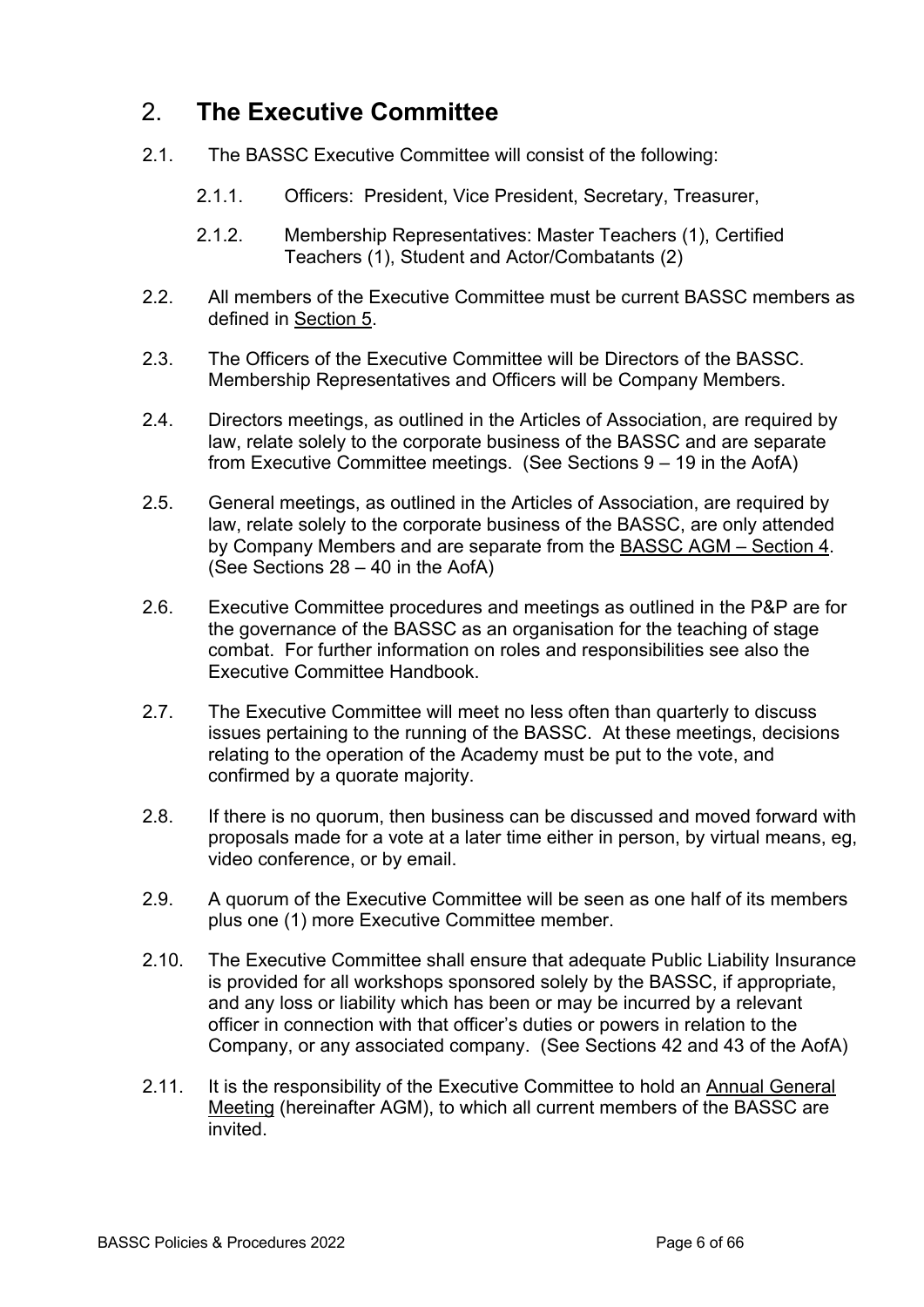# 2. **The Executive Committee**

- 2.1. The BASSC Executive Committee will consist of the following:
	- 2.1.1. Officers: President, Vice President, Secretary, Treasurer,
	- 2.1.2. Membership Representatives: Master Teachers (1), Certified Teachers (1), Student and Actor/Combatants (2)
- 2.2. All members of the Executive Committee must be current BASSC members as defined in Section 5.
- 2.3. The Officers of the Executive Committee will be Directors of the BASSC. Membership Representatives and Officers will be Company Members.
- 2.4. Directors meetings, as outlined in the Articles of Association, are required by law, relate solely to the corporate business of the BASSC and are separate from Executive Committee meetings. (See Sections 9 – 19 in the AofA)
- 2.5. General meetings, as outlined in the Articles of Association, are required by law, relate solely to the corporate business of the BASSC, are only attended by Company Members and are separate from the BASSC AGM – Section 4. (See Sections 28 – 40 in the AofA)
- 2.6. Executive Committee procedures and meetings as outlined in the P&P are for the governance of the BASSC as an organisation for the teaching of stage combat. For further information on roles and responsibilities see also the Executive Committee Handbook.
- 2.7. The Executive Committee will meet no less often than quarterly to discuss issues pertaining to the running of the BASSC. At these meetings, decisions relating to the operation of the Academy must be put to the vote, and confirmed by a quorate majority.
- 2.8. If there is no quorum, then business can be discussed and moved forward with proposals made for a vote at a later time either in person, by virtual means, eg, video conference, or by email.
- 2.9. A quorum of the Executive Committee will be seen as one half of its members plus one (1) more Executive Committee member.
- 2.10. The Executive Committee shall ensure that adequate Public Liability Insurance is provided for all workshops sponsored solely by the BASSC, if appropriate, and any loss or liability which has been or may be incurred by a relevant officer in connection with that officer's duties or powers in relation to the Company, or any associated company. (See Sections 42 and 43 of the AofA)
- 2.11. It is the responsibility of the Executive Committee to hold an Annual General Meeting (hereinafter AGM), to which all current members of the BASSC are invited.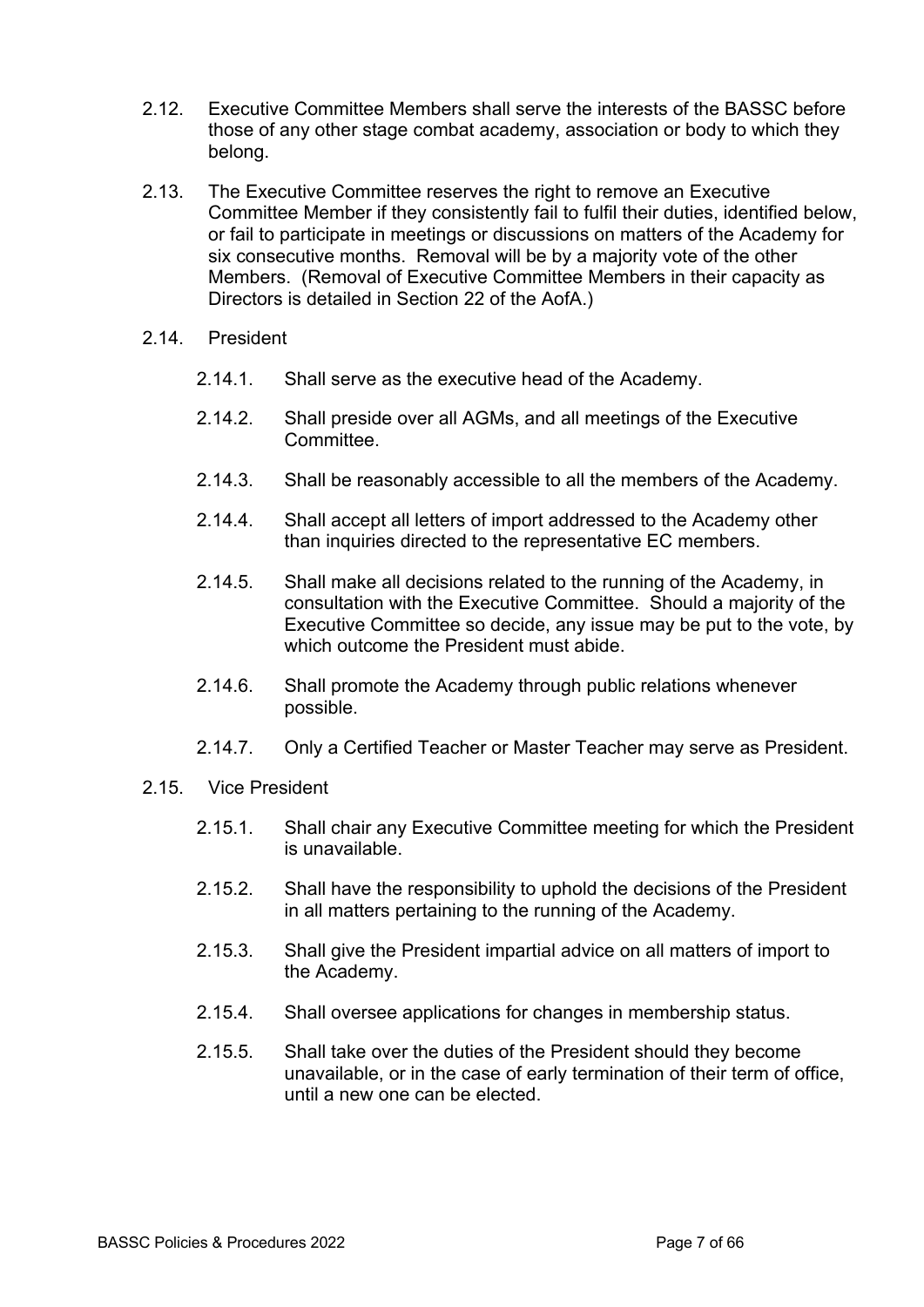- 2.12. Executive Committee Members shall serve the interests of the BASSC before those of any other stage combat academy, association or body to which they belong.
- 2.13. The Executive Committee reserves the right to remove an Executive Committee Member if they consistently fail to fulfil their duties, identified below, or fail to participate in meetings or discussions on matters of the Academy for six consecutive months. Removal will be by a majority vote of the other Members. (Removal of Executive Committee Members in their capacity as Directors is detailed in Section 22 of the AofA.)
- 2.14. President
	- 2.14.1. Shall serve as the executive head of the Academy.
	- 2.14.2. Shall preside over all AGMs, and all meetings of the Executive Committee.
	- 2.14.3. Shall be reasonably accessible to all the members of the Academy.
	- 2.14.4. Shall accept all letters of import addressed to the Academy other than inquiries directed to the representative EC members.
	- 2.14.5. Shall make all decisions related to the running of the Academy, in consultation with the Executive Committee. Should a majority of the Executive Committee so decide, any issue may be put to the vote, by which outcome the President must abide.
	- 2.14.6. Shall promote the Academy through public relations whenever possible.
	- 2.14.7. Only a Certified Teacher or Master Teacher may serve as President.

#### 2.15. Vice President

- 2.15.1. Shall chair any Executive Committee meeting for which the President is unavailable.
- 2.15.2. Shall have the responsibility to uphold the decisions of the President in all matters pertaining to the running of the Academy.
- 2.15.3. Shall give the President impartial advice on all matters of import to the Academy.
- 2.15.4. Shall oversee applications for changes in membership status.
- 2.15.5. Shall take over the duties of the President should they become unavailable, or in the case of early termination of their term of office, until a new one can be elected.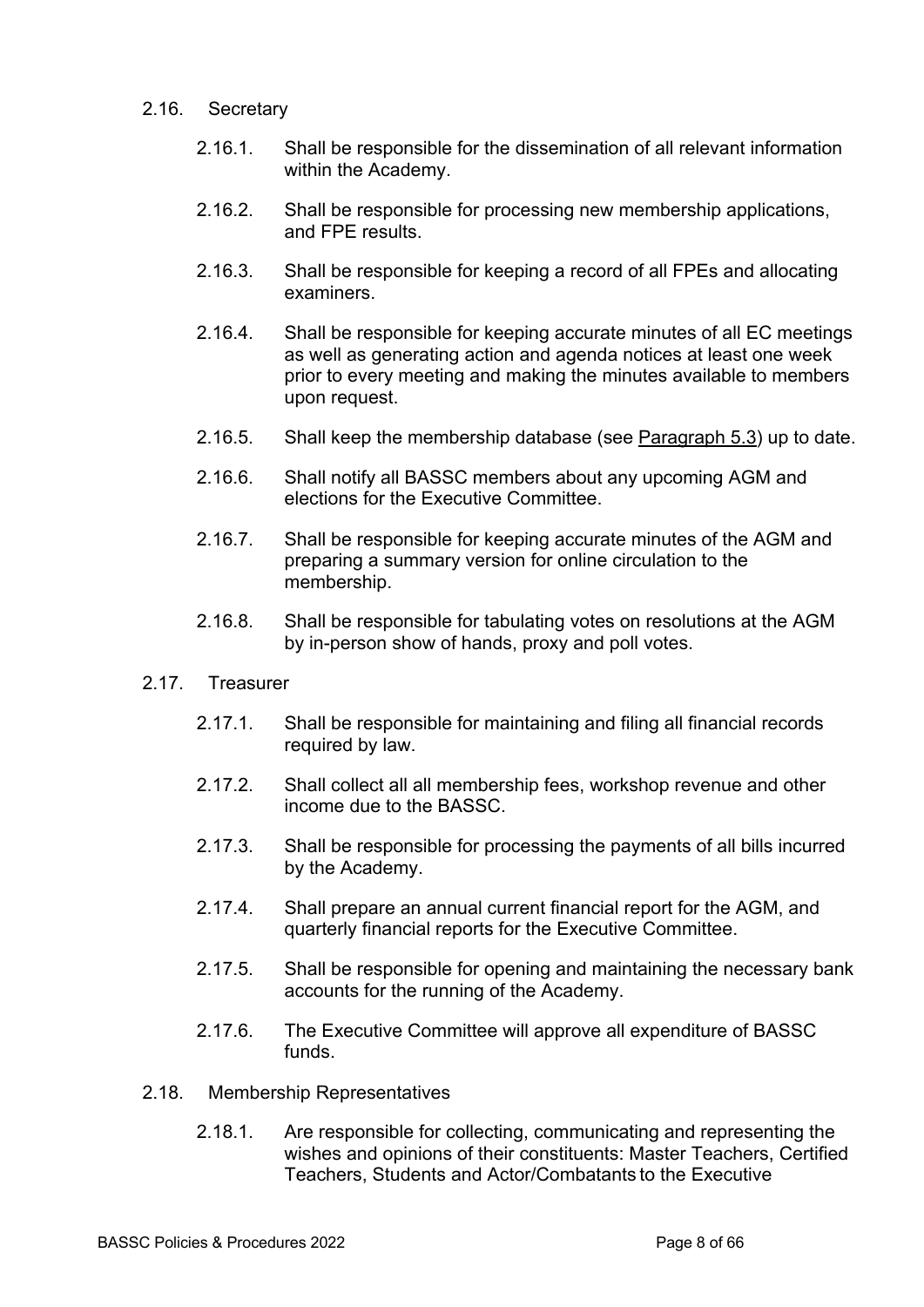#### 2.16. Secretary

- 2.16.1. Shall be responsible for the dissemination of all relevant information within the Academy.
- 2.16.2. Shall be responsible for processing new membership applications, and FPE results.
- 2.16.3. Shall be responsible for keeping a record of all FPEs and allocating examiners.
- 2.16.4. Shall be responsible for keeping accurate minutes of all EC meetings as well as generating action and agenda notices at least one week prior to every meeting and making the minutes available to members upon request.
- 2.16.5. Shall keep the membership database (see Paragraph 5.3) up to date.
- 2.16.6. Shall notify all BASSC members about any upcoming AGM and elections for the Executive Committee.
- 2.16.7. Shall be responsible for keeping accurate minutes of the AGM and preparing a summary version for online circulation to the membership.
- 2.16.8. Shall be responsible for tabulating votes on resolutions at the AGM by in-person show of hands, proxy and poll votes.
- 2.17. Treasurer
	- 2.17.1. Shall be responsible for maintaining and filing all financial records required by law.
	- 2.17.2. Shall collect all all membership fees, workshop revenue and other income due to the BASSC.
	- 2.17.3. Shall be responsible for processing the payments of all bills incurred by the Academy.
	- 2.17.4. Shall prepare an annual current financial report for the AGM, and quarterly financial reports for the Executive Committee.
	- 2.17.5. Shall be responsible for opening and maintaining the necessary bank accounts for the running of the Academy.
	- 2.17.6. The Executive Committee will approve all expenditure of BASSC funds.
- 2.18. Membership Representatives
	- 2.18.1. Are responsible for collecting, communicating and representing the wishes and opinions of their constituents: Master Teachers, Certified Teachers, Students and Actor/Combatants to the Executive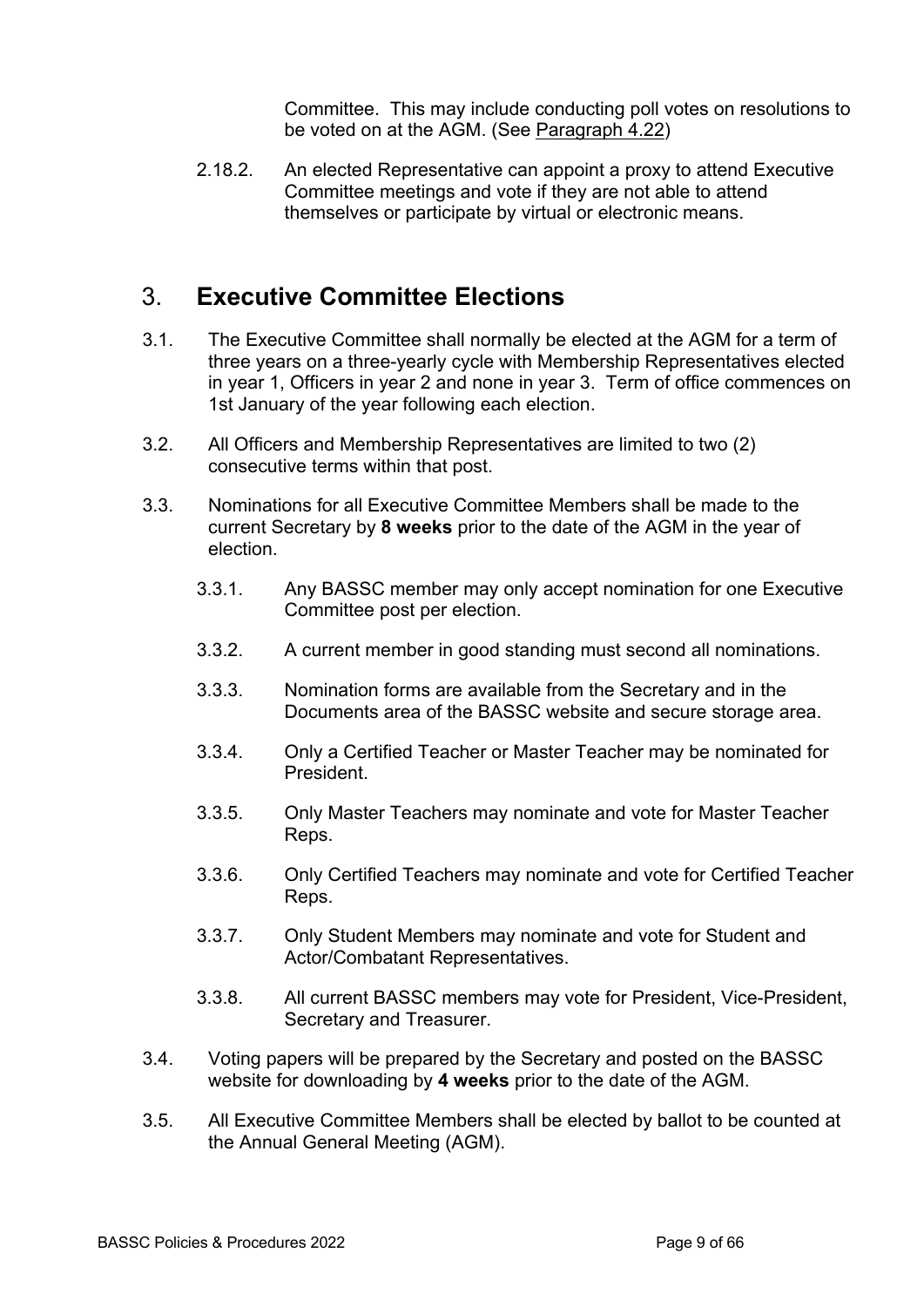Committee. This may include conducting poll votes on resolutions to be voted on at the AGM. (See Paragraph 4.22)

2.18.2. An elected Representative can appoint a proxy to attend Executive Committee meetings and vote if they are not able to attend themselves or participate by virtual or electronic means.

## 3. **Executive Committee Elections**

- 3.1. The Executive Committee shall normally be elected at the AGM for a term of three years on a three-yearly cycle with Membership Representatives elected in year 1, Officers in year 2 and none in year 3. Term of office commences on 1st January of the year following each election.
- 3.2. All Officers and Membership Representatives are limited to two (2) consecutive terms within that post.
- 3.3. Nominations for all Executive Committee Members shall be made to the current Secretary by **8 weeks** prior to the date of the AGM in the year of election.
	- 3.3.1. Any BASSC member may only accept nomination for one Executive Committee post per election.
	- 3.3.2. A current member in good standing must second all nominations.
	- 3.3.3. Nomination forms are available from the Secretary and in the Documents area of the BASSC website and secure storage area.
	- 3.3.4. Only a Certified Teacher or Master Teacher may be nominated for President.
	- 3.3.5. Only Master Teachers may nominate and vote for Master Teacher Reps.
	- 3.3.6. Only Certified Teachers may nominate and vote for Certified Teacher Reps.
	- 3.3.7. Only Student Members may nominate and vote for Student and Actor/Combatant Representatives.
	- 3.3.8. All current BASSC members may vote for President, Vice-President, Secretary and Treasurer.
- 3.4. Voting papers will be prepared by the Secretary and posted on the BASSC website for downloading by **4 weeks** prior to the date of the AGM.
- 3.5. All Executive Committee Members shall be elected by ballot to be counted at the Annual General Meeting (AGM).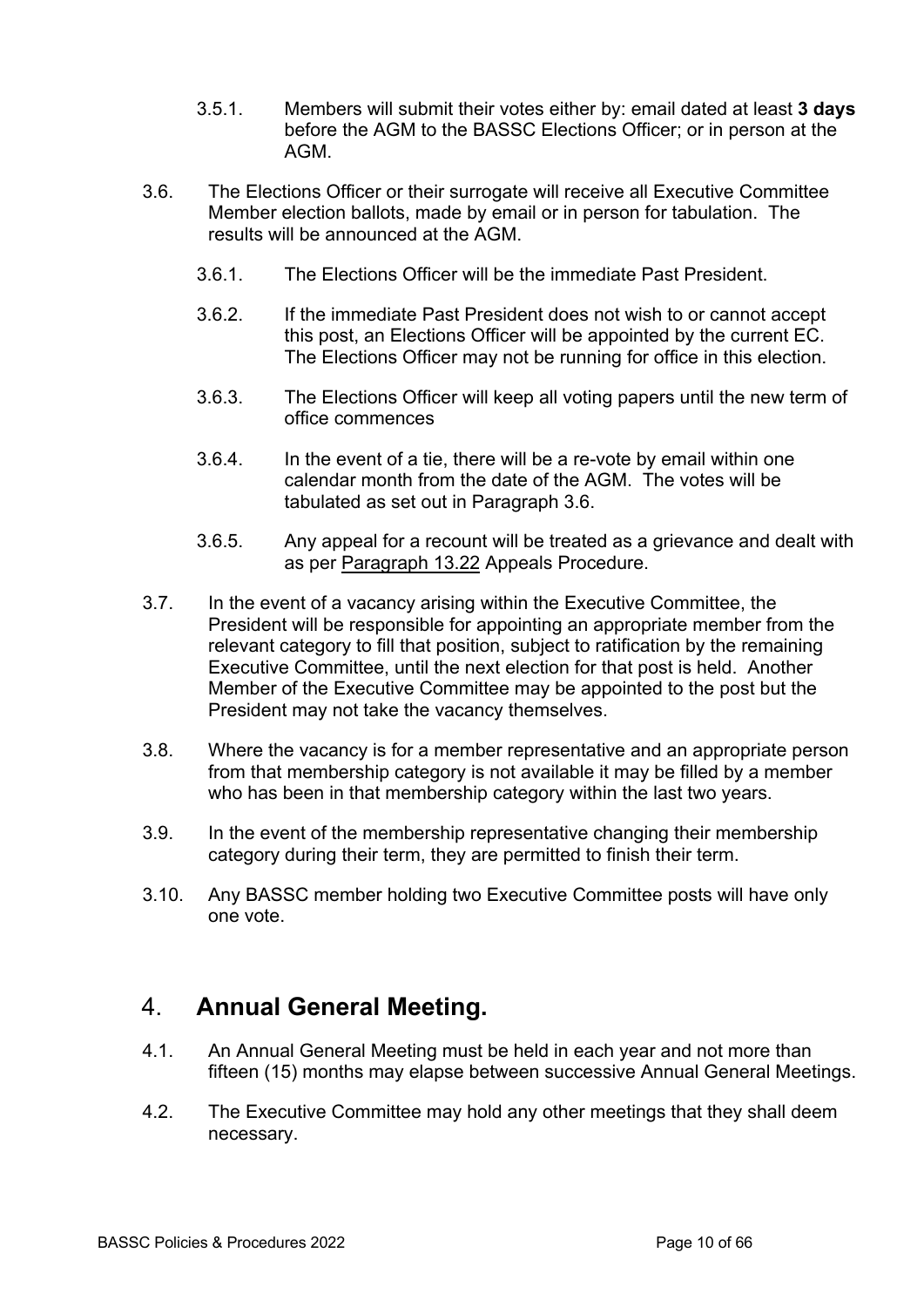- 3.5.1. Members will submit their votes either by: email dated at least **3 days** before the AGM to the BASSC Elections Officer; or in person at the AGM.
- 3.6. The Elections Officer or their surrogate will receive all Executive Committee Member election ballots, made by email or in person for tabulation. The results will be announced at the AGM.
	- 3.6.1. The Elections Officer will be the immediate Past President.
	- 3.6.2. If the immediate Past President does not wish to or cannot accept this post, an Elections Officer will be appointed by the current EC. The Elections Officer may not be running for office in this election.
	- 3.6.3. The Elections Officer will keep all voting papers until the new term of office commences
	- 3.6.4. In the event of a tie, there will be a re-vote by email within one calendar month from the date of the AGM. The votes will be tabulated as set out in Paragraph 3.6.
	- 3.6.5. Any appeal for a recount will be treated as a grievance and dealt with as per Paragraph 13.22 Appeals Procedure.
- 3.7. In the event of a vacancy arising within the Executive Committee, the President will be responsible for appointing an appropriate member from the relevant category to fill that position, subject to ratification by the remaining Executive Committee, until the next election for that post is held. Another Member of the Executive Committee may be appointed to the post but the President may not take the vacancy themselves.
- 3.8. Where the vacancy is for a member representative and an appropriate person from that membership category is not available it may be filled by a member who has been in that membership category within the last two years.
- 3.9. In the event of the membership representative changing their membership category during their term, they are permitted to finish their term.
- 3.10. Any BASSC member holding two Executive Committee posts will have only one vote.

#### 4. **Annual General Meeting.**

- 4.1. An Annual General Meeting must be held in each year and not more than fifteen (15) months may elapse between successive Annual General Meetings.
- 4.2. The Executive Committee may hold any other meetings that they shall deem necessary.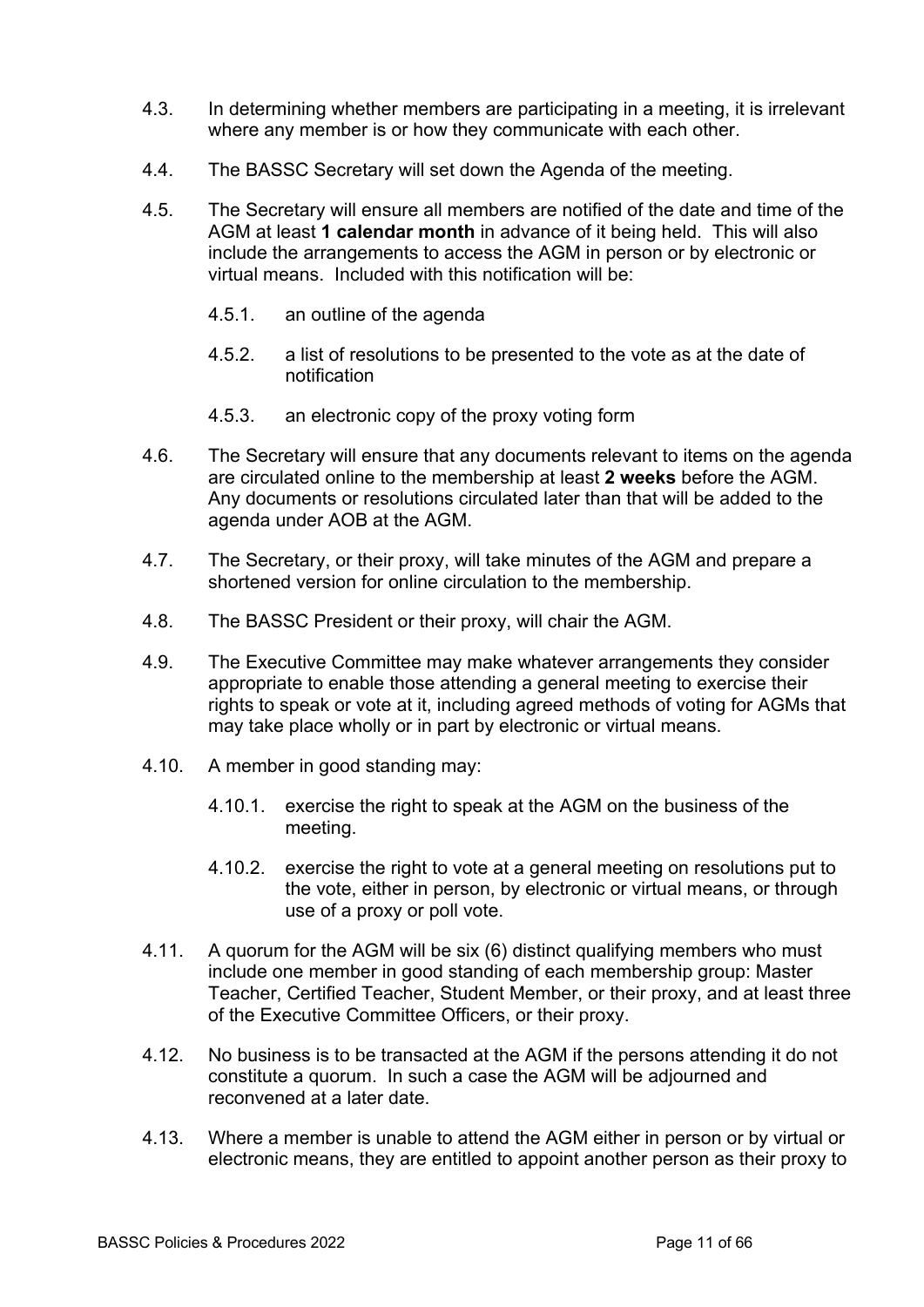- 4.3. In determining whether members are participating in a meeting, it is irrelevant where any member is or how they communicate with each other.
- 4.4. The BASSC Secretary will set down the Agenda of the meeting.
- 4.5. The Secretary will ensure all members are notified of the date and time of the AGM at least **1 calendar month** in advance of it being held. This will also include the arrangements to access the AGM in person or by electronic or virtual means. Included with this notification will be:
	- 4.5.1. an outline of the agenda
	- 4.5.2. a list of resolutions to be presented to the vote as at the date of notification
	- 4.5.3. an electronic copy of the proxy voting form
- 4.6. The Secretary will ensure that any documents relevant to items on the agenda are circulated online to the membership at least **2 weeks** before the AGM. Any documents or resolutions circulated later than that will be added to the agenda under AOB at the AGM.
- 4.7. The Secretary, or their proxy, will take minutes of the AGM and prepare a shortened version for online circulation to the membership.
- 4.8. The BASSC President or their proxy, will chair the AGM.
- 4.9. The Executive Committee may make whatever arrangements they consider appropriate to enable those attending a general meeting to exercise their rights to speak or vote at it, including agreed methods of voting for AGMs that may take place wholly or in part by electronic or virtual means.
- 4.10. A member in good standing may:
	- 4.10.1. exercise the right to speak at the AGM on the business of the meeting.
	- 4.10.2. exercise the right to vote at a general meeting on resolutions put to the vote, either in person, by electronic or virtual means, or through use of a proxy or poll vote.
- 4.11. A quorum for the AGM will be six (6) distinct qualifying members who must include one member in good standing of each membership group: Master Teacher, Certified Teacher, Student Member, or their proxy, and at least three of the Executive Committee Officers, or their proxy.
- 4.12. No business is to be transacted at the AGM if the persons attending it do not constitute a quorum. In such a case the AGM will be adjourned and reconvened at a later date.
- 4.13. Where a member is unable to attend the AGM either in person or by virtual or electronic means, they are entitled to appoint another person as their proxy to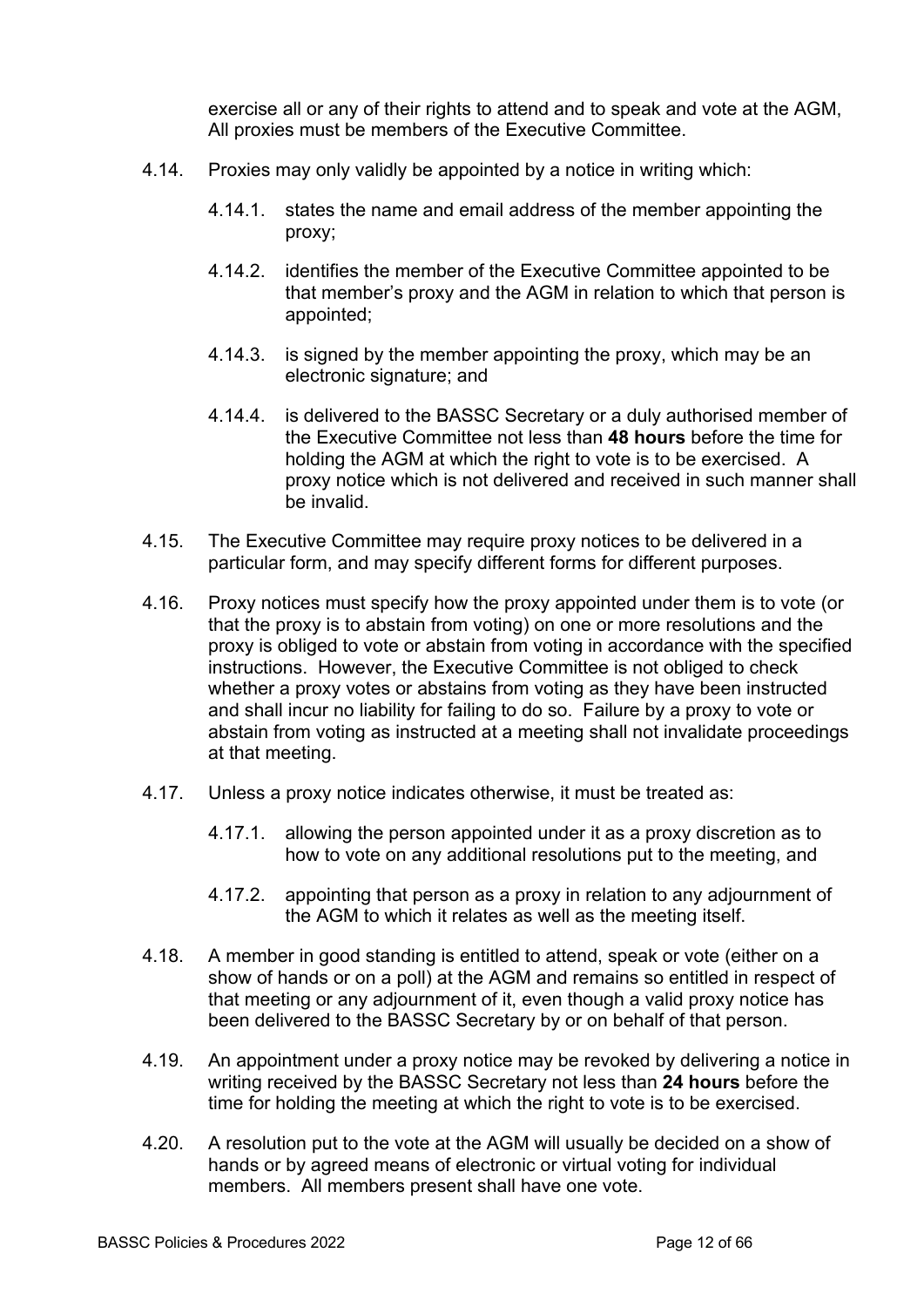exercise all or any of their rights to attend and to speak and vote at the AGM, All proxies must be members of the Executive Committee.

- 4.14. Proxies may only validly be appointed by a notice in writing which:
	- 4.14.1. states the name and email address of the member appointing the proxy;
	- 4.14.2. identifies the member of the Executive Committee appointed to be that member's proxy and the AGM in relation to which that person is appointed;
	- 4.14.3. is signed by the member appointing the proxy, which may be an electronic signature; and
	- 4.14.4. is delivered to the BASSC Secretary or a duly authorised member of the Executive Committee not less than **48 hours** before the time for holding the AGM at which the right to vote is to be exercised. A proxy notice which is not delivered and received in such manner shall be invalid.
- 4.15. The Executive Committee may require proxy notices to be delivered in a particular form, and may specify different forms for different purposes.
- 4.16. Proxy notices must specify how the proxy appointed under them is to vote (or that the proxy is to abstain from voting) on one or more resolutions and the proxy is obliged to vote or abstain from voting in accordance with the specified instructions. However, the Executive Committee is not obliged to check whether a proxy votes or abstains from voting as they have been instructed and shall incur no liability for failing to do so. Failure by a proxy to vote or abstain from voting as instructed at a meeting shall not invalidate proceedings at that meeting.
- 4.17. Unless a proxy notice indicates otherwise, it must be treated as:
	- 4.17.1. allowing the person appointed under it as a proxy discretion as to how to vote on any additional resolutions put to the meeting, and
	- 4.17.2. appointing that person as a proxy in relation to any adjournment of the AGM to which it relates as well as the meeting itself.
- 4.18. A member in good standing is entitled to attend, speak or vote (either on a show of hands or on a poll) at the AGM and remains so entitled in respect of that meeting or any adjournment of it, even though a valid proxy notice has been delivered to the BASSC Secretary by or on behalf of that person.
- 4.19. An appointment under a proxy notice may be revoked by delivering a notice in writing received by the BASSC Secretary not less than **24 hours** before the time for holding the meeting at which the right to vote is to be exercised.
- 4.20. A resolution put to the vote at the AGM will usually be decided on a show of hands or by agreed means of electronic or virtual voting for individual members. All members present shall have one vote.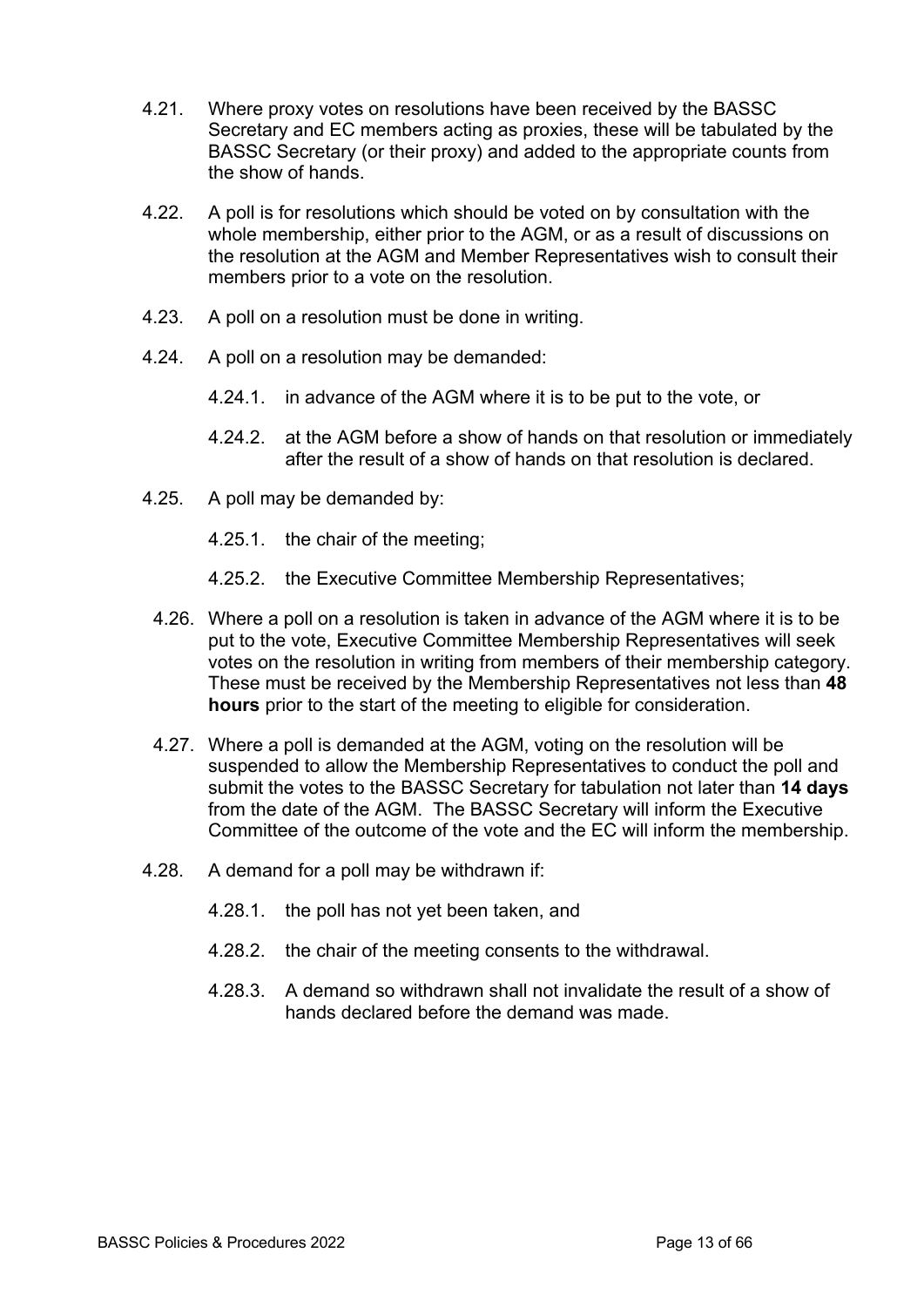- 4.21. Where proxy votes on resolutions have been received by the BASSC Secretary and EC members acting as proxies, these will be tabulated by the BASSC Secretary (or their proxy) and added to the appropriate counts from the show of hands.
- 4.22. A poll is for resolutions which should be voted on by consultation with the whole membership, either prior to the AGM, or as a result of discussions on the resolution at the AGM and Member Representatives wish to consult their members prior to a vote on the resolution.
- 4.23. A poll on a resolution must be done in writing.
- 4.24. A poll on a resolution may be demanded:
	- 4.24.1. in advance of the AGM where it is to be put to the vote, or
	- 4.24.2. at the AGM before a show of hands on that resolution or immediately after the result of a show of hands on that resolution is declared.
- 4.25. A poll may be demanded by:
	- 4.25.1. the chair of the meeting;
	- 4.25.2. the Executive Committee Membership Representatives;
- 4.26. Where a poll on a resolution is taken in advance of the AGM where it is to be put to the vote, Executive Committee Membership Representatives will seek votes on the resolution in writing from members of their membership category. These must be received by the Membership Representatives not less than **48 hours** prior to the start of the meeting to eligible for consideration.
- 4.27. Where a poll is demanded at the AGM, voting on the resolution will be suspended to allow the Membership Representatives to conduct the poll and submit the votes to the BASSC Secretary for tabulation not later than **14 days** from the date of the AGM. The BASSC Secretary will inform the Executive Committee of the outcome of the vote and the EC will inform the membership.
- 4.28. A demand for a poll may be withdrawn if:
	- 4.28.1. the poll has not yet been taken, and
	- 4.28.2. the chair of the meeting consents to the withdrawal.
	- 4.28.3. A demand so withdrawn shall not invalidate the result of a show of hands declared before the demand was made.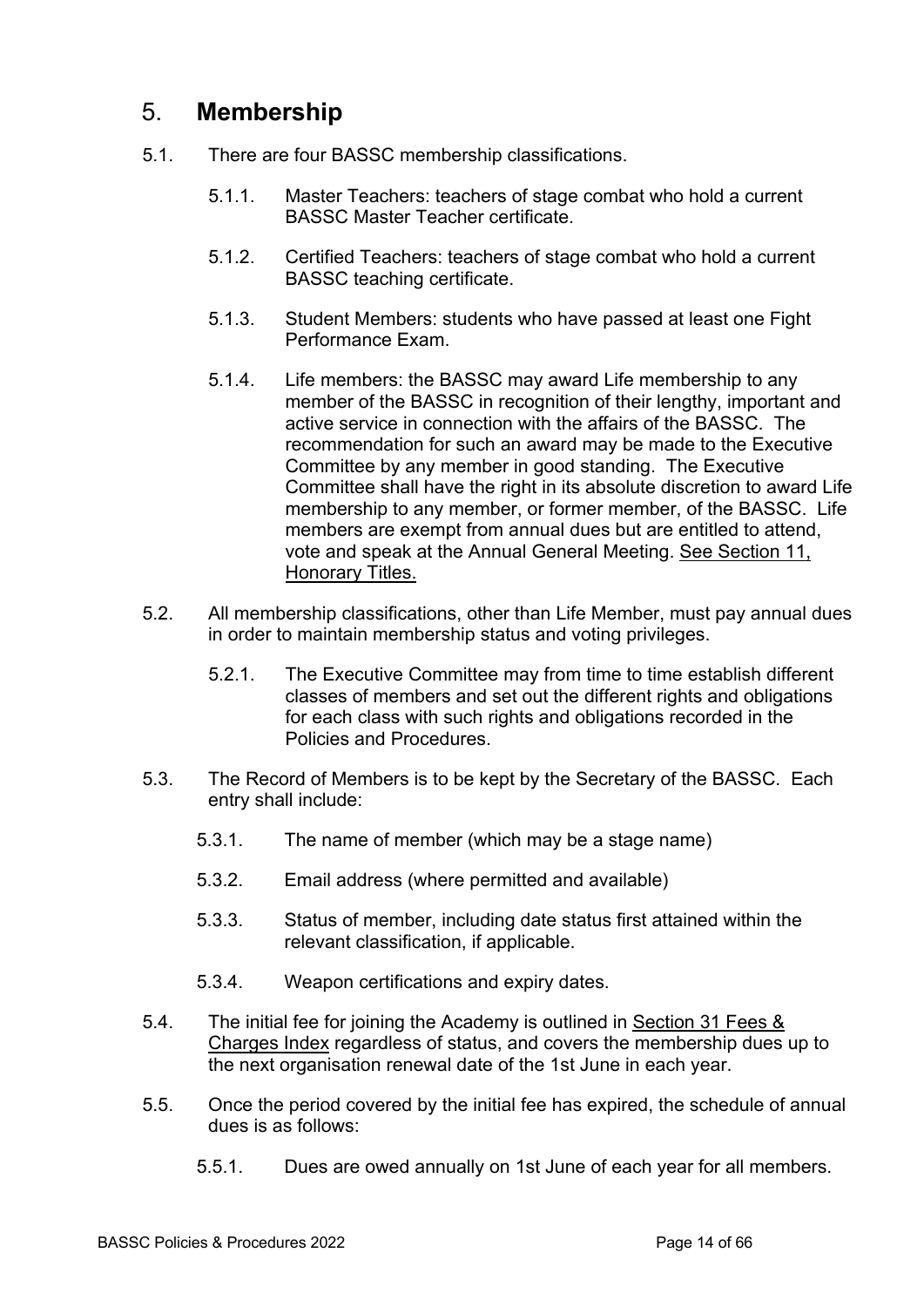## 5. **Membership**

- 5.1. There are four BASSC membership classifications.
	- 5.1.1. Master Teachers: teachers of stage combat who hold a current BASSC Master Teacher certificate.
	- 5.1.2. Certified Teachers: teachers of stage combat who hold a current BASSC teaching certificate.
	- 5.1.3. Student Members: students who have passed at least one Fight Performance Exam.
	- 5.1.4. Life members: the BASSC may award Life membership to any member of the BASSC in recognition of their lengthy, important and active service in connection with the affairs of the BASSC. The recommendation for such an award may be made to the Executive Committee by any member in good standing. The Executive Committee shall have the right in its absolute discretion to award Life membership to any member, or former member, of the BASSC. Life members are exempt from annual dues but are entitled to attend, vote and speak at the Annual General Meeting. See Section 11, Honorary Titles.
- 5.2. All membership classifications, other than Life Member, must pay annual dues in order to maintain membership status and voting privileges.
	- 5.2.1. The Executive Committee may from time to time establish different classes of members and set out the different rights and obligations for each class with such rights and obligations recorded in the Policies and Procedures.
- 5.3. The Record of Members is to be kept by the Secretary of the BASSC. Each entry shall include:
	- 5.3.1. The name of member (which may be a stage name)
	- 5.3.2. Email address (where permitted and available)
	- 5.3.3. Status of member, including date status first attained within the relevant classification, if applicable.
	- 5.3.4. Weapon certifications and expiry dates.
- 5.4. The initial fee for joining the Academy is outlined in Section 31 Fees & Charges Index regardless of status, and covers the membership dues up to the next organisation renewal date of the 1st June in each year.
- 5.5. Once the period covered by the initial fee has expired, the schedule of annual dues is as follows:
	- 5.5.1. Dues are owed annually on 1st June of each year for all members.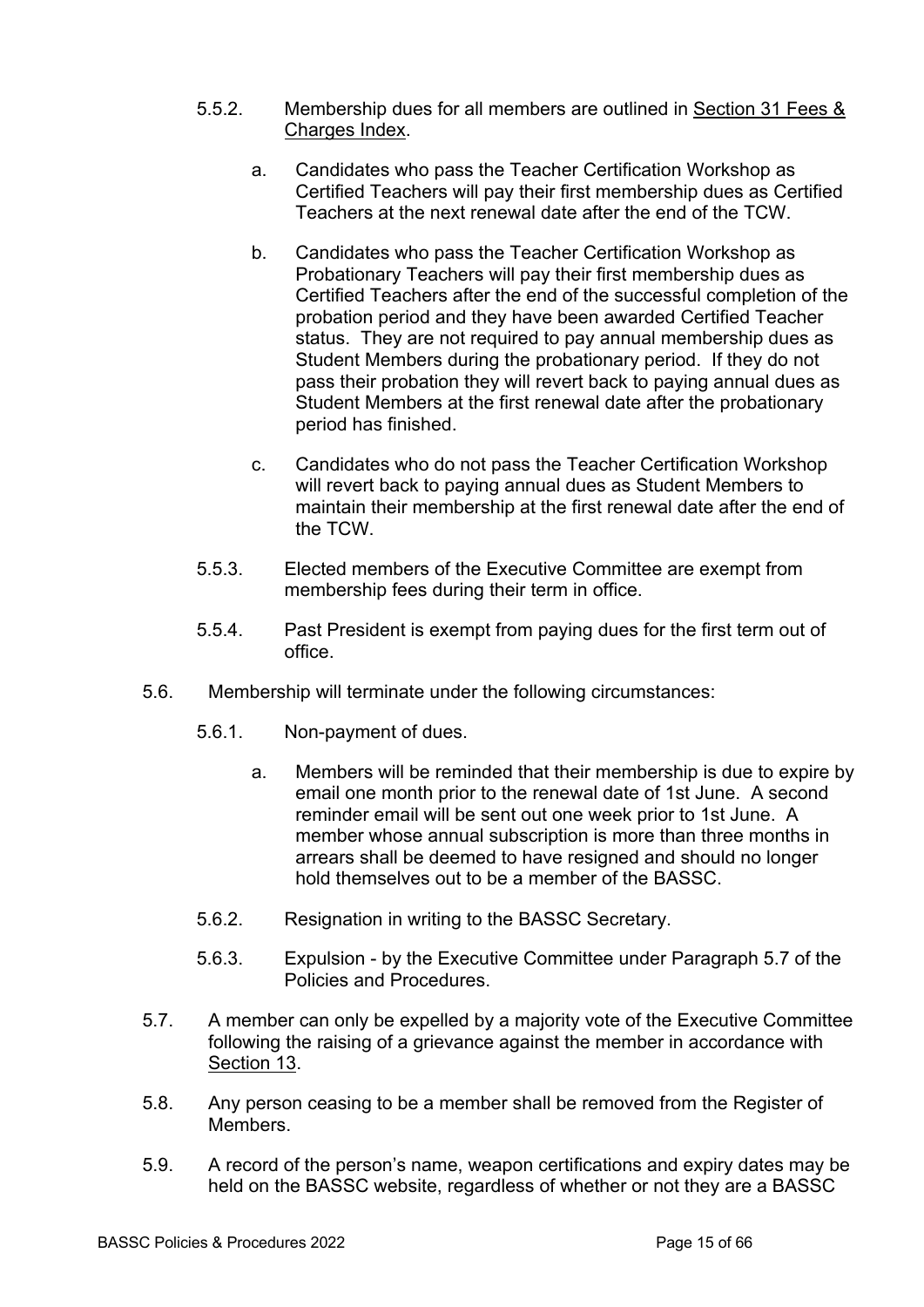- 5.5.2. Membership dues for all members are outlined in Section 31 Fees & Charges Index.
	- a. Candidates who pass the Teacher Certification Workshop as Certified Teachers will pay their first membership dues as Certified Teachers at the next renewal date after the end of the TCW.
	- b. Candidates who pass the Teacher Certification Workshop as Probationary Teachers will pay their first membership dues as Certified Teachers after the end of the successful completion of the probation period and they have been awarded Certified Teacher status. They are not required to pay annual membership dues as Student Members during the probationary period. If they do not pass their probation they will revert back to paying annual dues as Student Members at the first renewal date after the probationary period has finished.
	- c. Candidates who do not pass the Teacher Certification Workshop will revert back to paying annual dues as Student Members to maintain their membership at the first renewal date after the end of the TCW.
- 5.5.3. Elected members of the Executive Committee are exempt from membership fees during their term in office.
- 5.5.4. Past President is exempt from paying dues for the first term out of office.
- 5.6. Membership will terminate under the following circumstances:
	- 5.6.1. Non-payment of dues.
		- a. Members will be reminded that their membership is due to expire by email one month prior to the renewal date of 1st June. A second reminder email will be sent out one week prior to 1st June. A member whose annual subscription is more than three months in arrears shall be deemed to have resigned and should no longer hold themselves out to be a member of the BASSC.
	- 5.6.2. Resignation in writing to the BASSC Secretary.
	- 5.6.3. Expulsion by the Executive Committee under Paragraph 5.7 of the Policies and Procedures.
- 5.7. A member can only be expelled by a majority vote of the Executive Committee following the raising of a grievance against the member in accordance with Section 13.
- 5.8. Any person ceasing to be a member shall be removed from the Register of Members.
- 5.9. A record of the person's name, weapon certifications and expiry dates may be held on the BASSC website, regardless of whether or not they are a BASSC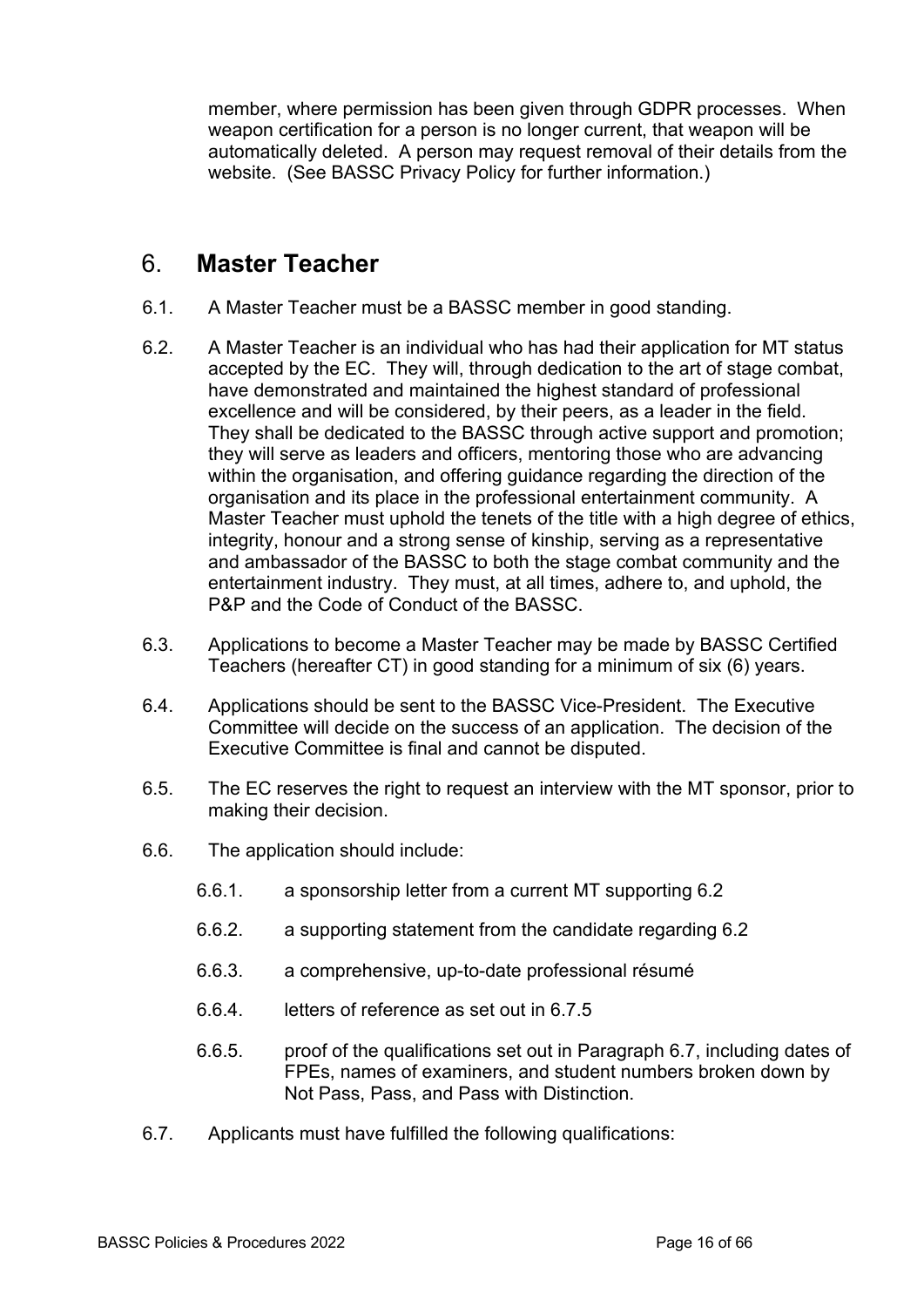member, where permission has been given through GDPR processes. When weapon certification for a person is no longer current, that weapon will be automatically deleted. A person may request removal of their details from the website. (See BASSC Privacy Policy for further information.)

### 6. **Master Teacher**

- 6.1. A Master Teacher must be a BASSC member in good standing.
- 6.2. A Master Teacher is an individual who has had their application for MT status accepted by the EC. They will, through dedication to the art of stage combat, have demonstrated and maintained the highest standard of professional excellence and will be considered, by their peers, as a leader in the field. They shall be dedicated to the BASSC through active support and promotion; they will serve as leaders and officers, mentoring those who are advancing within the organisation, and offering guidance regarding the direction of the organisation and its place in the professional entertainment community. A Master Teacher must uphold the tenets of the title with a high degree of ethics, integrity, honour and a strong sense of kinship, serving as a representative and ambassador of the BASSC to both the stage combat community and the entertainment industry. They must, at all times, adhere to, and uphold, the P&P and the Code of Conduct of the BASSC.
- 6.3. Applications to become a Master Teacher may be made by BASSC Certified Teachers (hereafter CT) in good standing for a minimum of six (6) years.
- 6.4. Applications should be sent to the BASSC Vice-President. The Executive Committee will decide on the success of an application. The decision of the Executive Committee is final and cannot be disputed.
- 6.5. The EC reserves the right to request an interview with the MT sponsor, prior to making their decision.
- 6.6. The application should include:
	- 6.6.1. a sponsorship letter from a current MT supporting 6.2
	- 6.6.2. a supporting statement from the candidate regarding 6.2
	- 6.6.3. a comprehensive, up-to-date professional résumé
	- 6.6.4. letters of reference as set out in 6.7.5
	- 6.6.5. proof of the qualifications set out in Paragraph 6.7, including dates of FPEs, names of examiners, and student numbers broken down by Not Pass, Pass, and Pass with Distinction.
- 6.7. Applicants must have fulfilled the following qualifications: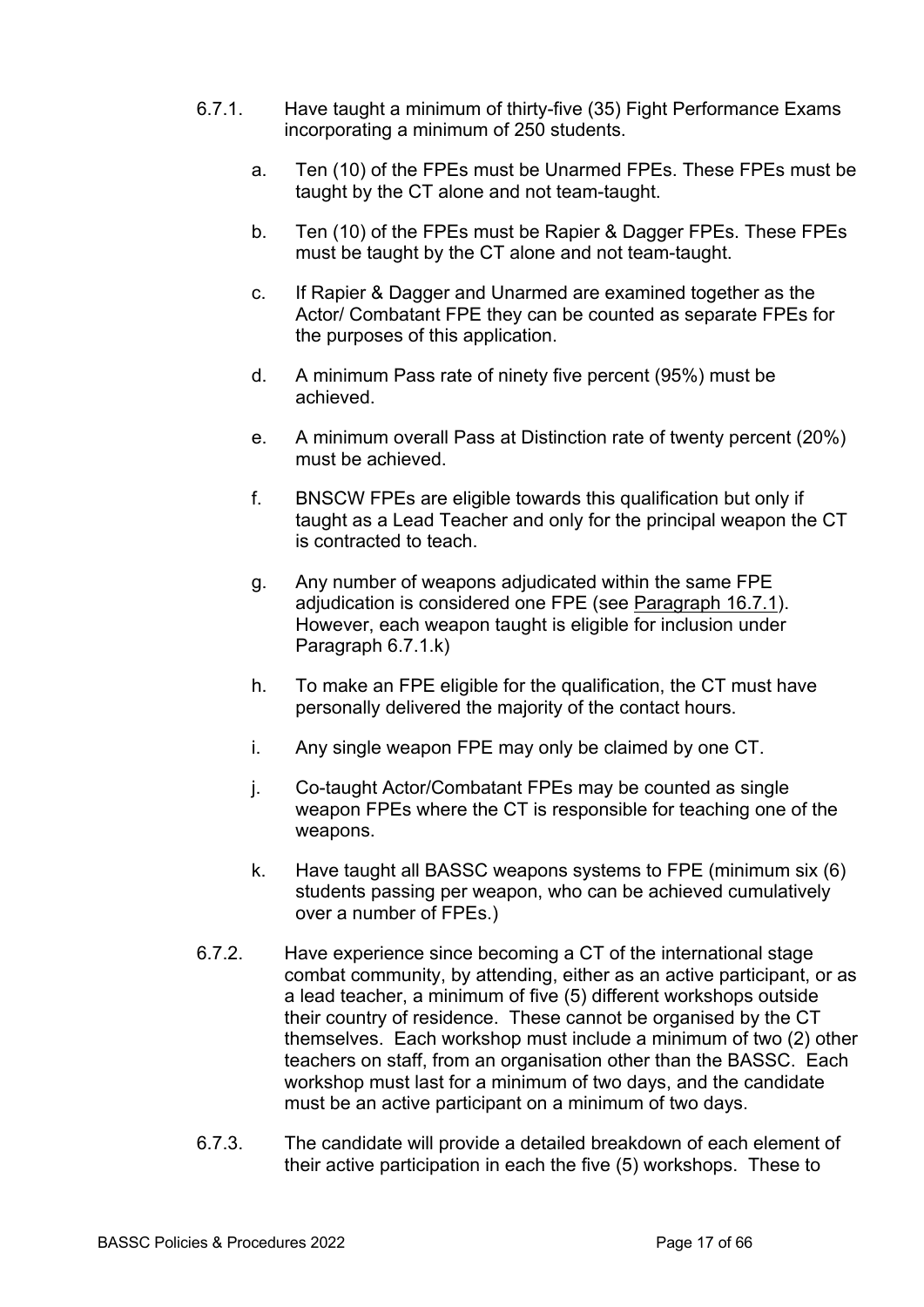- 6.7.1. Have taught a minimum of thirty-five (35) Fight Performance Exams incorporating a minimum of 250 students.
	- a. Ten (10) of the FPEs must be Unarmed FPEs. These FPEs must be taught by the CT alone and not team-taught.
	- b. Ten (10) of the FPEs must be Rapier & Dagger FPEs. These FPEs must be taught by the CT alone and not team-taught.
	- c. If Rapier & Dagger and Unarmed are examined together as the Actor/ Combatant FPE they can be counted as separate FPEs for the purposes of this application.
	- d. A minimum Pass rate of ninety five percent (95%) must be achieved.
	- e. A minimum overall Pass at Distinction rate of twenty percent (20%) must be achieved.
	- f. BNSCW FPEs are eligible towards this qualification but only if taught as a Lead Teacher and only for the principal weapon the CT is contracted to teach.
	- g. Any number of weapons adjudicated within the same FPE adjudication is considered one FPE (see Paragraph 16.7.1). However, each weapon taught is eligible for inclusion under Paragraph 6.7.1.k)
	- h. To make an FPE eligible for the qualification, the CT must have personally delivered the majority of the contact hours.
	- i. Any single weapon FPE may only be claimed by one CT.
	- j. Co-taught Actor/Combatant FPEs may be counted as single weapon FPEs where the CT is responsible for teaching one of the weapons.
	- k. Have taught all BASSC weapons systems to FPE (minimum six (6) students passing per weapon, who can be achieved cumulatively over a number of FPEs.)
- 6.7.2. Have experience since becoming a CT of the international stage combat community, by attending, either as an active participant, or as a lead teacher, a minimum of five (5) different workshops outside their country of residence. These cannot be organised by the CT themselves. Each workshop must include a minimum of two (2) other teachers on staff, from an organisation other than the BASSC. Each workshop must last for a minimum of two days, and the candidate must be an active participant on a minimum of two days.
- 6.7.3. The candidate will provide a detailed breakdown of each element of their active participation in each the five (5) workshops. These to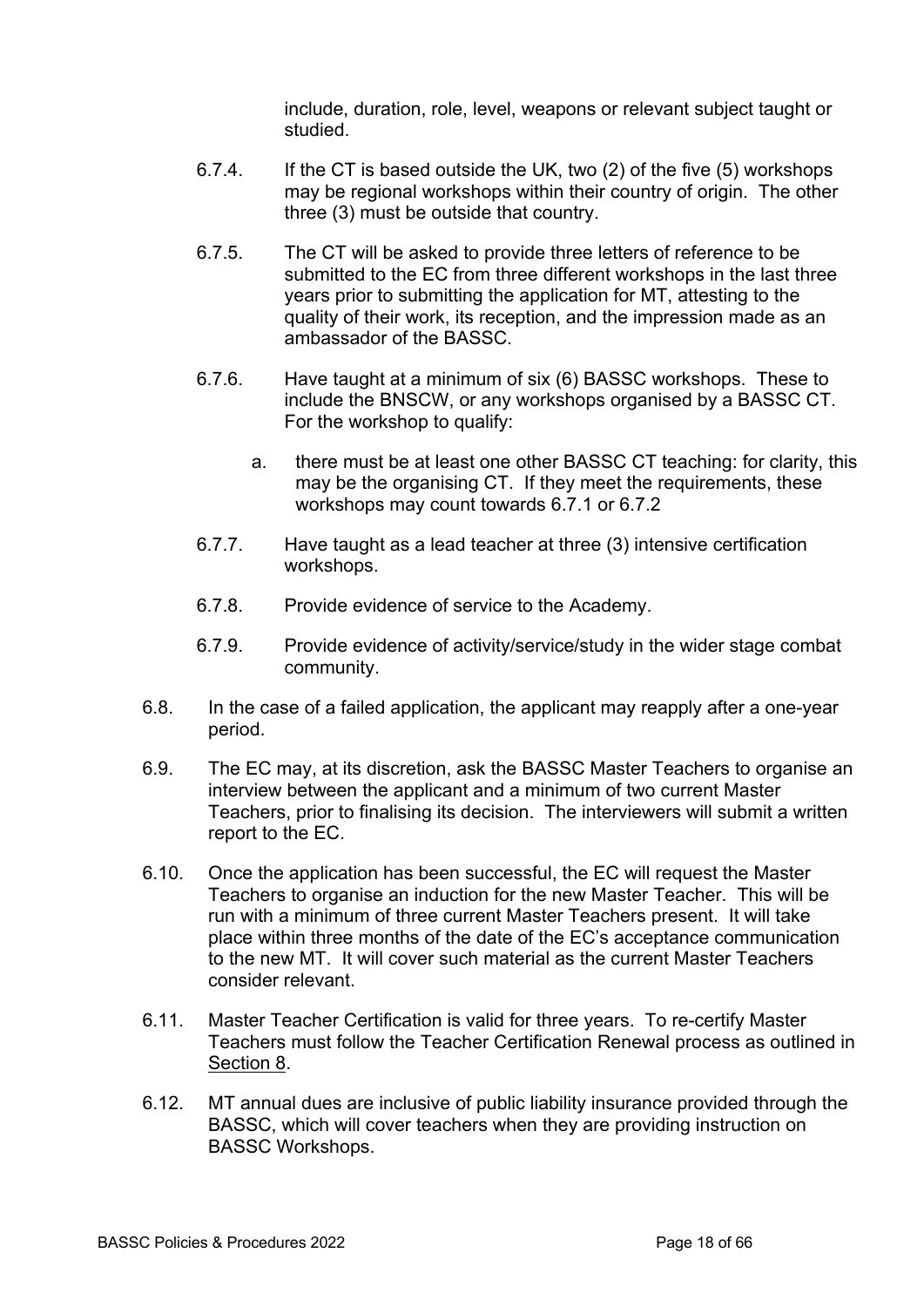include, duration, role, level, weapons or relevant subject taught or studied.

- 6.7.4. If the CT is based outside the UK, two (2) of the five (5) workshops may be regional workshops within their country of origin. The other three (3) must be outside that country.
- 6.7.5. The CT will be asked to provide three letters of reference to be submitted to the EC from three different workshops in the last three years prior to submitting the application for MT, attesting to the quality of their work, its reception, and the impression made as an ambassador of the BASSC.
- 6.7.6. Have taught at a minimum of six (6) BASSC workshops. These to include the BNSCW, or any workshops organised by a BASSC CT. For the workshop to qualify:
	- a. there must be at least one other BASSC CT teaching: for clarity, this may be the organising CT. If they meet the requirements, these workshops may count towards 6.7.1 or 6.7.2
- 6.7.7. Have taught as a lead teacher at three (3) intensive certification workshops.
- 6.7.8. Provide evidence of service to the Academy.
- 6.7.9. Provide evidence of activity/service/study in the wider stage combat community.
- 6.8. In the case of a failed application, the applicant may reapply after a one-year period.
- 6.9. The EC may, at its discretion, ask the BASSC Master Teachers to organise an interview between the applicant and a minimum of two current Master Teachers, prior to finalising its decision. The interviewers will submit a written report to the EC.
- 6.10. Once the application has been successful, the EC will request the Master Teachers to organise an induction for the new Master Teacher. This will be run with a minimum of three current Master Teachers present. It will take place within three months of the date of the EC's acceptance communication to the new MT. It will cover such material as the current Master Teachers consider relevant.
- 6.11. Master Teacher Certification is valid for three years. To re-certify Master Teachers must follow the Teacher Certification Renewal process as outlined in Section 8.
- 6.12. MT annual dues are inclusive of public liability insurance provided through the BASSC, which will cover teachers when they are providing instruction on BASSC Workshops.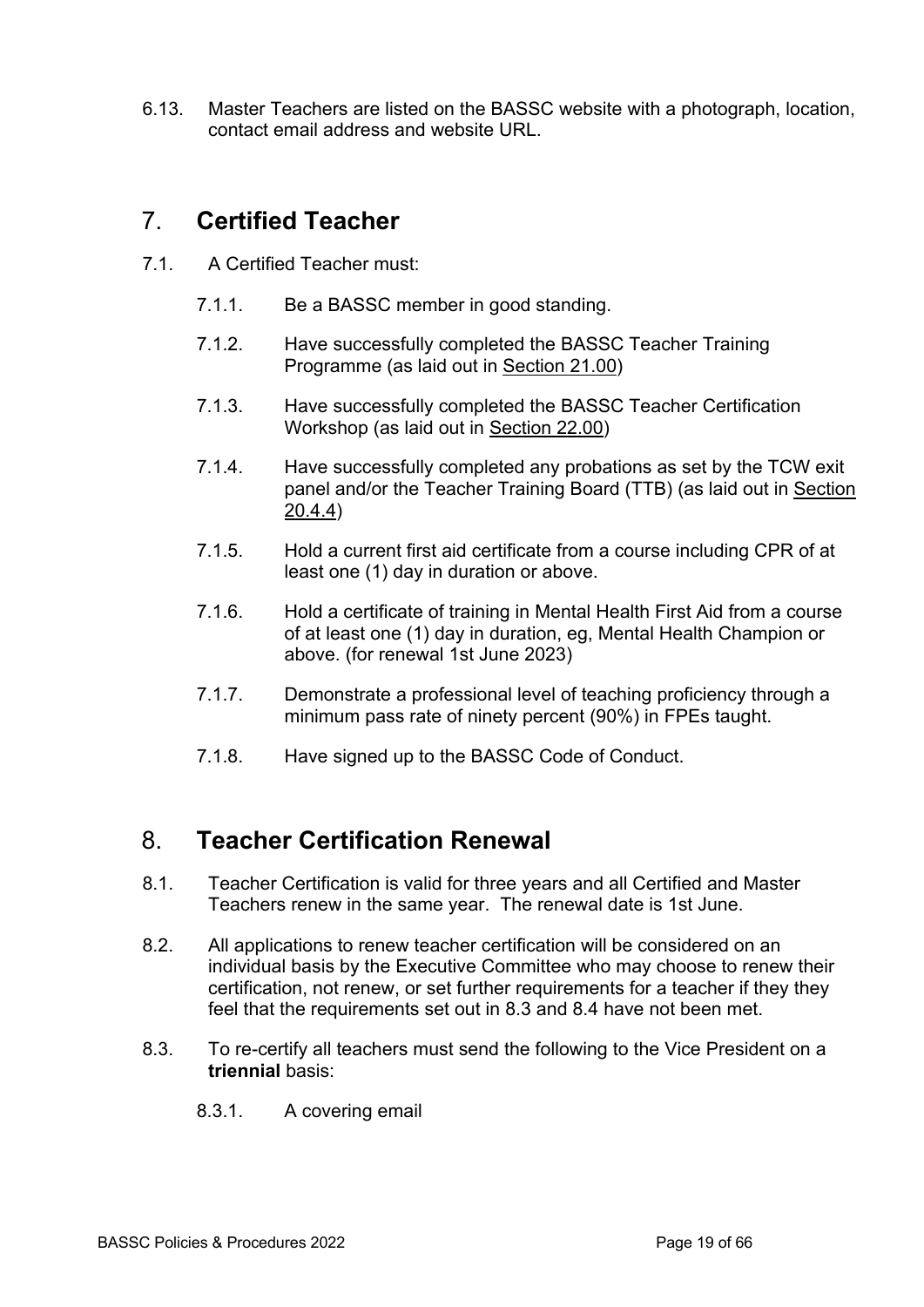6.13. Master Teachers are listed on the BASSC website with a photograph, location, contact email address and website URL.

# 7. **Certified Teacher**

- 7.1. A Certified Teacher must:
	- 7.1.1. Be a BASSC member in good standing.
	- 7.1.2. Have successfully completed the BASSC Teacher Training Programme (as laid out in Section 21.00)
	- 7.1.3. Have successfully completed the BASSC Teacher Certification Workshop (as laid out in Section 22.00)
	- 7.1.4. Have successfully completed any probations as set by the TCW exit panel and/or the Teacher Training Board (TTB) (as laid out in Section 20.4.4)
	- 7.1.5. Hold a current first aid certificate from a course including CPR of at least one (1) day in duration or above.
	- 7.1.6. Hold a certificate of training in Mental Health First Aid from a course of at least one (1) day in duration, eg, Mental Health Champion or above. (for renewal 1st June 2023)
	- 7.1.7. Demonstrate a professional level of teaching proficiency through a minimum pass rate of ninety percent (90%) in FPEs taught.
	- 7.1.8. Have signed up to the BASSC Code of Conduct.

# 8. **Teacher Certification Renewal**

- 8.1. Teacher Certification is valid for three years and all Certified and Master Teachers renew in the same year. The renewal date is 1st June.
- 8.2. All applications to renew teacher certification will be considered on an individual basis by the Executive Committee who may choose to renew their certification, not renew, or set further requirements for a teacher if they they feel that the requirements set out in 8.3 and 8.4 have not been met.
- 8.3. To re-certify all teachers must send the following to the Vice President on a **triennial** basis:
	- 8.3.1. A covering email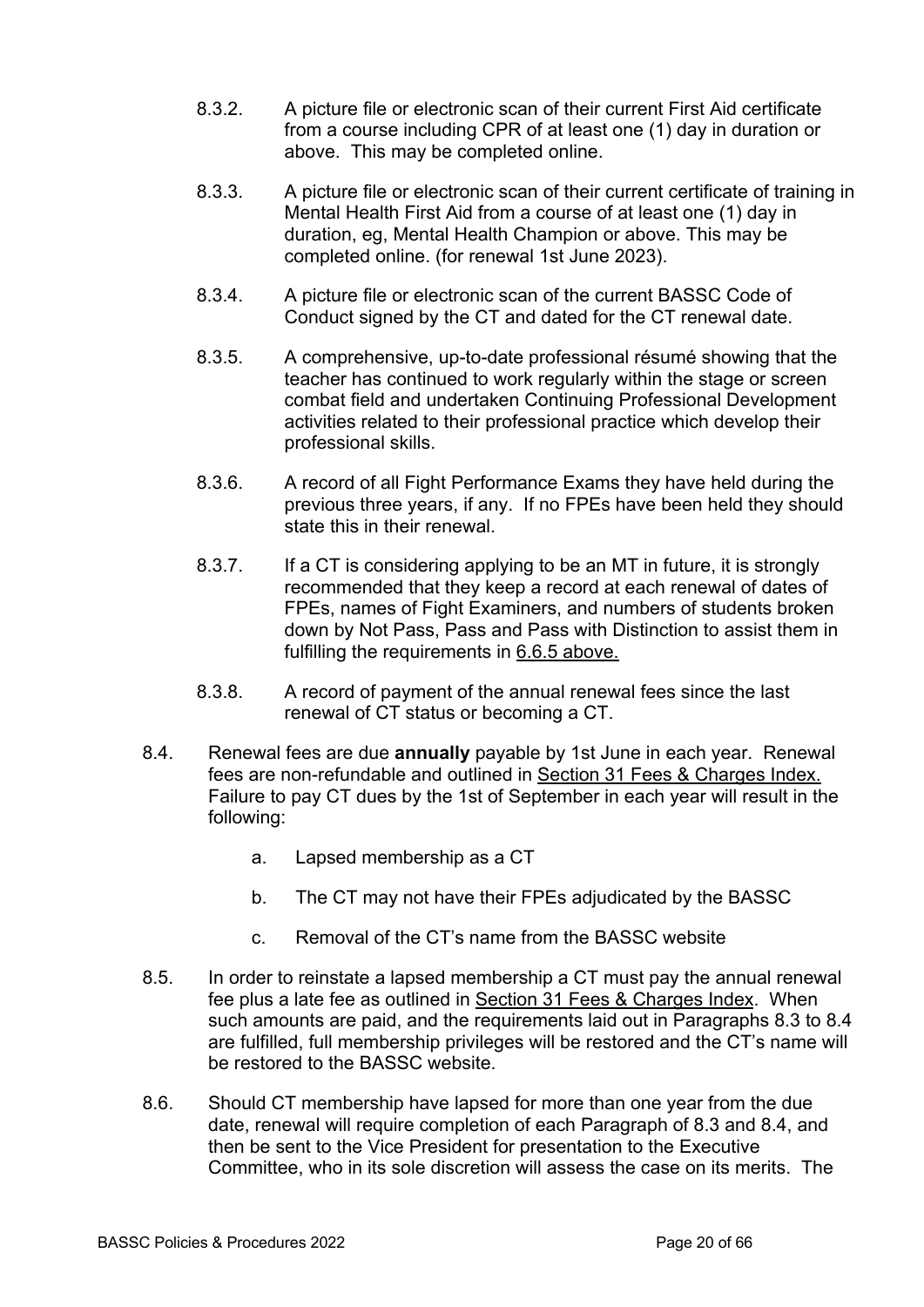- 8.3.2. A picture file or electronic scan of their current First Aid certificate from a course including CPR of at least one (1) day in duration or above. This may be completed online.
- 8.3.3. A picture file or electronic scan of their current certificate of training in Mental Health First Aid from a course of at least one (1) day in duration, eg, Mental Health Champion or above. This may be completed online. (for renewal 1st June 2023).
- 8.3.4. A picture file or electronic scan of the current BASSC Code of Conduct signed by the CT and dated for the CT renewal date.
- 8.3.5. A comprehensive, up-to-date professional résumé showing that the teacher has continued to work regularly within the stage or screen combat field and undertaken Continuing Professional Development activities related to their professional practice which develop their professional skills.
- 8.3.6. A record of all Fight Performance Exams they have held during the previous three years, if any. If no FPEs have been held they should state this in their renewal.
- 8.3.7. If a CT is considering applying to be an MT in future, it is strongly recommended that they keep a record at each renewal of dates of FPEs, names of Fight Examiners, and numbers of students broken down by Not Pass, Pass and Pass with Distinction to assist them in fulfilling the requirements in 6.6.5 above.
- 8.3.8. A record of payment of the annual renewal fees since the last renewal of CT status or becoming a CT.
- 8.4. Renewal fees are due **annually** payable by 1st June in each year. Renewal fees are non-refundable and outlined in Section 31 Fees & Charges Index. Failure to pay CT dues by the 1st of September in each year will result in the following:
	- a. Lapsed membership as a CT
	- b. The CT may not have their FPEs adjudicated by the BASSC
	- c. Removal of the CT's name from the BASSC website
- 8.5. In order to reinstate a lapsed membership a CT must pay the annual renewal fee plus a late fee as outlined in Section 31 Fees & Charges Index. When such amounts are paid, and the requirements laid out in Paragraphs 8.3 to 8.4 are fulfilled, full membership privileges will be restored and the CT's name will be restored to the BASSC website.
- 8.6. Should CT membership have lapsed for more than one year from the due date, renewal will require completion of each Paragraph of 8.3 and 8.4, and then be sent to the Vice President for presentation to the Executive Committee, who in its sole discretion will assess the case on its merits. The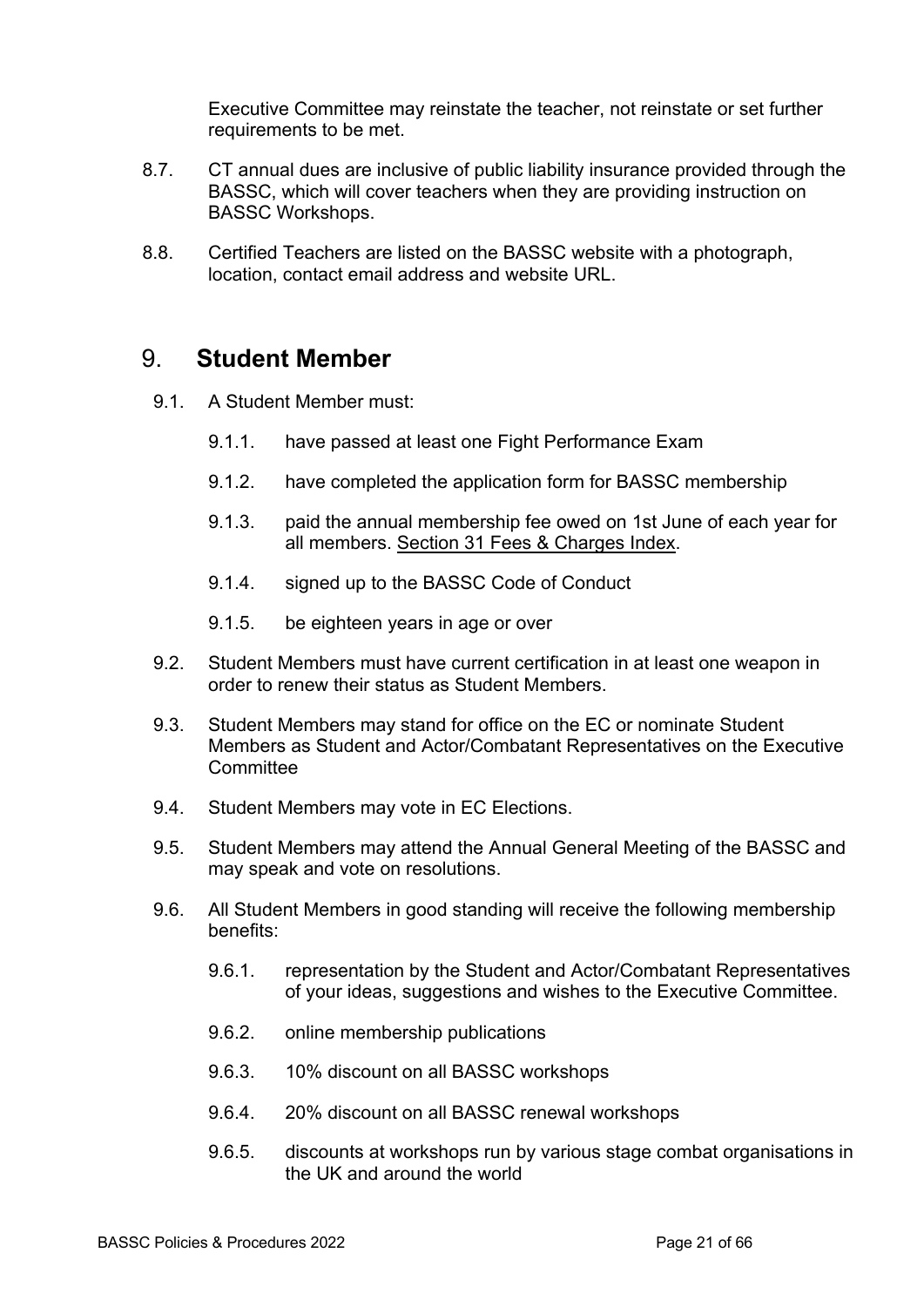Executive Committee may reinstate the teacher, not reinstate or set further requirements to be met.

- 8.7. CT annual dues are inclusive of public liability insurance provided through the BASSC, which will cover teachers when they are providing instruction on BASSC Workshops.
- 8.8. Certified Teachers are listed on the BASSC website with a photograph, location, contact email address and website URL.

#### 9. **Student Member**

- 9.1. A Student Member must:
	- 9.1.1. have passed at least one Fight Performance Exam
	- 9.1.2. have completed the application form for BASSC membership
	- 9.1.3. paid the annual membership fee owed on 1st June of each year for all members. Section 31 Fees & Charges Index.
	- 9.1.4. signed up to the BASSC Code of Conduct
	- 9.1.5. be eighteen years in age or over
- 9.2. Student Members must have current certification in at least one weapon in order to renew their status as Student Members.
- 9.3. Student Members may stand for office on the EC or nominate Student Members as Student and Actor/Combatant Representatives on the Executive **Committee**
- 9.4. Student Members may vote in EC Elections.
- 9.5. Student Members may attend the Annual General Meeting of the BASSC and may speak and vote on resolutions.
- 9.6. All Student Members in good standing will receive the following membership benefits:
	- 9.6.1. representation by the Student and Actor/Combatant Representatives of your ideas, suggestions and wishes to the Executive Committee.
	- 9.6.2. online membership publications
	- 9.6.3. 10% discount on all BASSC workshops
	- 9.6.4. 20% discount on all BASSC renewal workshops
	- 9.6.5. discounts at workshops run by various stage combat organisations in the UK and around the world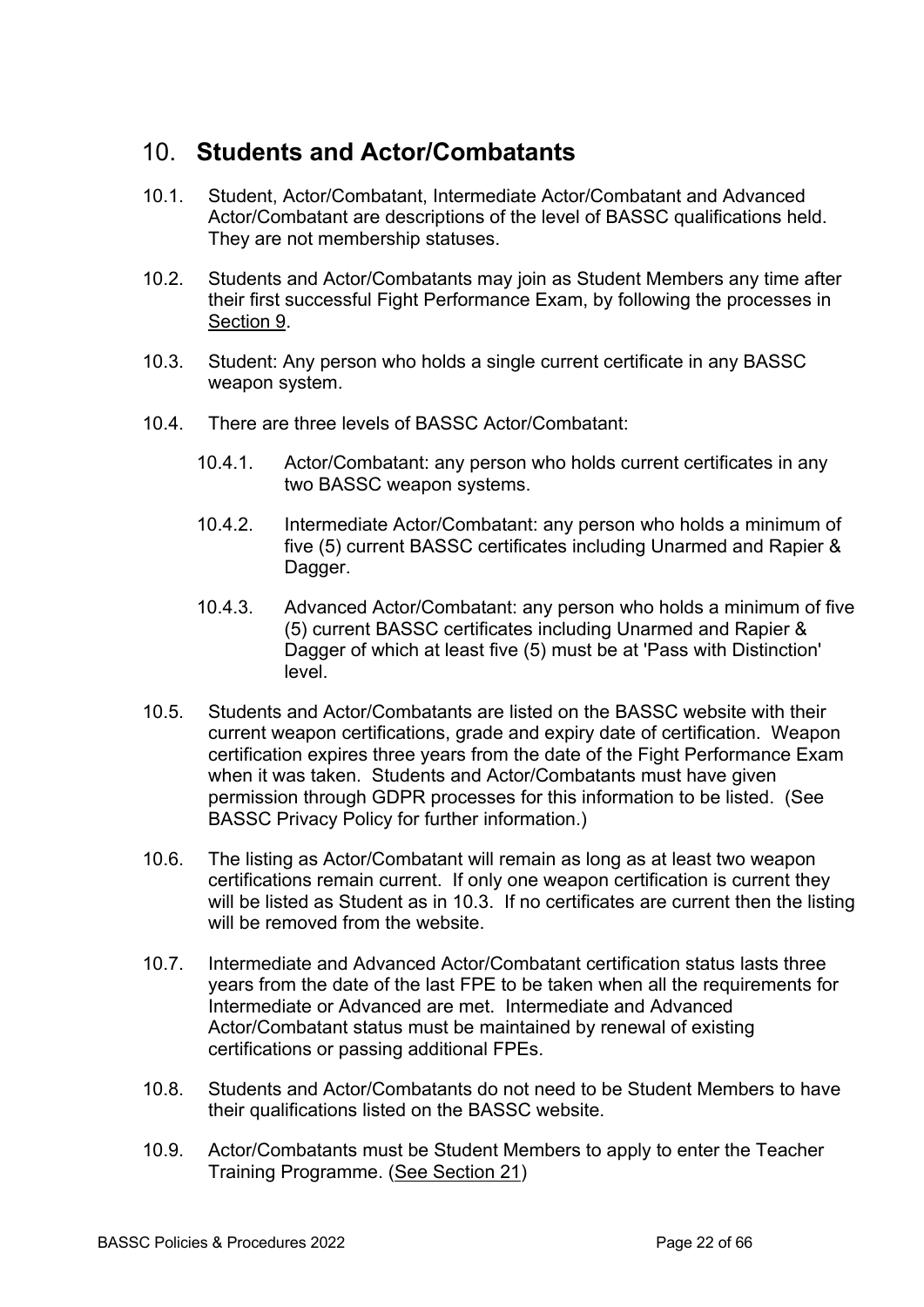## 10. **Students and Actor/Combatants**

- 10.1. Student, Actor/Combatant, Intermediate Actor/Combatant and Advanced Actor/Combatant are descriptions of the level of BASSC qualifications held. They are not membership statuses.
- 10.2. Students and Actor/Combatants may join as Student Members any time after their first successful Fight Performance Exam, by following the processes in Section 9.
- 10.3. Student: Any person who holds a single current certificate in any BASSC weapon system.
- 10.4. There are three levels of BASSC Actor/Combatant:
	- 10.4.1. Actor/Combatant: any person who holds current certificates in any two BASSC weapon systems.
	- 10.4.2. Intermediate Actor/Combatant: any person who holds a minimum of five (5) current BASSC certificates including Unarmed and Rapier & Dagger.
	- 10.4.3. Advanced Actor/Combatant: any person who holds a minimum of five (5) current BASSC certificates including Unarmed and Rapier & Dagger of which at least five (5) must be at 'Pass with Distinction' level.
- 10.5. Students and Actor/Combatants are listed on the BASSC website with their current weapon certifications, grade and expiry date of certification. Weapon certification expires three years from the date of the Fight Performance Exam when it was taken. Students and Actor/Combatants must have given permission through GDPR processes for this information to be listed. (See BASSC Privacy Policy for further information.)
- 10.6. The listing as Actor/Combatant will remain as long as at least two weapon certifications remain current. If only one weapon certification is current they will be listed as Student as in 10.3. If no certificates are current then the listing will be removed from the website.
- 10.7. Intermediate and Advanced Actor/Combatant certification status lasts three years from the date of the last FPE to be taken when all the requirements for Intermediate or Advanced are met. Intermediate and Advanced Actor/Combatant status must be maintained by renewal of existing certifications or passing additional FPEs.
- 10.8. Students and Actor/Combatants do not need to be Student Members to have their qualifications listed on the BASSC website.
- 10.9. Actor/Combatants must be Student Members to apply to enter the Teacher Training Programme. (See Section 21)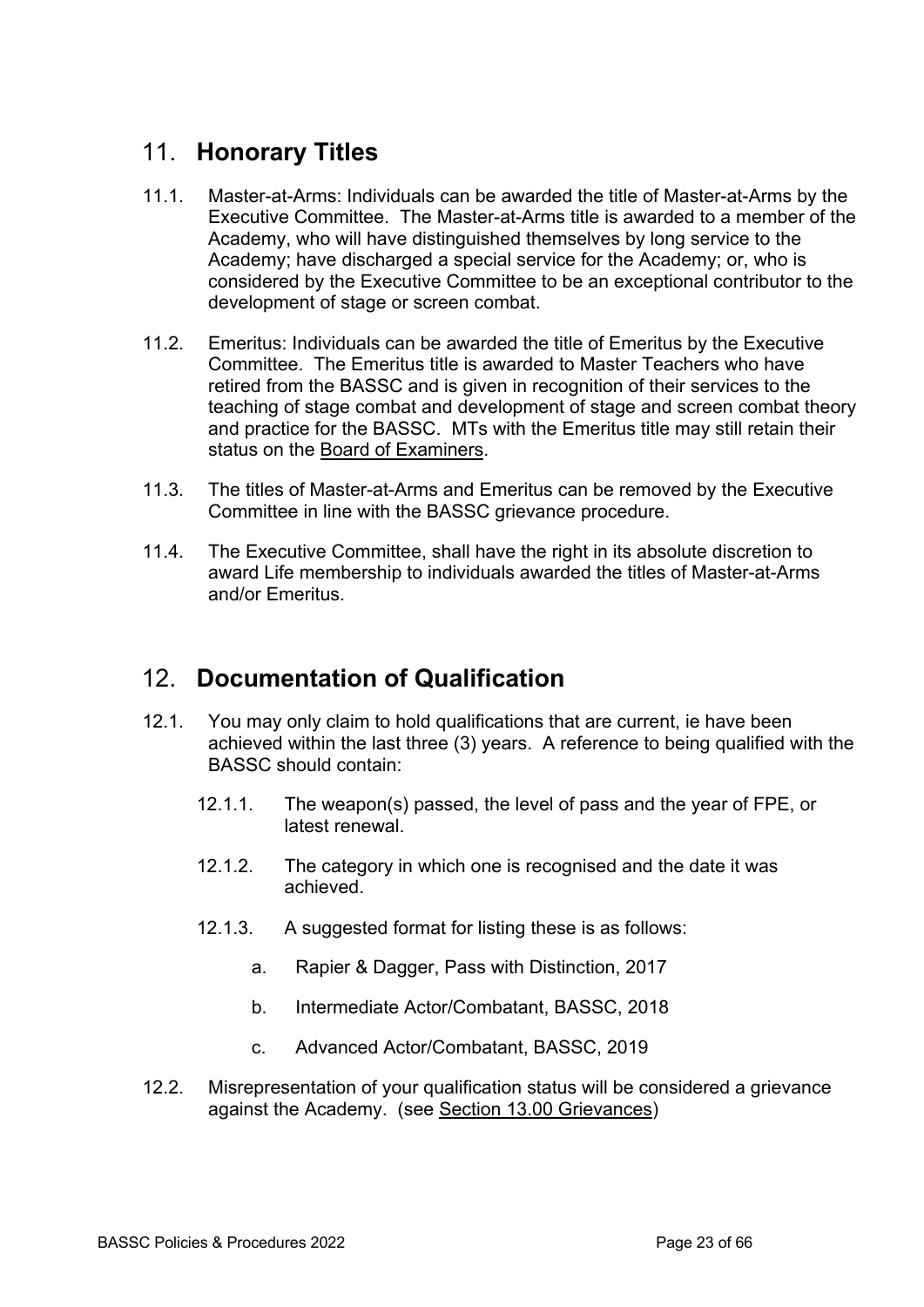# 11. **Honorary Titles**

- 11.1. Master-at-Arms: Individuals can be awarded the title of Master-at-Arms by the Executive Committee. The Master-at-Arms title is awarded to a member of the Academy, who will have distinguished themselves by long service to the Academy; have discharged a special service for the Academy; or, who is considered by the Executive Committee to be an exceptional contributor to the development of stage or screen combat.
- 11.2. Emeritus: Individuals can be awarded the title of Emeritus by the Executive Committee. The Emeritus title is awarded to Master Teachers who have retired from the BASSC and is given in recognition of their services to the teaching of stage combat and development of stage and screen combat theory and practice for the BASSC. MTs with the Emeritus title may still retain their status on the Board of Examiners.
- 11.3. The titles of Master-at-Arms and Emeritus can be removed by the Executive Committee in line with the BASSC grievance procedure.
- 11.4. The Executive Committee, shall have the right in its absolute discretion to award Life membership to individuals awarded the titles of Master-at-Arms and/or Emeritus.

## 12. **Documentation of Qualification**

- 12.1. You may only claim to hold qualifications that are current, ie have been achieved within the last three (3) years. A reference to being qualified with the BASSC should contain:
	- 12.1.1. The weapon(s) passed, the level of pass and the year of FPE, or latest renewal.
	- 12.1.2. The category in which one is recognised and the date it was achieved.
	- 12.1.3. A suggested format for listing these is as follows:
		- a. Rapier & Dagger, Pass with Distinction, 2017
		- b. Intermediate Actor/Combatant, BASSC, 2018
		- c. Advanced Actor/Combatant, BASSC, 2019
- 12.2. Misrepresentation of your qualification status will be considered a grievance against the Academy. (see Section 13.00 Grievances)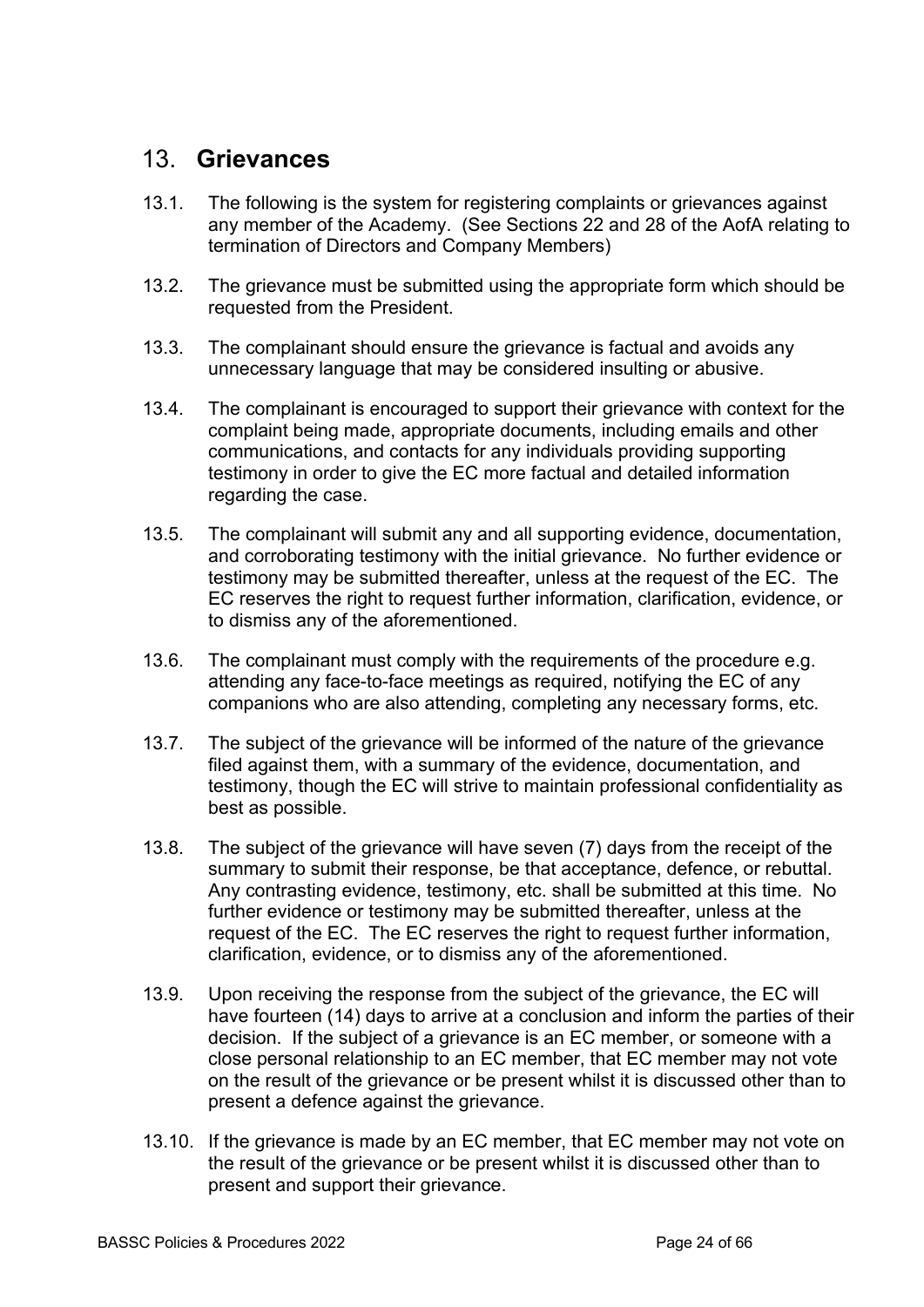### 13. **Grievances**

- 13.1. The following is the system for registering complaints or grievances against any member of the Academy. (See Sections 22 and 28 of the AofA relating to termination of Directors and Company Members)
- 13.2. The grievance must be submitted using the appropriate form which should be requested from the President.
- 13.3. The complainant should ensure the grievance is factual and avoids any unnecessary language that may be considered insulting or abusive.
- 13.4. The complainant is encouraged to support their grievance with context for the complaint being made, appropriate documents, including emails and other communications, and contacts for any individuals providing supporting testimony in order to give the EC more factual and detailed information regarding the case.
- 13.5. The complainant will submit any and all supporting evidence, documentation, and corroborating testimony with the initial grievance. No further evidence or testimony may be submitted thereafter, unless at the request of the EC. The EC reserves the right to request further information, clarification, evidence, or to dismiss any of the aforementioned.
- 13.6. The complainant must comply with the requirements of the procedure e.g. attending any face-to-face meetings as required, notifying the EC of any companions who are also attending, completing any necessary forms, etc.
- 13.7. The subject of the grievance will be informed of the nature of the grievance filed against them, with a summary of the evidence, documentation, and testimony, though the EC will strive to maintain professional confidentiality as best as possible.
- 13.8. The subject of the grievance will have seven (7) days from the receipt of the summary to submit their response, be that acceptance, defence, or rebuttal. Any contrasting evidence, testimony, etc. shall be submitted at this time. No further evidence or testimony may be submitted thereafter, unless at the request of the EC. The EC reserves the right to request further information, clarification, evidence, or to dismiss any of the aforementioned.
- 13.9. Upon receiving the response from the subject of the grievance, the EC will have fourteen (14) days to arrive at a conclusion and inform the parties of their decision. If the subject of a grievance is an EC member, or someone with a close personal relationship to an EC member, that EC member may not vote on the result of the grievance or be present whilst it is discussed other than to present a defence against the grievance.
- 13.10. If the grievance is made by an EC member, that EC member may not vote on the result of the grievance or be present whilst it is discussed other than to present and support their grievance.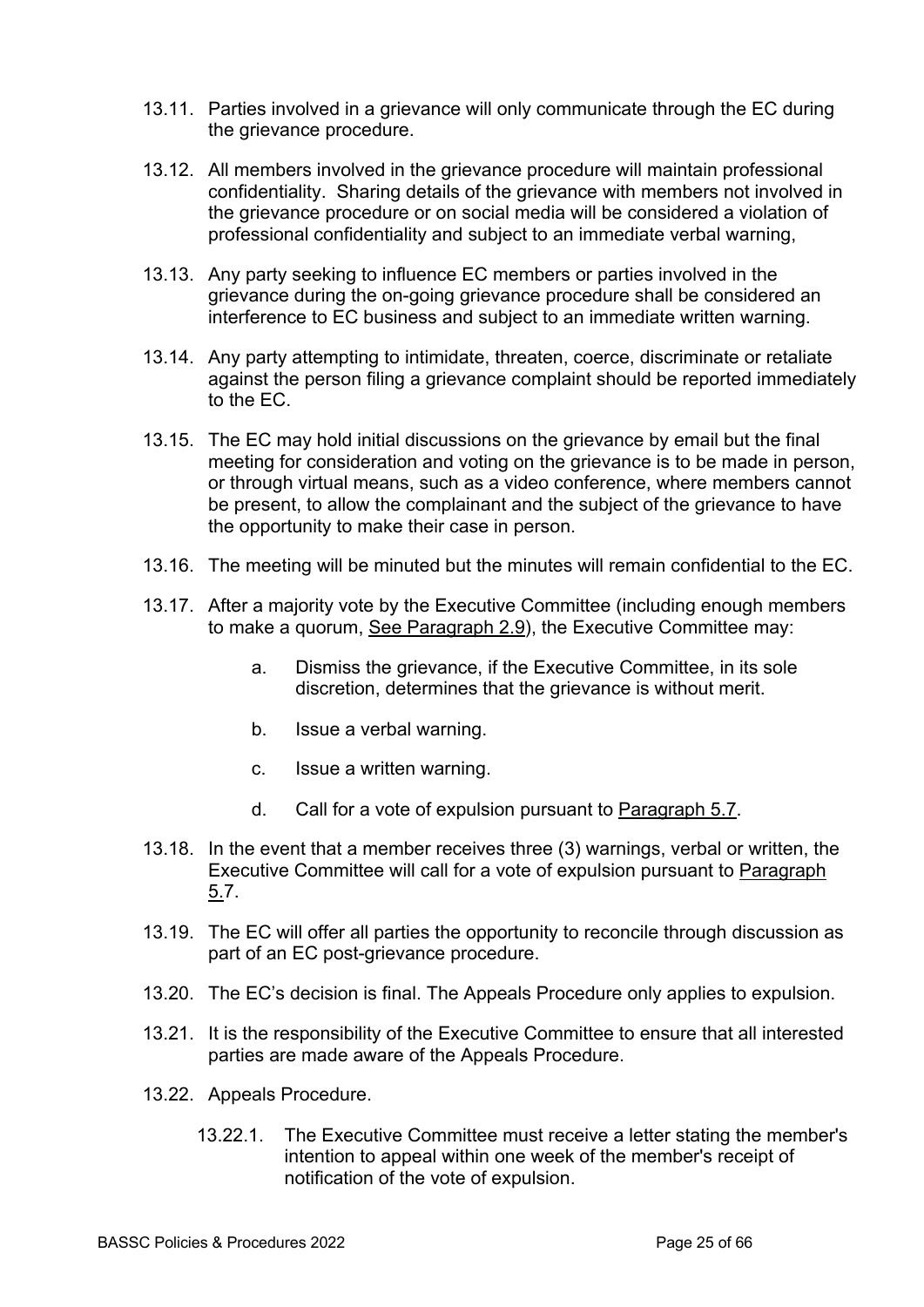- 13.11. Parties involved in a grievance will only communicate through the EC during the grievance procedure.
- 13.12. All members involved in the grievance procedure will maintain professional confidentiality. Sharing details of the grievance with members not involved in the grievance procedure or on social media will be considered a violation of professional confidentiality and subject to an immediate verbal warning,
- 13.13. Any party seeking to influence EC members or parties involved in the grievance during the on-going grievance procedure shall be considered an interference to EC business and subject to an immediate written warning.
- 13.14. Any party attempting to intimidate, threaten, coerce, discriminate or retaliate against the person filing a grievance complaint should be reported immediately to the EC.
- 13.15. The EC may hold initial discussions on the grievance by email but the final meeting for consideration and voting on the grievance is to be made in person, or through virtual means, such as a video conference, where members cannot be present, to allow the complainant and the subject of the grievance to have the opportunity to make their case in person.
- 13.16. The meeting will be minuted but the minutes will remain confidential to the EC.
- 13.17. After a majority vote by the Executive Committee (including enough members to make a quorum, See Paragraph 2.9), the Executive Committee may:
	- a. Dismiss the grievance, if the Executive Committee, in its sole discretion, determines that the grievance is without merit.
	- b. Issue a verbal warning.
	- c. Issue a written warning.
	- d. Call for a vote of expulsion pursuant to Paragraph 5.7.
- 13.18. In the event that a member receives three (3) warnings, verbal or written, the Executive Committee will call for a vote of expulsion pursuant to Paragraph 5.7.
- 13.19. The EC will offer all parties the opportunity to reconcile through discussion as part of an EC post-grievance procedure.
- 13.20. The EC's decision is final. The Appeals Procedure only applies to expulsion.
- 13.21. It is the responsibility of the Executive Committee to ensure that all interested parties are made aware of the Appeals Procedure.
- 13.22. Appeals Procedure.
	- 13.22.1. The Executive Committee must receive a letter stating the member's intention to appeal within one week of the member's receipt of notification of the vote of expulsion.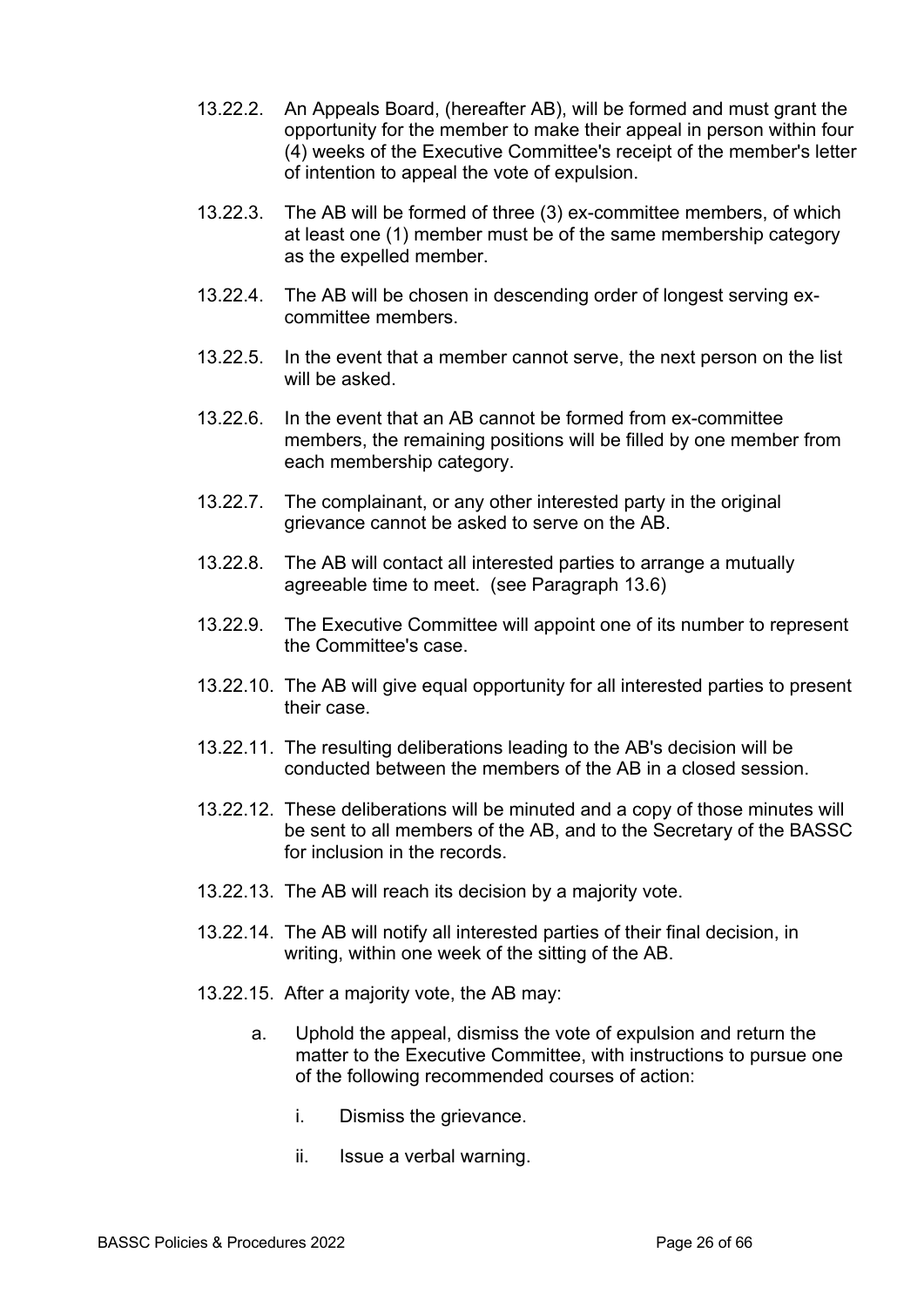- 13.22.2. An Appeals Board, (hereafter AB), will be formed and must grant the opportunity for the member to make their appeal in person within four (4) weeks of the Executive Committee's receipt of the member's letter of intention to appeal the vote of expulsion.
- 13.22.3. The AB will be formed of three (3) ex-committee members, of which at least one (1) member must be of the same membership category as the expelled member.
- 13.22.4. The AB will be chosen in descending order of longest serving excommittee members.
- 13.22.5. In the event that a member cannot serve, the next person on the list will be asked.
- 13.22.6. In the event that an AB cannot be formed from ex-committee members, the remaining positions will be filled by one member from each membership category.
- 13.22.7. The complainant, or any other interested party in the original grievance cannot be asked to serve on the AB.
- 13.22.8. The AB will contact all interested parties to arrange a mutually agreeable time to meet. (see Paragraph 13.6)
- 13.22.9. The Executive Committee will appoint one of its number to represent the Committee's case.
- 13.22.10. The AB will give equal opportunity for all interested parties to present their case.
- 13.22.11. The resulting deliberations leading to the AB's decision will be conducted between the members of the AB in a closed session.
- 13.22.12. These deliberations will be minuted and a copy of those minutes will be sent to all members of the AB, and to the Secretary of the BASSC for inclusion in the records.
- 13.22.13. The AB will reach its decision by a majority vote.
- 13.22.14. The AB will notify all interested parties of their final decision, in writing, within one week of the sitting of the AB.
- 13.22.15. After a majority vote, the AB may:
	- a. Uphold the appeal, dismiss the vote of expulsion and return the matter to the Executive Committee, with instructions to pursue one of the following recommended courses of action:
		- i. Dismiss the grievance.
		- ii. Issue a verbal warning.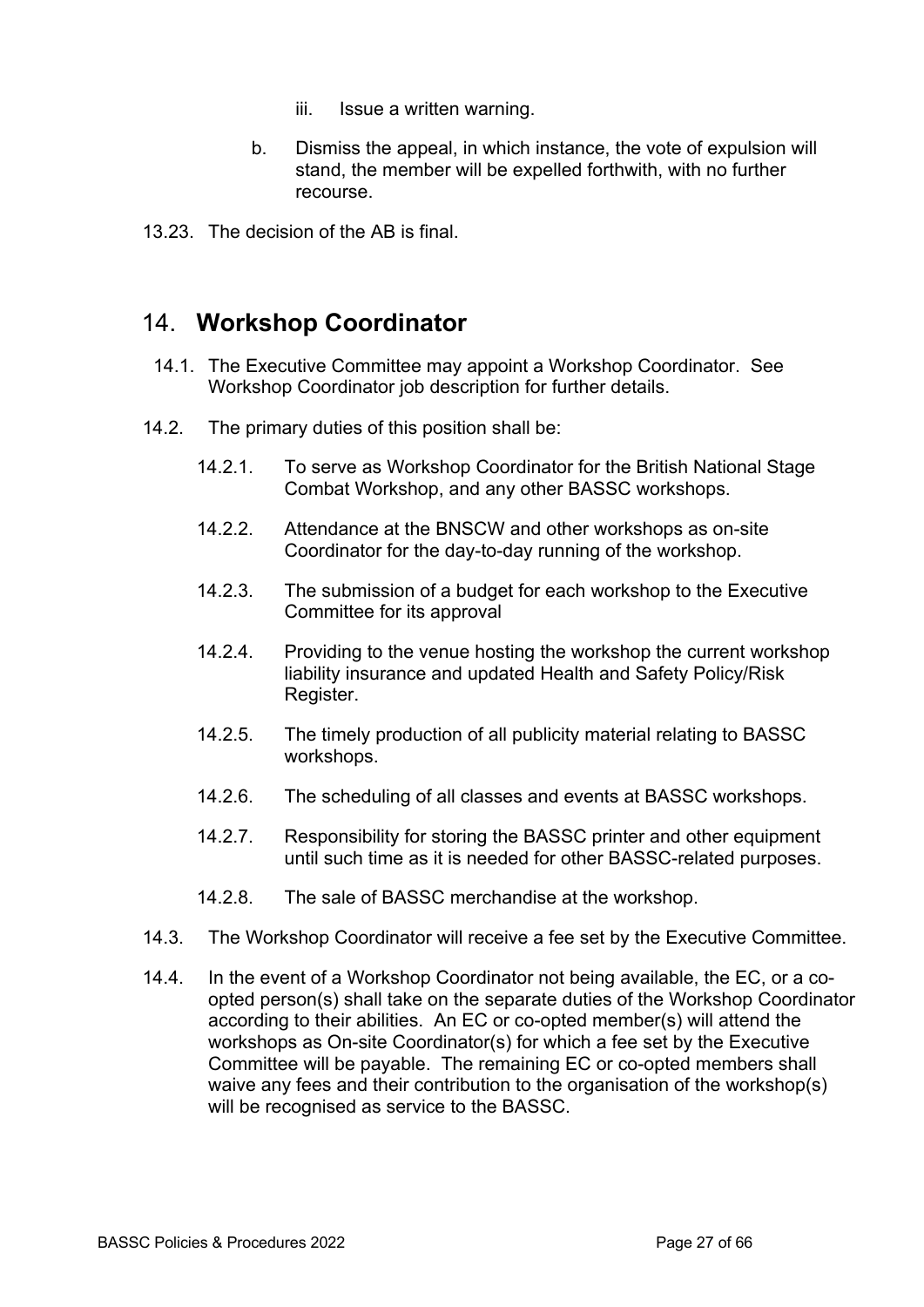- iii. Issue a written warning.
- b. Dismiss the appeal, in which instance, the vote of expulsion will stand, the member will be expelled forthwith, with no further recourse.
- 13.23. The decision of the AB is final.

### 14. **Workshop Coordinator**

- 14.1. The Executive Committee may appoint a Workshop Coordinator. See Workshop Coordinator job description for further details.
- 14.2. The primary duties of this position shall be:
	- 14.2.1. To serve as Workshop Coordinator for the British National Stage Combat Workshop, and any other BASSC workshops.
	- 14.2.2. Attendance at the BNSCW and other workshops as on-site Coordinator for the day-to-day running of the workshop.
	- 14.2.3. The submission of a budget for each workshop to the Executive Committee for its approval
	- 14.2.4. Providing to the venue hosting the workshop the current workshop liability insurance and updated Health and Safety Policy/Risk Register.
	- 14.2.5. The timely production of all publicity material relating to BASSC workshops.
	- 14.2.6. The scheduling of all classes and events at BASSC workshops.
	- 14.2.7. Responsibility for storing the BASSC printer and other equipment until such time as it is needed for other BASSC-related purposes.
	- 14.2.8. The sale of BASSC merchandise at the workshop.
- 14.3. The Workshop Coordinator will receive a fee set by the Executive Committee.
- 14.4. In the event of a Workshop Coordinator not being available, the EC, or a coopted person(s) shall take on the separate duties of the Workshop Coordinator according to their abilities. An EC or co-opted member(s) will attend the workshops as On-site Coordinator(s) for which a fee set by the Executive Committee will be payable. The remaining EC or co-opted members shall waive any fees and their contribution to the organisation of the workshop(s) will be recognised as service to the BASSC.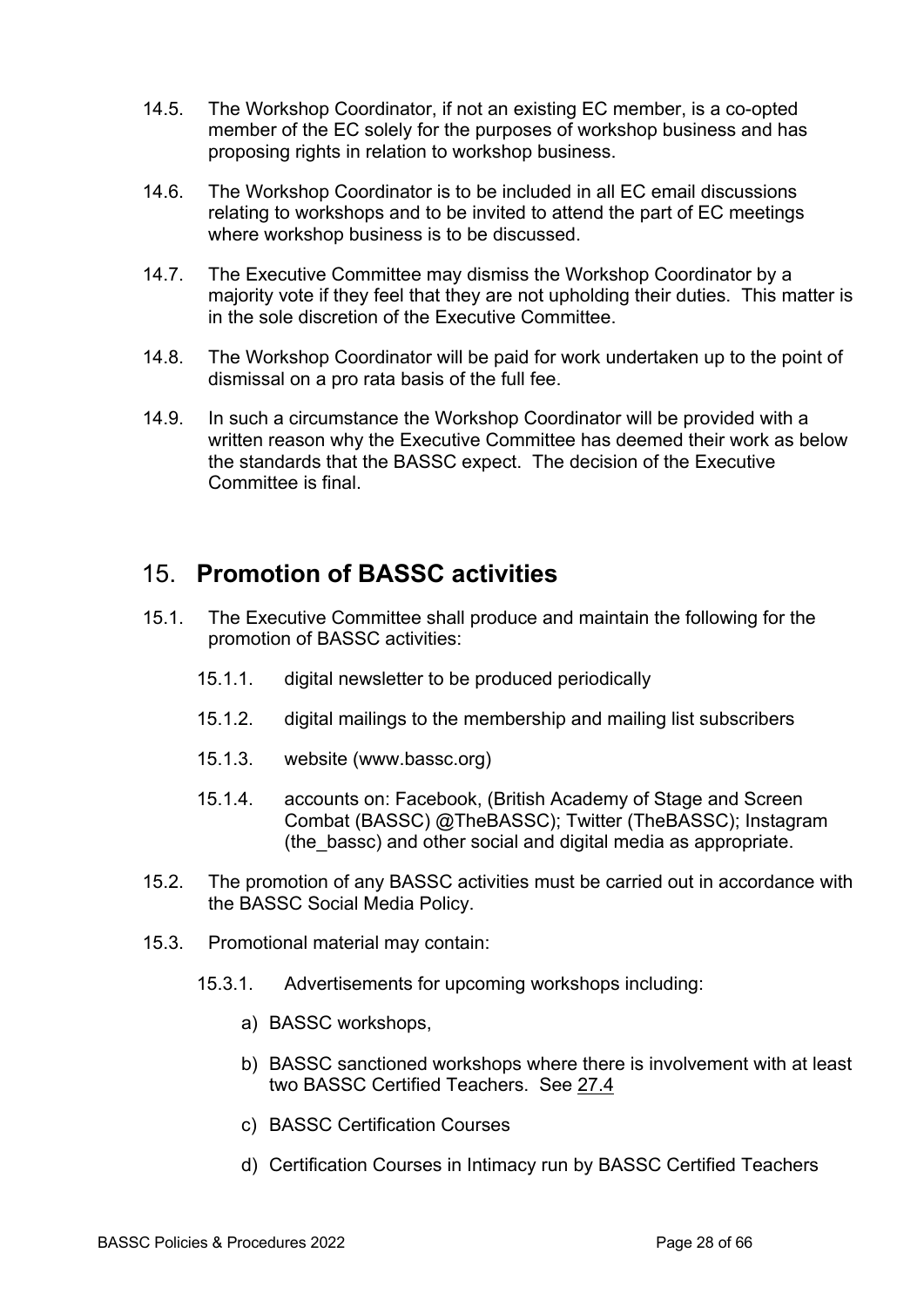- 14.5. The Workshop Coordinator, if not an existing EC member, is a co-opted member of the EC solely for the purposes of workshop business and has proposing rights in relation to workshop business.
- 14.6. The Workshop Coordinator is to be included in all EC email discussions relating to workshops and to be invited to attend the part of EC meetings where workshop business is to be discussed.
- 14.7. The Executive Committee may dismiss the Workshop Coordinator by a majority vote if they feel that they are not upholding their duties. This matter is in the sole discretion of the Executive Committee.
- 14.8. The Workshop Coordinator will be paid for work undertaken up to the point of dismissal on a pro rata basis of the full fee.
- 14.9. In such a circumstance the Workshop Coordinator will be provided with a written reason why the Executive Committee has deemed their work as below the standards that the BASSC expect. The decision of the Executive Committee is final.

## 15. **Promotion of BASSC activities**

- 15.1. The Executive Committee shall produce and maintain the following for the promotion of BASSC activities:
	- 15.1.1. digital newsletter to be produced periodically
	- 15.1.2. digital mailings to the membership and mailing list subscribers
	- 15.1.3. website (www.bassc.org)
	- 15.1.4. accounts on: Facebook, (British Academy of Stage and Screen Combat (BASSC) @TheBASSC); Twitter (TheBASSC); Instagram (the\_bassc) and other social and digital media as appropriate.
- 15.2. The promotion of any BASSC activities must be carried out in accordance with the BASSC Social Media Policy.
- 15.3. Promotional material may contain:
	- 15.3.1. Advertisements for upcoming workshops including:
		- a) BASSC workshops,
		- b) BASSC sanctioned workshops where there is involvement with at least two BASSC Certified Teachers. See 27.4
		- c) BASSC Certification Courses
		- d) Certification Courses in Intimacy run by BASSC Certified Teachers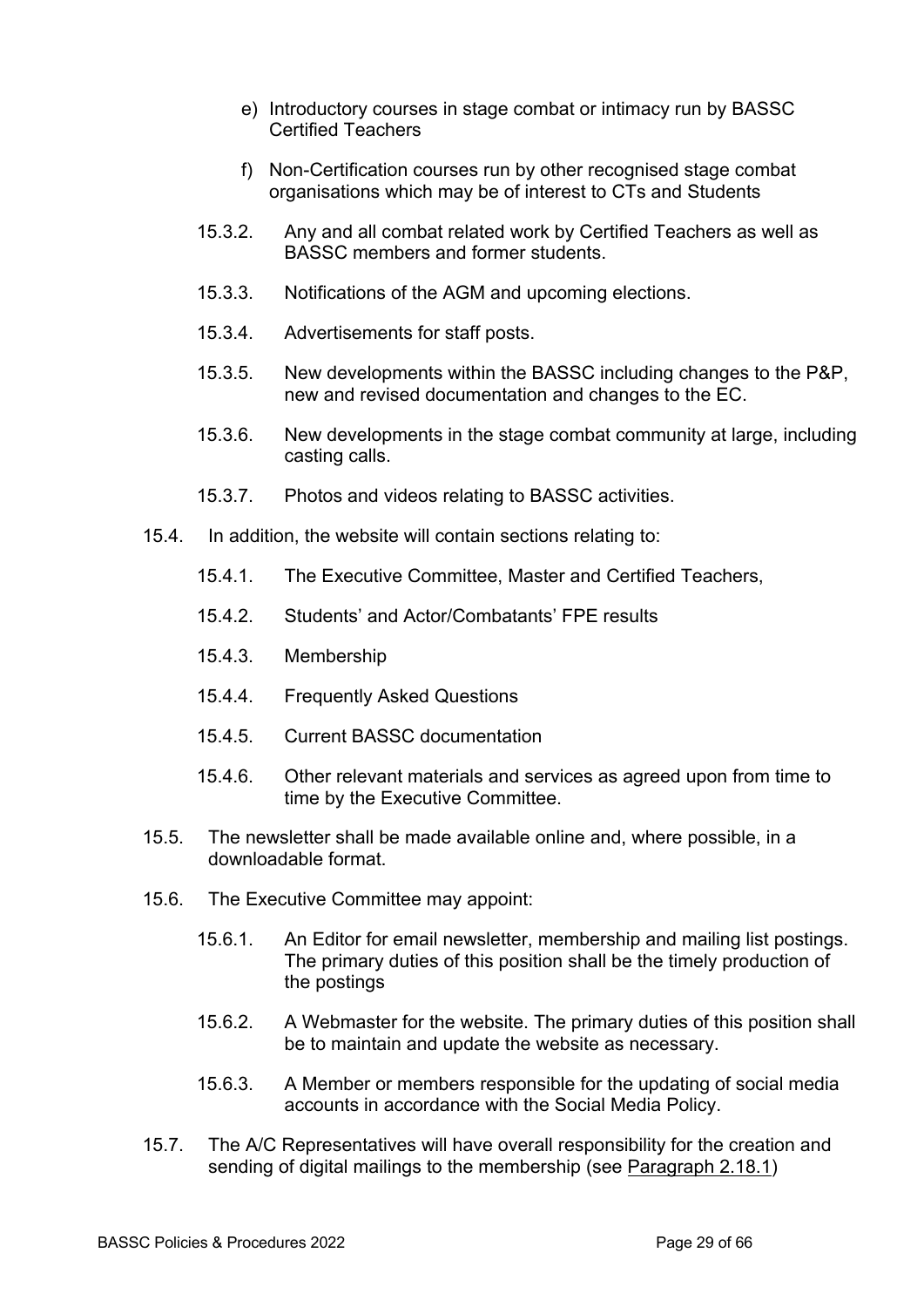- e) Introductory courses in stage combat or intimacy run by BASSC Certified Teachers
- f) Non-Certification courses run by other recognised stage combat organisations which may be of interest to CTs and Students
- 15.3.2. Any and all combat related work by Certified Teachers as well as BASSC members and former students.
- 15.3.3. Notifications of the AGM and upcoming elections.
- 15.3.4. Advertisements for staff posts.
- 15.3.5. New developments within the BASSC including changes to the P&P, new and revised documentation and changes to the EC.
- 15.3.6. New developments in the stage combat community at large, including casting calls.
- 15.3.7. Photos and videos relating to BASSC activities.
- 15.4. In addition, the website will contain sections relating to:
	- 15.4.1. The Executive Committee, Master and Certified Teachers,
	- 15.4.2. Students' and Actor/Combatants' FPE results
	- 15.4.3. Membership
	- 15.4.4. Frequently Asked Questions
	- 15.4.5. Current BASSC documentation
	- 15.4.6. Other relevant materials and services as agreed upon from time to time by the Executive Committee.
- 15.5. The newsletter shall be made available online and, where possible, in a downloadable format.
- 15.6. The Executive Committee may appoint:
	- 15.6.1. An Editor for email newsletter, membership and mailing list postings. The primary duties of this position shall be the timely production of the postings
	- 15.6.2. A Webmaster for the website. The primary duties of this position shall be to maintain and update the website as necessary.
	- 15.6.3. A Member or members responsible for the updating of social media accounts in accordance with the Social Media Policy.
- 15.7. The A/C Representatives will have overall responsibility for the creation and sending of digital mailings to the membership (see Paragraph 2.18.1)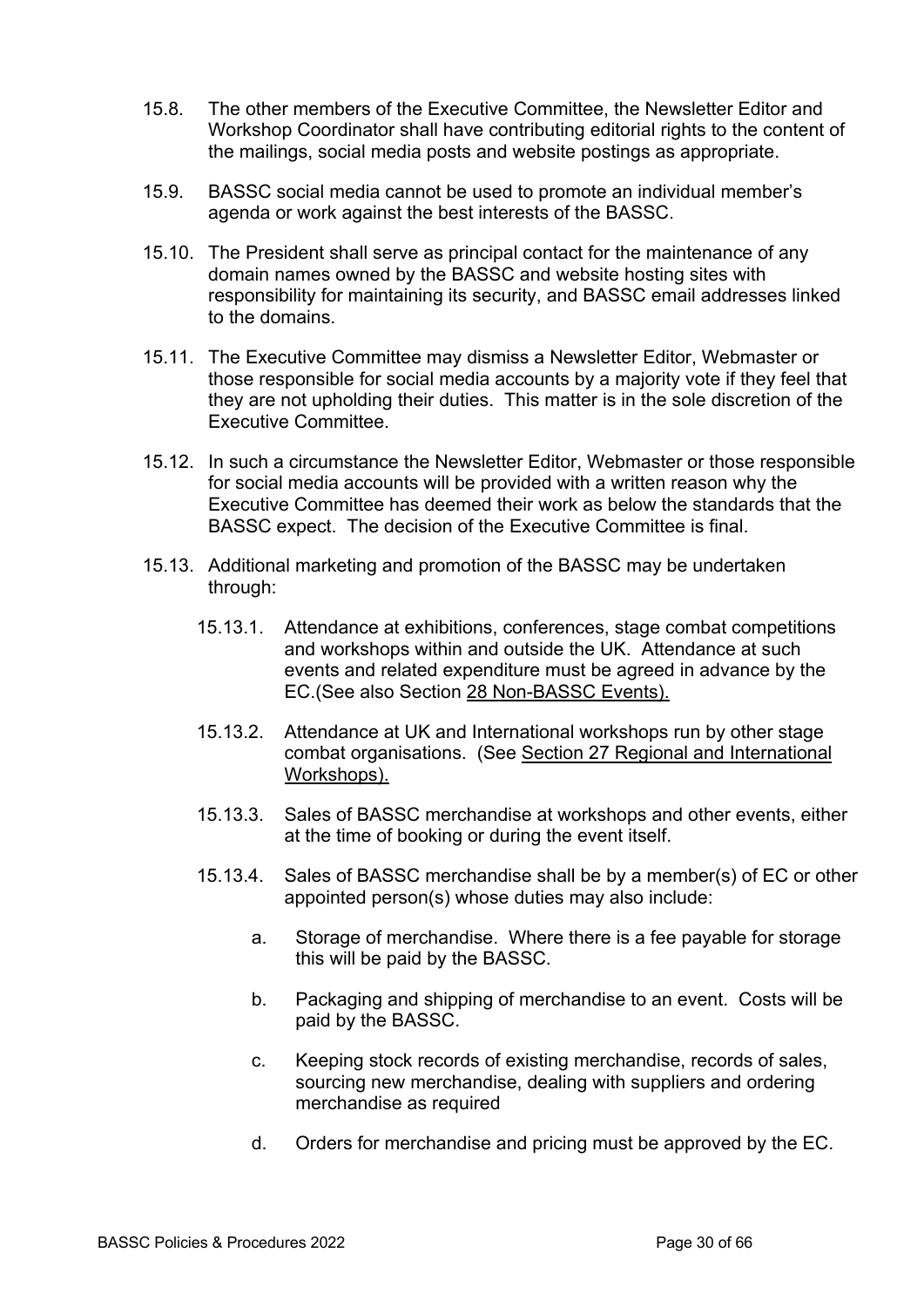- 15.8. The other members of the Executive Committee, the Newsletter Editor and Workshop Coordinator shall have contributing editorial rights to the content of the mailings, social media posts and website postings as appropriate.
- 15.9. BASSC social media cannot be used to promote an individual member's agenda or work against the best interests of the BASSC.
- 15.10. The President shall serve as principal contact for the maintenance of any domain names owned by the BASSC and website hosting sites with responsibility for maintaining its security, and BASSC email addresses linked to the domains.
- 15.11. The Executive Committee may dismiss a Newsletter Editor, Webmaster or those responsible for social media accounts by a majority vote if they feel that they are not upholding their duties. This matter is in the sole discretion of the Executive Committee.
- 15.12. In such a circumstance the Newsletter Editor, Webmaster or those responsible for social media accounts will be provided with a written reason why the Executive Committee has deemed their work as below the standards that the BASSC expect. The decision of the Executive Committee is final.
- 15.13. Additional marketing and promotion of the BASSC may be undertaken through:
	- 15.13.1. Attendance at exhibitions, conferences, stage combat competitions and workshops within and outside the UK. Attendance at such events and related expenditure must be agreed in advance by the EC.(See also Section 28 Non-BASSC Events).
	- 15.13.2. Attendance at UK and International workshops run by other stage combat organisations. (See Section 27 Regional and International Workshops).
	- 15.13.3. Sales of BASSC merchandise at workshops and other events, either at the time of booking or during the event itself.
	- 15.13.4. Sales of BASSC merchandise shall be by a member(s) of EC or other appointed person(s) whose duties may also include:
		- a. Storage of merchandise. Where there is a fee payable for storage this will be paid by the BASSC.
		- b. Packaging and shipping of merchandise to an event. Costs will be paid by the BASSC.
		- c. Keeping stock records of existing merchandise, records of sales, sourcing new merchandise, dealing with suppliers and ordering merchandise as required
		- d. Orders for merchandise and pricing must be approved by the EC.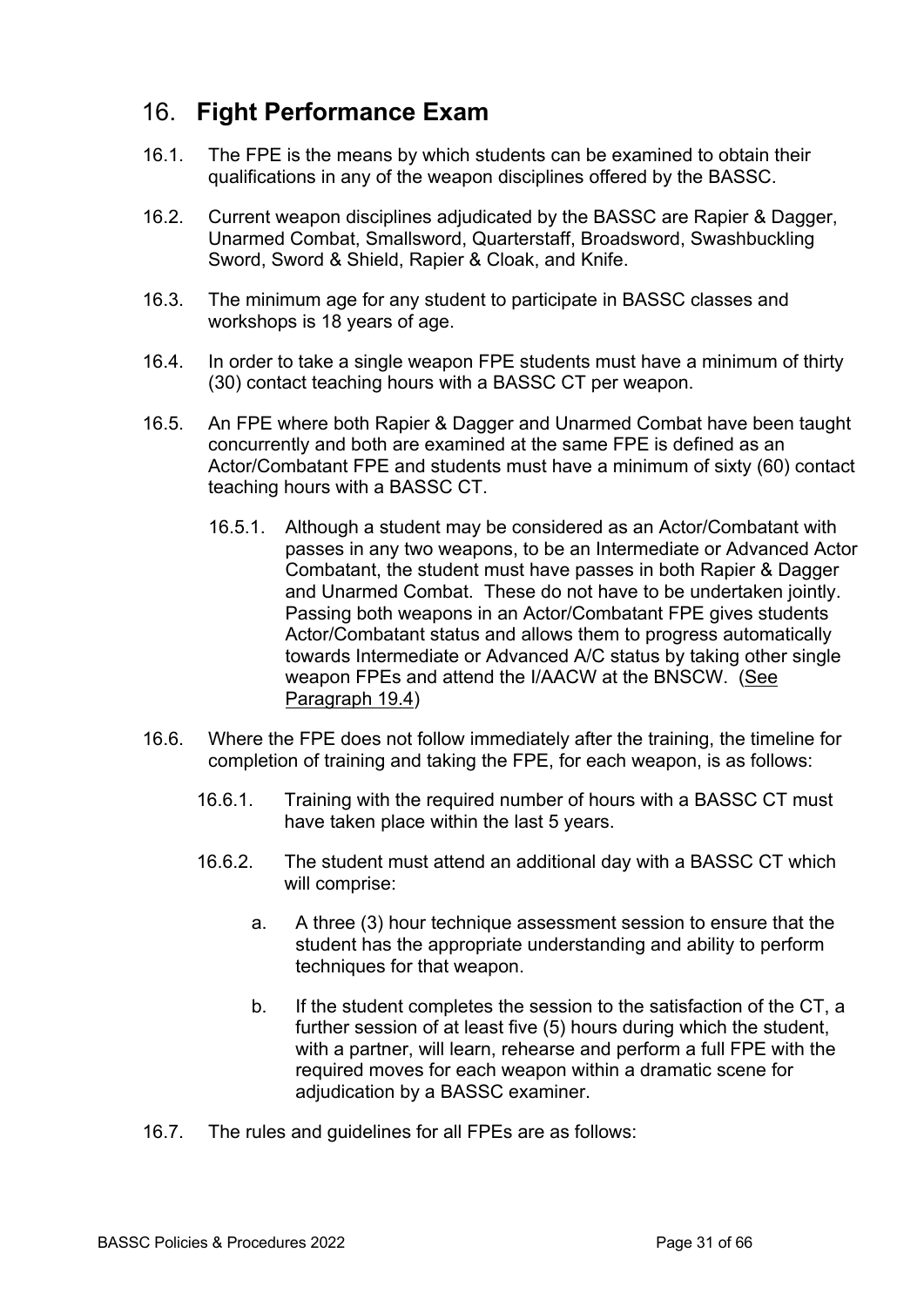# 16. **Fight Performance Exam**

- 16.1. The FPE is the means by which students can be examined to obtain their qualifications in any of the weapon disciplines offered by the BASSC.
- 16.2. Current weapon disciplines adjudicated by the BASSC are Rapier & Dagger, Unarmed Combat, Smallsword, Quarterstaff, Broadsword, Swashbuckling Sword, Sword & Shield, Rapier & Cloak, and Knife.
- 16.3. The minimum age for any student to participate in BASSC classes and workshops is 18 years of age.
- 16.4. In order to take a single weapon FPE students must have a minimum of thirty (30) contact teaching hours with a BASSC CT per weapon.
- 16.5. An FPE where both Rapier & Dagger and Unarmed Combat have been taught concurrently and both are examined at the same FPE is defined as an Actor/Combatant FPE and students must have a minimum of sixty (60) contact teaching hours with a BASSC CT.
	- 16.5.1. Although a student may be considered as an Actor/Combatant with passes in any two weapons, to be an Intermediate or Advanced Actor Combatant, the student must have passes in both Rapier & Dagger and Unarmed Combat. These do not have to be undertaken jointly. Passing both weapons in an Actor/Combatant FPE gives students Actor/Combatant status and allows them to progress automatically towards Intermediate or Advanced A/C status by taking other single weapon FPEs and attend the I/AACW at the BNSCW. (See Paragraph 19.4)
- 16.6. Where the FPE does not follow immediately after the training, the timeline for completion of training and taking the FPE, for each weapon, is as follows:
	- 16.6.1. Training with the required number of hours with a BASSC CT must have taken place within the last 5 years.
	- 16.6.2. The student must attend an additional day with a BASSC CT which will comprise:
		- a. A three (3) hour technique assessment session to ensure that the student has the appropriate understanding and ability to perform techniques for that weapon.
		- b. If the student completes the session to the satisfaction of the CT, a further session of at least five (5) hours during which the student, with a partner, will learn, rehearse and perform a full FPE with the required moves for each weapon within a dramatic scene for adjudication by a BASSC examiner.
- 16.7. The rules and guidelines for all FPEs are as follows: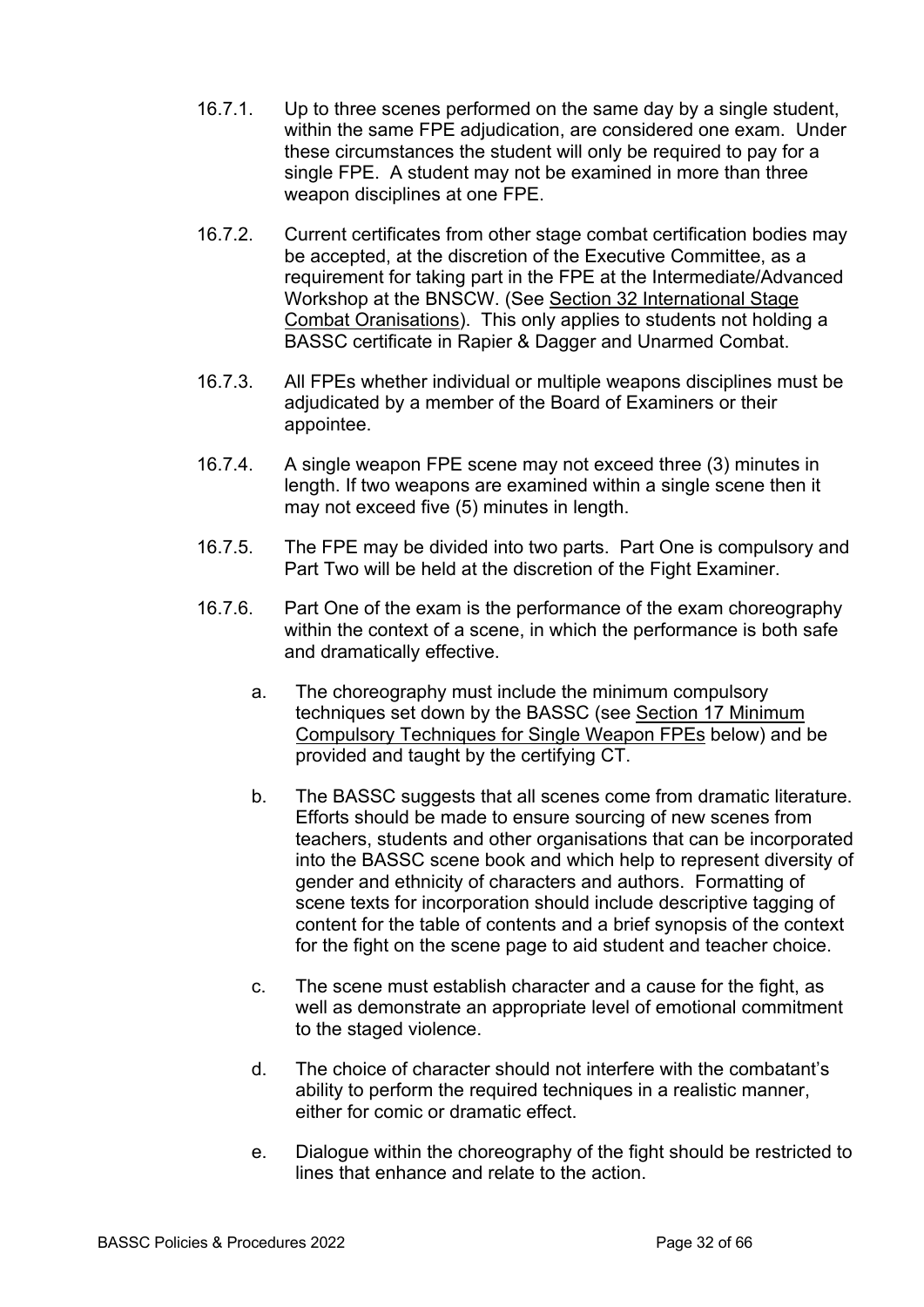- 16.7.1. Up to three scenes performed on the same day by a single student, within the same FPE adjudication, are considered one exam. Under these circumstances the student will only be required to pay for a single FPE. A student may not be examined in more than three weapon disciplines at one FPE.
- 16.7.2. Current certificates from other stage combat certification bodies may be accepted, at the discretion of the Executive Committee, as a requirement for taking part in the FPE at the Intermediate/Advanced Workshop at the BNSCW. (See Section 32 International Stage Combat Oranisations). This only applies to students not holding a BASSC certificate in Rapier & Dagger and Unarmed Combat.
- 16.7.3. All FPEs whether individual or multiple weapons disciplines must be adjudicated by a member of the Board of Examiners or their appointee.
- 16.7.4. A single weapon FPE scene may not exceed three (3) minutes in length. If two weapons are examined within a single scene then it may not exceed five (5) minutes in length.
- 16.7.5. The FPE may be divided into two parts. Part One is compulsory and Part Two will be held at the discretion of the Fight Examiner.
- 16.7.6. Part One of the exam is the performance of the exam choreography within the context of a scene, in which the performance is both safe and dramatically effective.
	- a. The choreography must include the minimum compulsory techniques set down by the BASSC (see Section 17 Minimum Compulsory Techniques for Single Weapon FPEs below) and be provided and taught by the certifying CT.
	- b. The BASSC suggests that all scenes come from dramatic literature. Efforts should be made to ensure sourcing of new scenes from teachers, students and other organisations that can be incorporated into the BASSC scene book and which help to represent diversity of gender and ethnicity of characters and authors. Formatting of scene texts for incorporation should include descriptive tagging of content for the table of contents and a brief synopsis of the context for the fight on the scene page to aid student and teacher choice.
	- c. The scene must establish character and a cause for the fight, as well as demonstrate an appropriate level of emotional commitment to the staged violence.
	- d. The choice of character should not interfere with the combatant's ability to perform the required techniques in a realistic manner, either for comic or dramatic effect.
	- e. Dialogue within the choreography of the fight should be restricted to lines that enhance and relate to the action.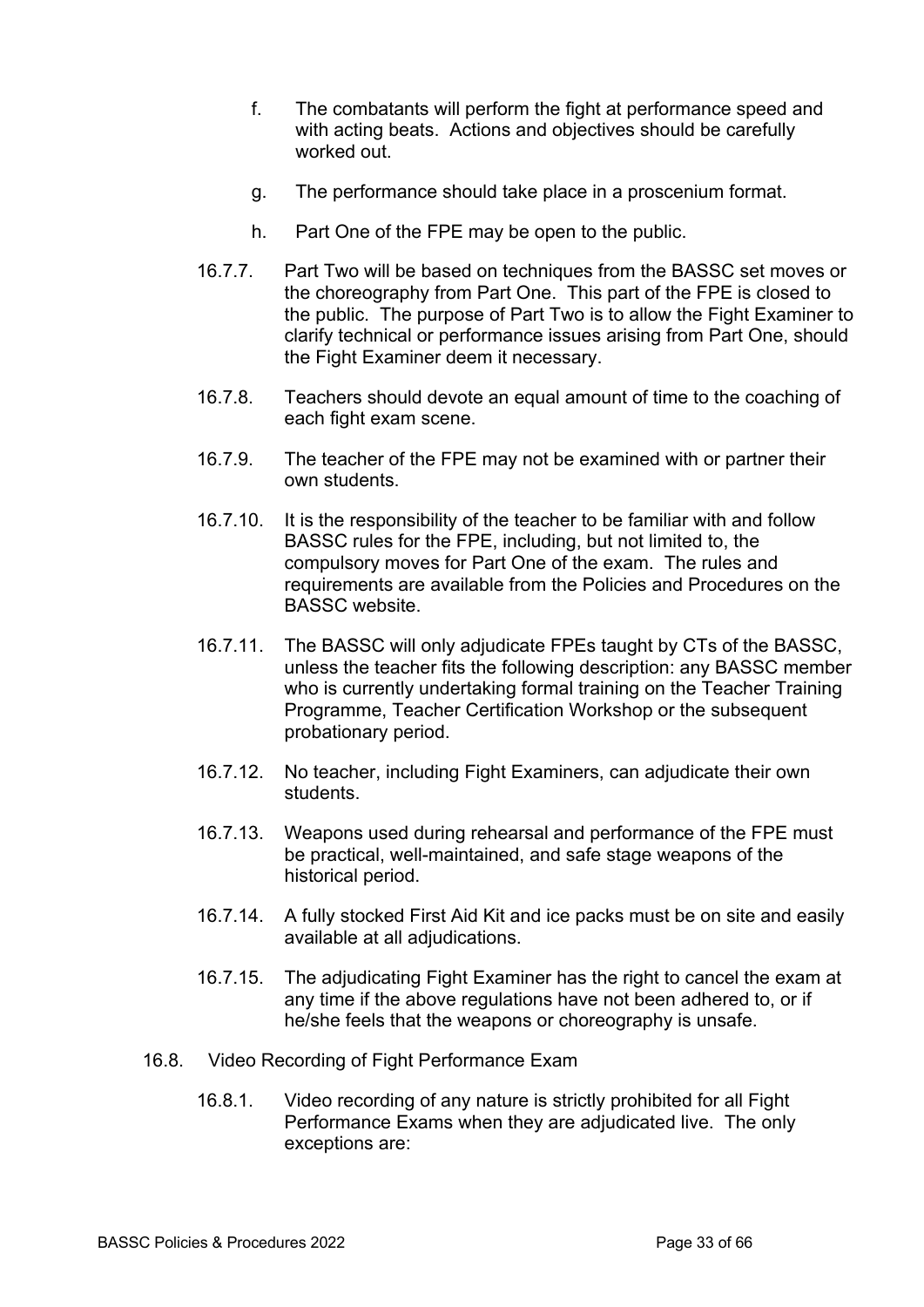- f. The combatants will perform the fight at performance speed and with acting beats. Actions and objectives should be carefully worked out.
- g. The performance should take place in a proscenium format.
- h. Part One of the FPE may be open to the public.
- 16.7.7. Part Two will be based on techniques from the BASSC set moves or the choreography from Part One. This part of the FPE is closed to the public. The purpose of Part Two is to allow the Fight Examiner to clarify technical or performance issues arising from Part One, should the Fight Examiner deem it necessary.
- 16.7.8. Teachers should devote an equal amount of time to the coaching of each fight exam scene.
- 16.7.9. The teacher of the FPE may not be examined with or partner their own students.
- 16.7.10. It is the responsibility of the teacher to be familiar with and follow BASSC rules for the FPE, including, but not limited to, the compulsory moves for Part One of the exam. The rules and requirements are available from the Policies and Procedures on the BASSC website.
- 16.7.11. The BASSC will only adjudicate FPEs taught by CTs of the BASSC, unless the teacher fits the following description: any BASSC member who is currently undertaking formal training on the Teacher Training Programme, Teacher Certification Workshop or the subsequent probationary period.
- 16.7.12. No teacher, including Fight Examiners, can adjudicate their own students.
- 16.7.13. Weapons used during rehearsal and performance of the FPE must be practical, well-maintained, and safe stage weapons of the historical period.
- 16.7.14. A fully stocked First Aid Kit and ice packs must be on site and easily available at all adjudications.
- 16.7.15. The adjudicating Fight Examiner has the right to cancel the exam at any time if the above regulations have not been adhered to, or if he/she feels that the weapons or choreography is unsafe.
- 16.8. Video Recording of Fight Performance Exam
	- 16.8.1. Video recording of any nature is strictly prohibited for all Fight Performance Exams when they are adjudicated live. The only exceptions are: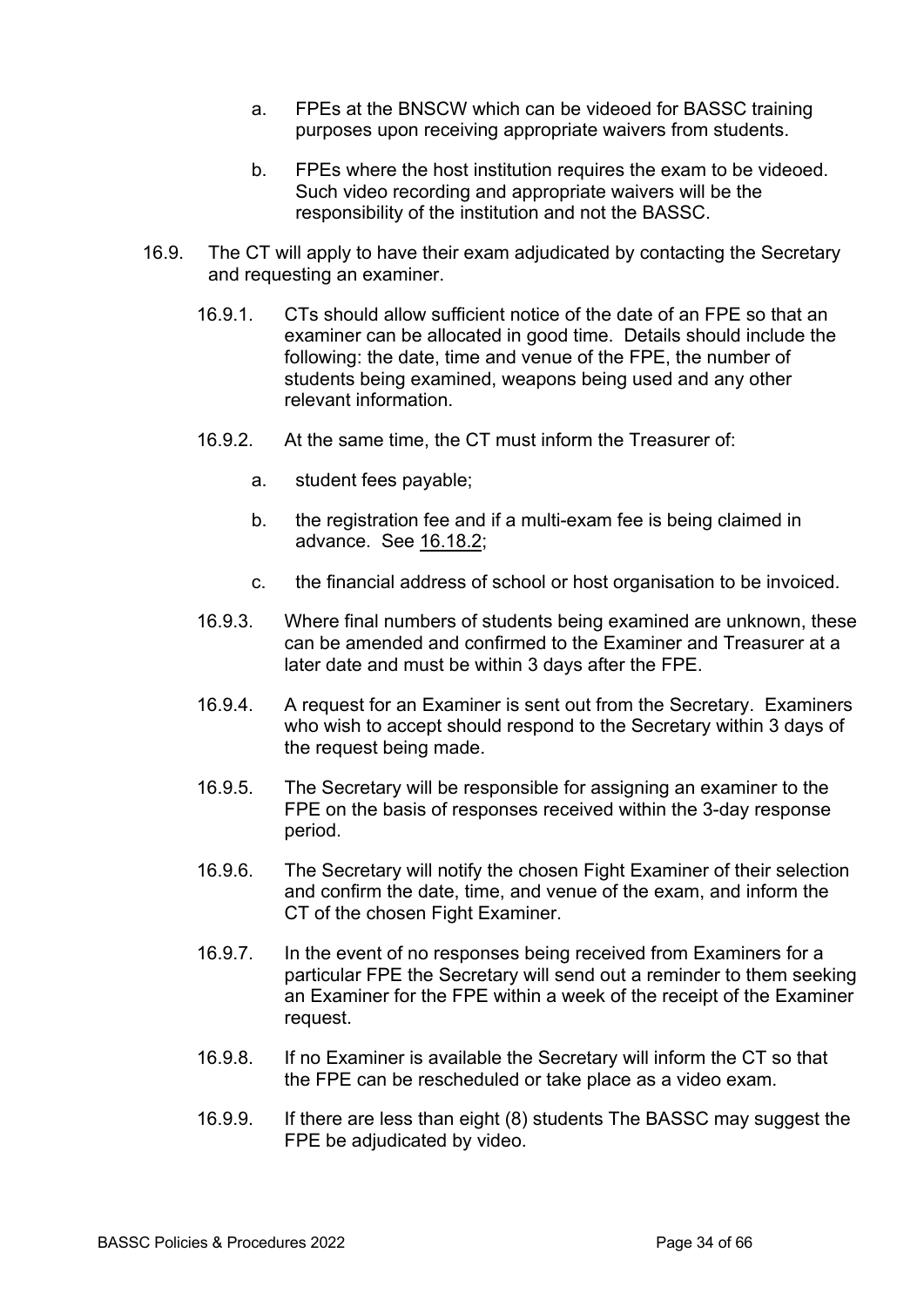- a. FPEs at the BNSCW which can be videoed for BASSC training purposes upon receiving appropriate waivers from students.
- b. FPEs where the host institution requires the exam to be videoed. Such video recording and appropriate waivers will be the responsibility of the institution and not the BASSC.
- 16.9. The CT will apply to have their exam adjudicated by contacting the Secretary and requesting an examiner.
	- 16.9.1. CTs should allow sufficient notice of the date of an FPE so that an examiner can be allocated in good time. Details should include the following: the date, time and venue of the FPE, the number of students being examined, weapons being used and any other relevant information.
	- 16.9.2. At the same time, the CT must inform the Treasurer of:
		- a. student fees payable;
		- b. the registration fee and if a multi-exam fee is being claimed in advance. See 16.18.2;
		- c. the financial address of school or host organisation to be invoiced.
	- 16.9.3. Where final numbers of students being examined are unknown, these can be amended and confirmed to the Examiner and Treasurer at a later date and must be within 3 days after the FPE.
	- 16.9.4. A request for an Examiner is sent out from the Secretary. Examiners who wish to accept should respond to the Secretary within 3 days of the request being made.
	- 16.9.5. The Secretary will be responsible for assigning an examiner to the FPE on the basis of responses received within the 3-day response period.
	- 16.9.6. The Secretary will notify the chosen Fight Examiner of their selection and confirm the date, time, and venue of the exam, and inform the CT of the chosen Fight Examiner.
	- 16.9.7. In the event of no responses being received from Examiners for a particular FPE the Secretary will send out a reminder to them seeking an Examiner for the FPE within a week of the receipt of the Examiner request.
	- 16.9.8. If no Examiner is available the Secretary will inform the CT so that the FPE can be rescheduled or take place as a video exam.
	- 16.9.9. If there are less than eight (8) students The BASSC may suggest the FPE be adjudicated by video.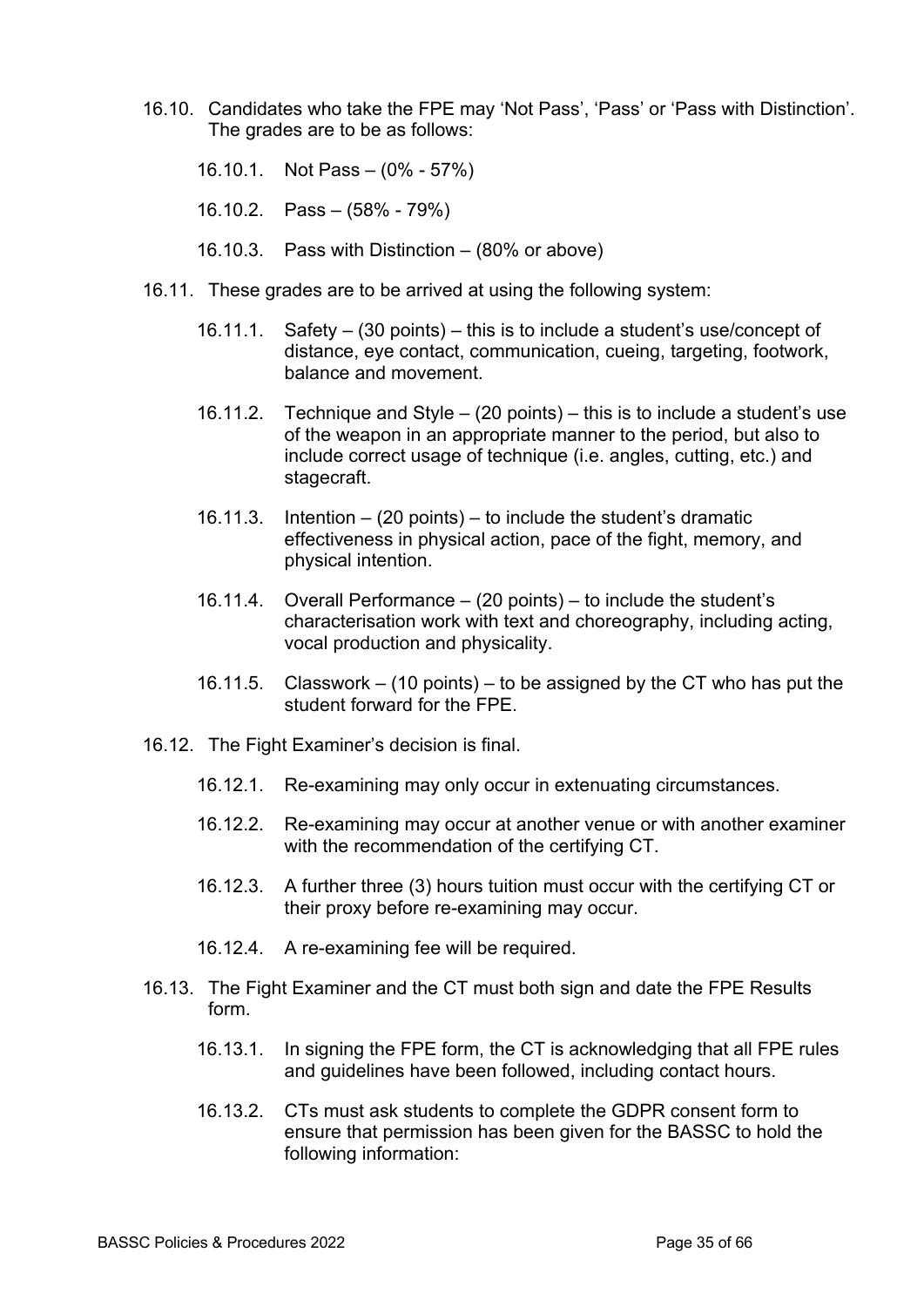- 16.10. Candidates who take the FPE may 'Not Pass', 'Pass' or 'Pass with Distinction'. The grades are to be as follows:
	- 16.10.1. Not Pass (0% 57%)
	- 16.10.2. Pass (58% 79%)
	- 16.10.3. Pass with Distinction (80% or above)
- 16.11. These grades are to be arrived at using the following system:
	- 16.11.1. Safety (30 points) this is to include a student's use/concept of distance, eye contact, communication, cueing, targeting, footwork, balance and movement.
	- 16.11.2. Technique and Style (20 points) this is to include a student's use of the weapon in an appropriate manner to the period, but also to include correct usage of technique (i.e. angles, cutting, etc.) and stagecraft.
	- 16.11.3. Intention (20 points) to include the student's dramatic effectiveness in physical action, pace of the fight, memory, and physical intention.
	- 16.11.4. Overall Performance (20 points) to include the student's characterisation work with text and choreography, including acting, vocal production and physicality.
	- 16.11.5. Classwork (10 points) to be assigned by the CT who has put the student forward for the FPE.
- 16.12. The Fight Examiner's decision is final.
	- 16.12.1. Re-examining may only occur in extenuating circumstances.
	- 16.12.2. Re-examining may occur at another venue or with another examiner with the recommendation of the certifying CT.
	- 16.12.3. A further three (3) hours tuition must occur with the certifying CT or their proxy before re-examining may occur.
	- 16.12.4. A re-examining fee will be required.
- 16.13. The Fight Examiner and the CT must both sign and date the FPE Results form.
	- 16.13.1. In signing the FPE form, the CT is acknowledging that all FPE rules and guidelines have been followed, including contact hours.
	- 16.13.2. CTs must ask students to complete the GDPR consent form to ensure that permission has been given for the BASSC to hold the following information: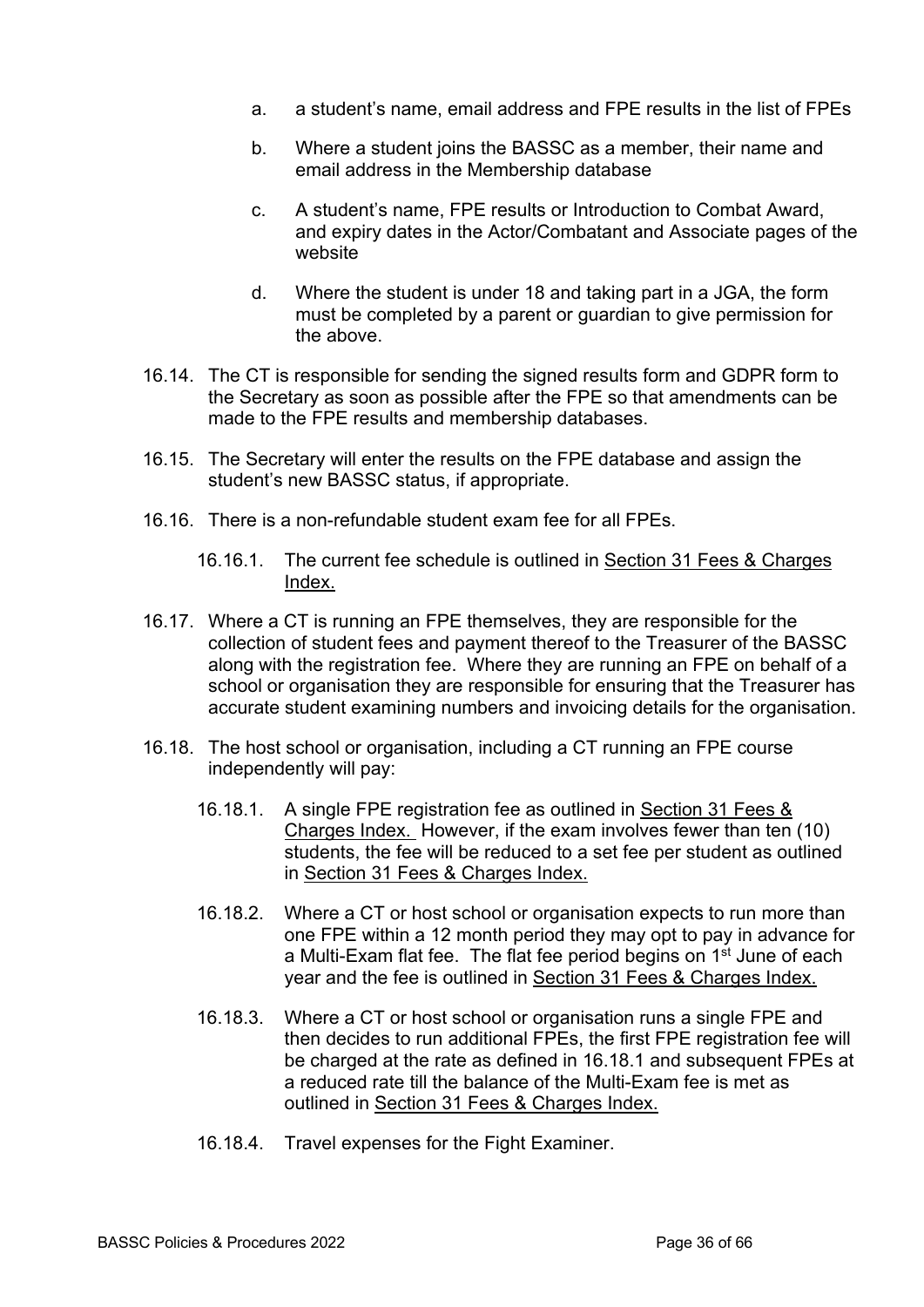- a. a student's name, email address and FPE results in the list of FPEs
- b. Where a student joins the BASSC as a member, their name and email address in the Membership database
- c. A student's name, FPE results or Introduction to Combat Award, and expiry dates in the Actor/Combatant and Associate pages of the website
- d. Where the student is under 18 and taking part in a JGA, the form must be completed by a parent or guardian to give permission for the above.
- 16.14. The CT is responsible for sending the signed results form and GDPR form to the Secretary as soon as possible after the FPE so that amendments can be made to the FPE results and membership databases.
- 16.15. The Secretary will enter the results on the FPE database and assign the student's new BASSC status, if appropriate.
- 16.16. There is a non-refundable student exam fee for all FPEs.
	- 16.16.1. The current fee schedule is outlined in Section 31 Fees & Charges Index.
- 16.17. Where a CT is running an FPE themselves, they are responsible for the collection of student fees and payment thereof to the Treasurer of the BASSC along with the registration fee. Where they are running an FPE on behalf of a school or organisation they are responsible for ensuring that the Treasurer has accurate student examining numbers and invoicing details for the organisation.
- 16.18. The host school or organisation, including a CT running an FPE course independently will pay:
	- 16.18.1. A single FPE registration fee as outlined in Section 31 Fees & Charges Index. However, if the exam involves fewer than ten (10) students, the fee will be reduced to a set fee per student as outlined in Section 31 Fees & Charges Index.
	- 16.18.2. Where a CT or host school or organisation expects to run more than one FPE within a 12 month period they may opt to pay in advance for a Multi-Exam flat fee. The flat fee period begins on 1<sup>st</sup> June of each year and the fee is outlined in Section 31 Fees & Charges Index.
	- 16.18.3. Where a CT or host school or organisation runs a single FPE and then decides to run additional FPEs, the first FPE registration fee will be charged at the rate as defined in 16.18.1 and subsequent FPEs at a reduced rate till the balance of the Multi-Exam fee is met as outlined in Section 31 Fees & Charges Index.
	- 16.18.4. Travel expenses for the Fight Examiner.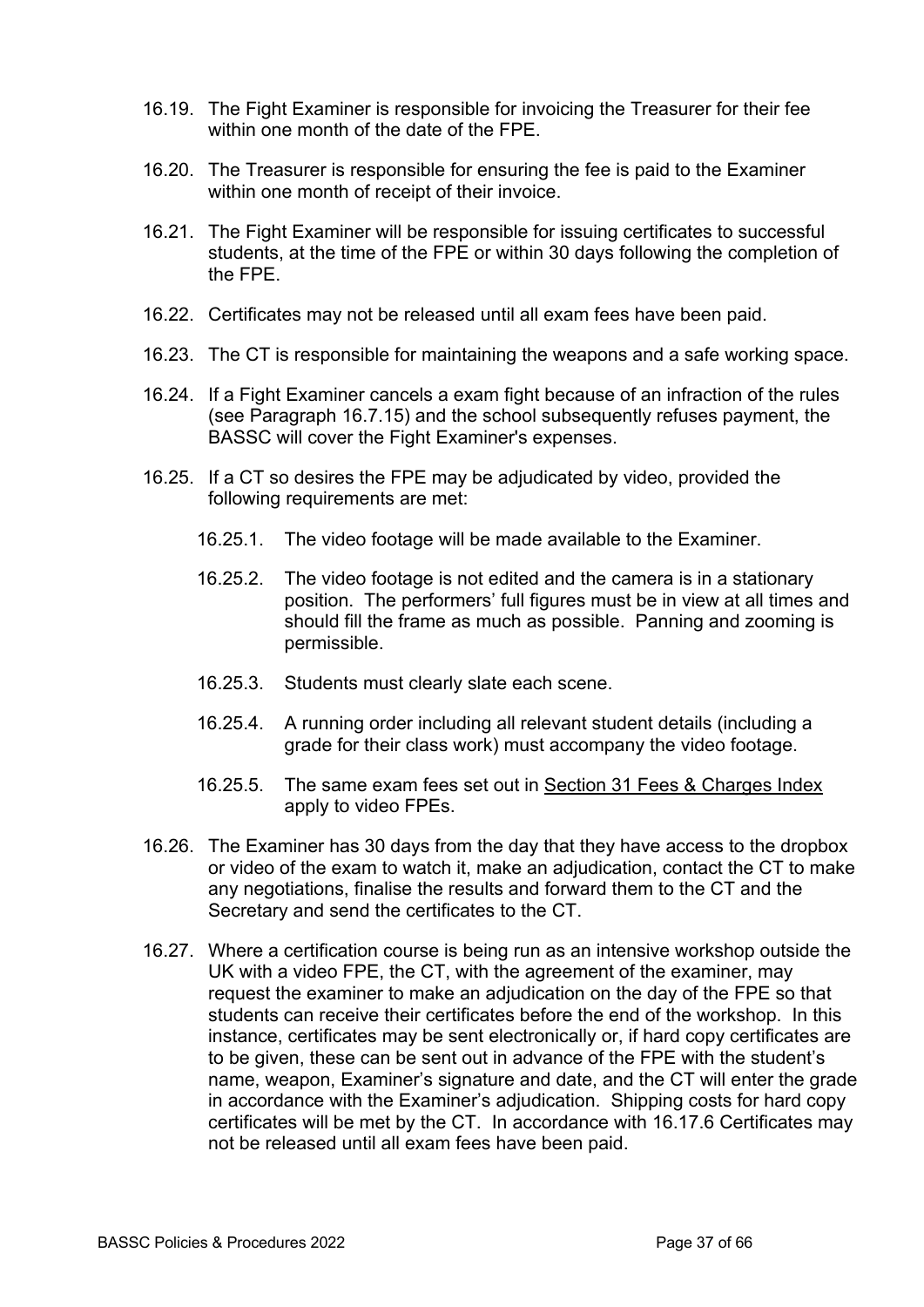- 16.19. The Fight Examiner is responsible for invoicing the Treasurer for their fee within one month of the date of the FPE.
- 16.20. The Treasurer is responsible for ensuring the fee is paid to the Examiner within one month of receipt of their invoice.
- 16.21. The Fight Examiner will be responsible for issuing certificates to successful students, at the time of the FPE or within 30 days following the completion of the FPE.
- 16.22. Certificates may not be released until all exam fees have been paid.
- 16.23. The CT is responsible for maintaining the weapons and a safe working space.
- 16.24. If a Fight Examiner cancels a exam fight because of an infraction of the rules (see Paragraph 16.7.15) and the school subsequently refuses payment, the BASSC will cover the Fight Examiner's expenses.
- 16.25. If a CT so desires the FPE may be adjudicated by video, provided the following requirements are met:
	- 16.25.1. The video footage will be made available to the Examiner.
	- 16.25.2. The video footage is not edited and the camera is in a stationary position. The performers' full figures must be in view at all times and should fill the frame as much as possible. Panning and zooming is permissible.
	- 16.25.3. Students must clearly slate each scene.
	- 16.25.4. A running order including all relevant student details (including a grade for their class work) must accompany the video footage.
	- 16.25.5. The same exam fees set out in Section 31 Fees & Charges Index apply to video FPEs.
- 16.26. The Examiner has 30 days from the day that they have access to the dropbox or video of the exam to watch it, make an adjudication, contact the CT to make any negotiations, finalise the results and forward them to the CT and the Secretary and send the certificates to the CT.
- 16.27. Where a certification course is being run as an intensive workshop outside the UK with a video FPE, the CT, with the agreement of the examiner, may request the examiner to make an adjudication on the day of the FPE so that students can receive their certificates before the end of the workshop. In this instance, certificates may be sent electronically or, if hard copy certificates are to be given, these can be sent out in advance of the FPE with the student's name, weapon, Examiner's signature and date, and the CT will enter the grade in accordance with the Examiner's adjudication. Shipping costs for hard copy certificates will be met by the CT. In accordance with 16.17.6 Certificates may not be released until all exam fees have been paid.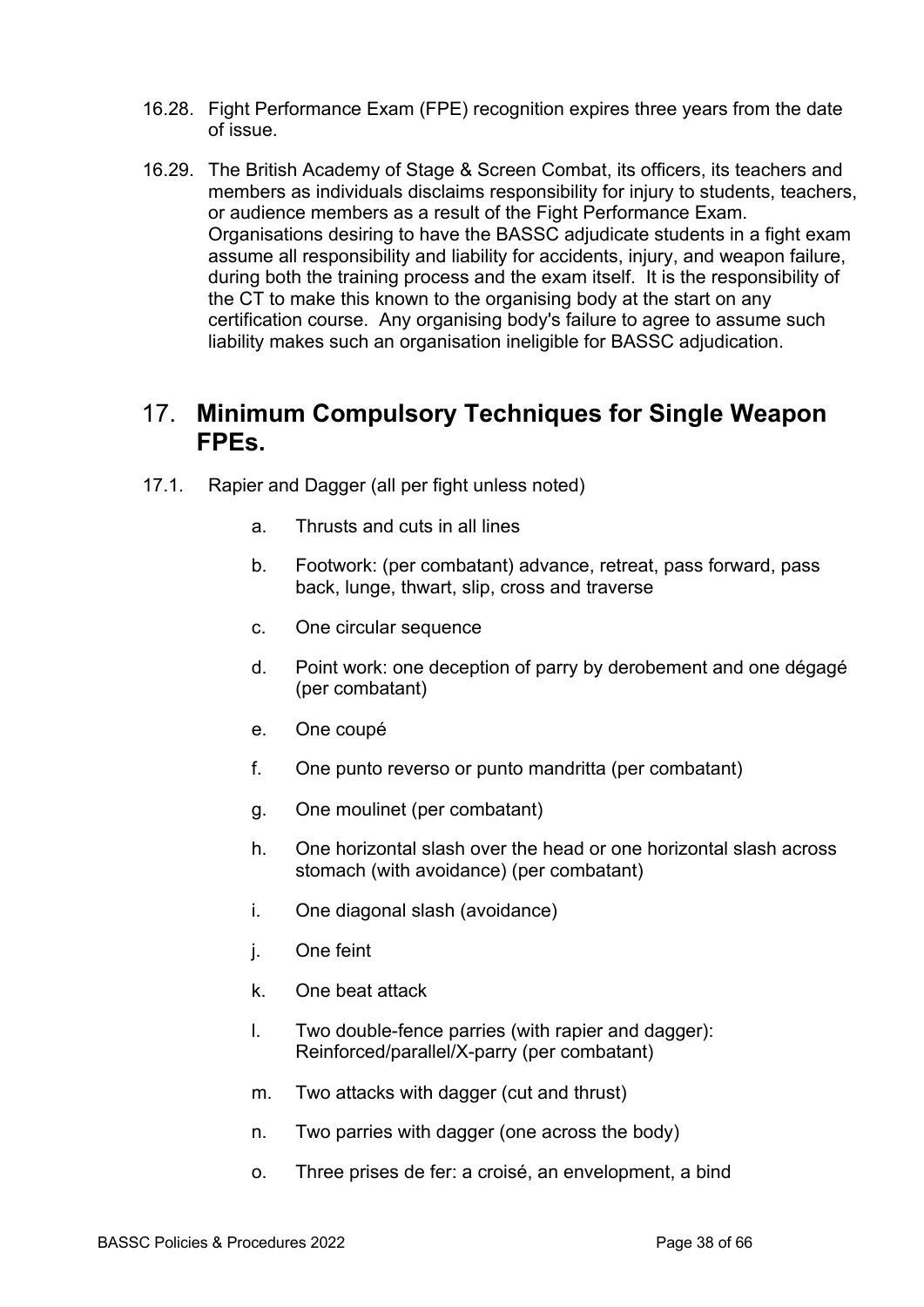- 16.28. Fight Performance Exam (FPE) recognition expires three years from the date of issue.
- 16.29. The British Academy of Stage & Screen Combat, its officers, its teachers and members as individuals disclaims responsibility for injury to students, teachers, or audience members as a result of the Fight Performance Exam. Organisations desiring to have the BASSC adjudicate students in a fight exam assume all responsibility and liability for accidents, injury, and weapon failure, during both the training process and the exam itself. It is the responsibility of the CT to make this known to the organising body at the start on any certification course. Any organising body's failure to agree to assume such liability makes such an organisation ineligible for BASSC adjudication.

### 17. **Minimum Compulsory Techniques for Single Weapon FPEs.**

- 17.1. Rapier and Dagger (all per fight unless noted)
	- a. Thrusts and cuts in all lines
	- b. Footwork: (per combatant) advance, retreat, pass forward, pass back, lunge, thwart, slip, cross and traverse
	- c. One circular sequence
	- d. Point work: one deception of parry by derobement and one dégagé (per combatant)
	- e. One coupé
	- f. One punto reverso or punto mandritta (per combatant)
	- g. One moulinet (per combatant)
	- h. One horizontal slash over the head or one horizontal slash across stomach (with avoidance) (per combatant)
	- i. One diagonal slash (avoidance)
	- j. One feint
	- k. One beat attack
	- l. Two double-fence parries (with rapier and dagger): Reinforced/parallel/X-parry (per combatant)
	- m. Two attacks with dagger (cut and thrust)
	- n. Two parries with dagger (one across the body)
	- o. Three prises de fer: a croisé, an envelopment, a bind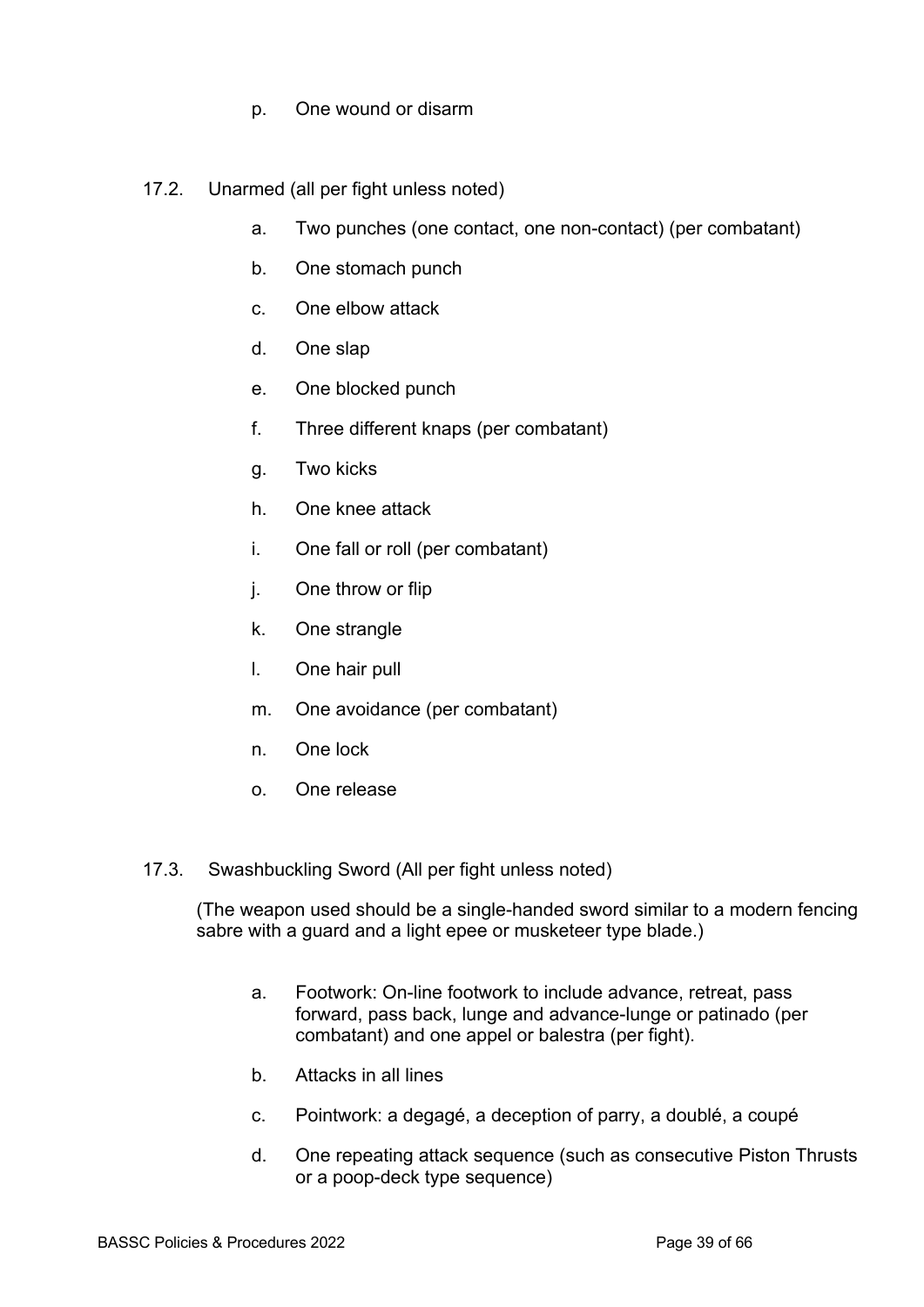- p. One wound or disarm
- 17.2. Unarmed (all per fight unless noted)
	- a. Two punches (one contact, one non-contact) (per combatant)
	- b. One stomach punch
	- c. One elbow attack
	- d. One slap
	- e. One blocked punch
	- f. Three different knaps (per combatant)
	- g. Two kicks
	- h. One knee attack
	- i. One fall or roll (per combatant)
	- j. One throw or flip
	- k. One strangle
	- l. One hair pull
	- m. One avoidance (per combatant)
	- n. One lock
	- o. One release
- 17.3. Swashbuckling Sword (All per fight unless noted)

(The weapon used should be a single-handed sword similar to a modern fencing sabre with a guard and a light epee or musketeer type blade.)

- a. Footwork: On-line footwork to include advance, retreat, pass forward, pass back, lunge and advance-lunge or patinado (per combatant) and one appel or balestra (per fight).
- b. Attacks in all lines
- c. Pointwork: a degagé, a deception of parry, a doublé, a coupé
- d. One repeating attack sequence (such as consecutive Piston Thrusts or a poop-deck type sequence)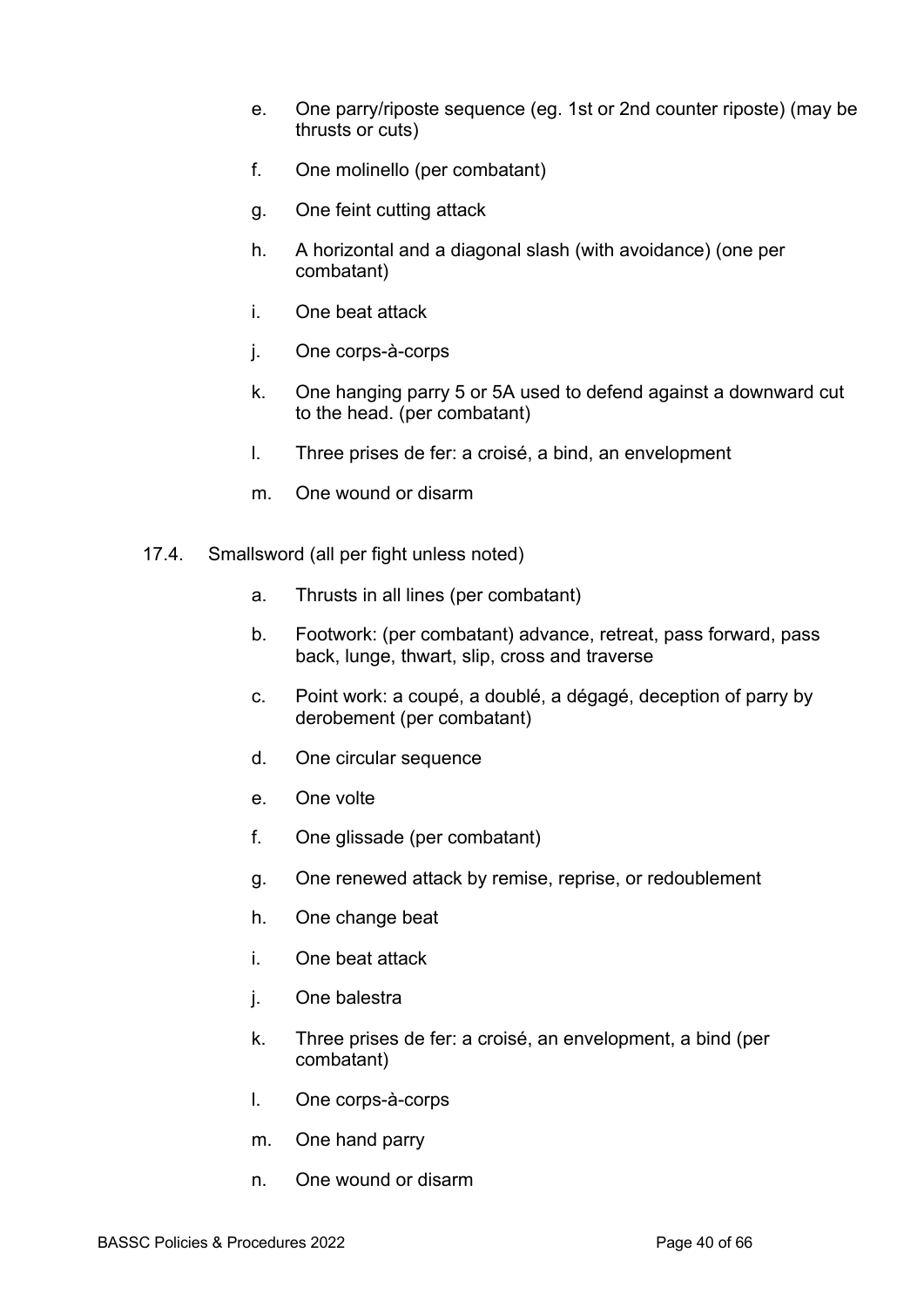- e. One parry/riposte sequence (eg. 1st or 2nd counter riposte) (may be thrusts or cuts)
- f. One molinello (per combatant)
- g. One feint cutting attack
- h. A horizontal and a diagonal slash (with avoidance) (one per combatant)
- i. One beat attack
- j. One corps-à-corps
- k. One hanging parry 5 or 5A used to defend against a downward cut to the head. (per combatant)
- l. Three prises de fer: a croisé, a bind, an envelopment
- m. One wound or disarm
- 17.4. Smallsword (all per fight unless noted)
	- a. Thrusts in all lines (per combatant)
	- b. Footwork: (per combatant) advance, retreat, pass forward, pass back, lunge, thwart, slip, cross and traverse
	- c. Point work: a coupé, a doublé, a dégagé, deception of parry by derobement (per combatant)
	- d. One circular sequence
	- e. One volte
	- f. One glissade (per combatant)
	- g. One renewed attack by remise, reprise, or redoublement
	- h. One change beat
	- i. One beat attack
	- j. One balestra
	- k. Three prises de fer: a croisé, an envelopment, a bind (per combatant)
	- l. One corps-à-corps
	- m. One hand parry
	- n. One wound or disarm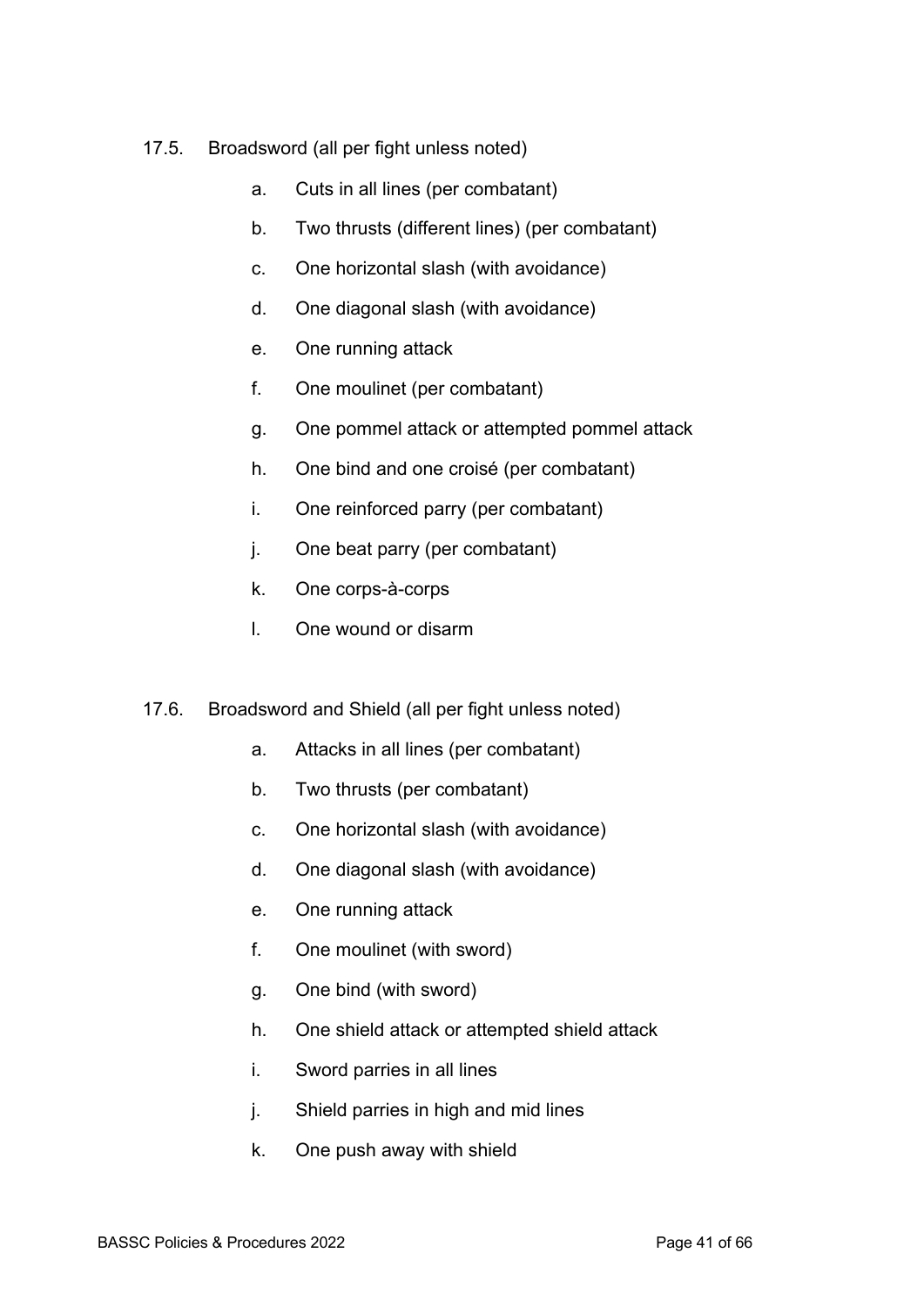- 17.5. Broadsword (all per fight unless noted)
	- a. Cuts in all lines (per combatant)
	- b. Two thrusts (different lines) (per combatant)
	- c. One horizontal slash (with avoidance)
	- d. One diagonal slash (with avoidance)
	- e. One running attack
	- f. One moulinet (per combatant)
	- g. One pommel attack or attempted pommel attack
	- h. One bind and one croisé (per combatant)
	- i. One reinforced parry (per combatant)
	- j. One beat parry (per combatant)
	- k. One corps-à-corps
	- l. One wound or disarm
- 17.6. Broadsword and Shield (all per fight unless noted)
	- a. Attacks in all lines (per combatant)
	- b. Two thrusts (per combatant)
	- c. One horizontal slash (with avoidance)
	- d. One diagonal slash (with avoidance)
	- e. One running attack
	- f. One moulinet (with sword)
	- g. One bind (with sword)
	- h. One shield attack or attempted shield attack
	- i. Sword parries in all lines
	- j. Shield parries in high and mid lines
	- k. One push away with shield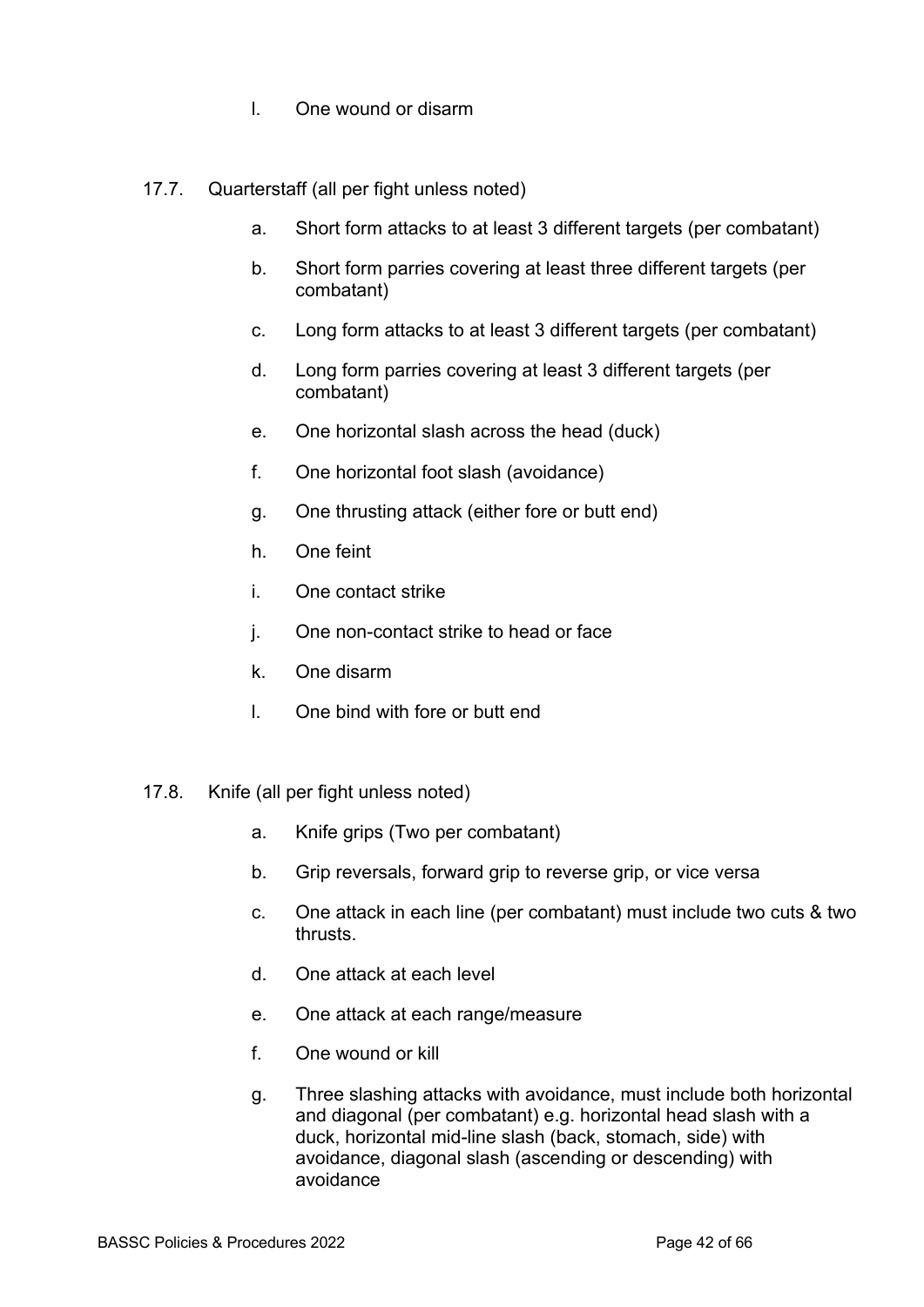- l. One wound or disarm
- 17.7. Quarterstaff (all per fight unless noted)
	- a. Short form attacks to at least 3 different targets (per combatant)
	- b. Short form parries covering at least three different targets (per combatant)
	- c. Long form attacks to at least 3 different targets (per combatant)
	- d. Long form parries covering at least 3 different targets (per combatant)
	- e. One horizontal slash across the head (duck)
	- f. One horizontal foot slash (avoidance)
	- g. One thrusting attack (either fore or butt end)
	- h. One feint
	- i. One contact strike
	- j. One non-contact strike to head or face
	- k. One disarm
	- l. One bind with fore or butt end
- 17.8. Knife (all per fight unless noted)
	- a. Knife grips (Two per combatant)
	- b. Grip reversals, forward grip to reverse grip, or vice versa
	- c. One attack in each line (per combatant) must include two cuts & two thrusts.
	- d. One attack at each level
	- e. One attack at each range/measure
	- f. One wound or kill
	- g. Three slashing attacks with avoidance, must include both horizontal and diagonal (per combatant) e.g. horizontal head slash with a duck, horizontal mid-line slash (back, stomach, side) with avoidance, diagonal slash (ascending or descending) with avoidance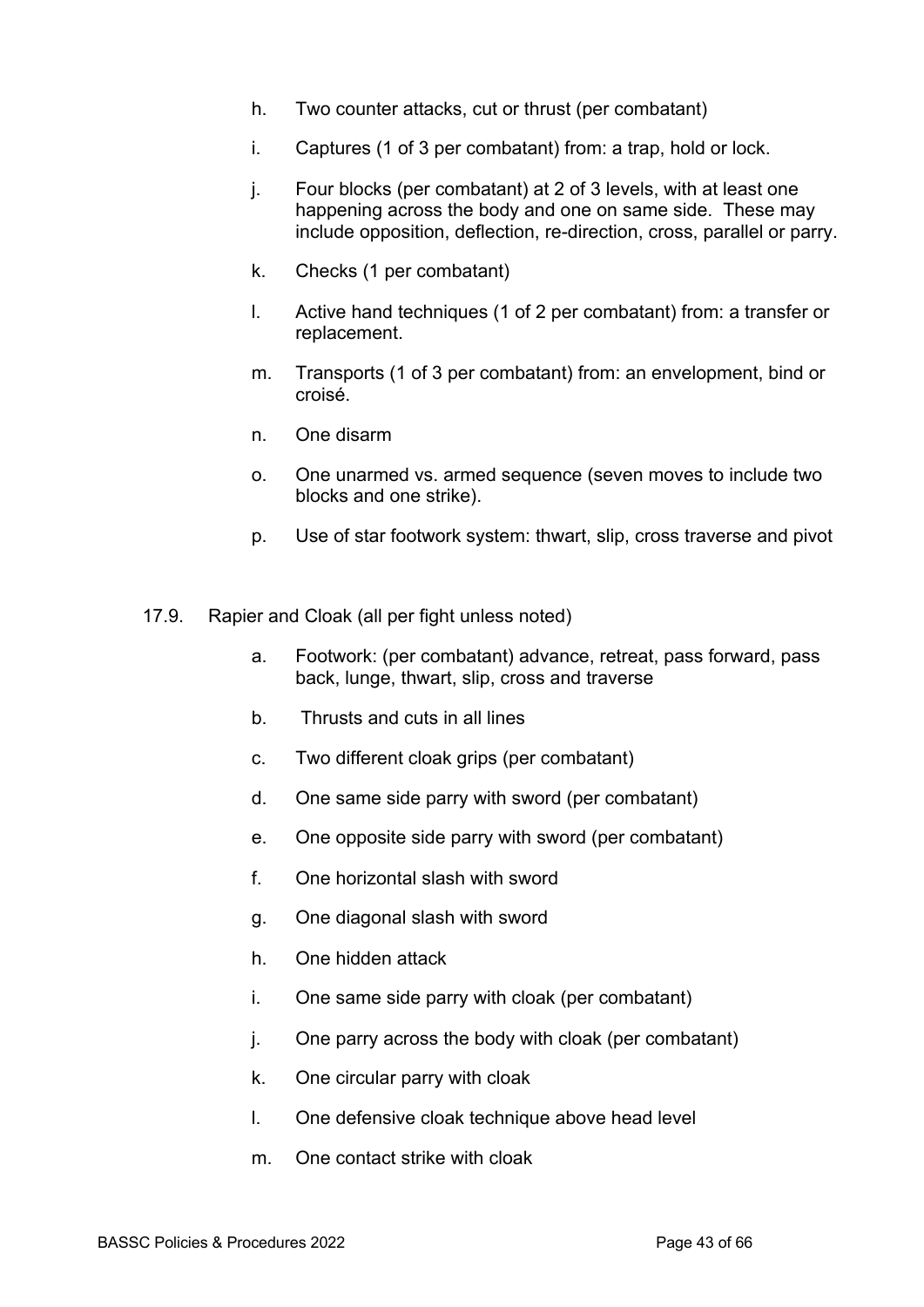- h. Two counter attacks, cut or thrust (per combatant)
- i. Captures (1 of 3 per combatant) from: a trap, hold or lock.
- j. Four blocks (per combatant) at 2 of 3 levels, with at least one happening across the body and one on same side. These may include opposition, deflection, re-direction, cross, parallel or parry.
- k. Checks (1 per combatant)
- l. Active hand techniques (1 of 2 per combatant) from: a transfer or replacement.
- m. Transports (1 of 3 per combatant) from: an envelopment, bind or croisé.
- n. One disarm
- o. One unarmed vs. armed sequence (seven moves to include two blocks and one strike).
- p. Use of star footwork system: thwart, slip, cross traverse and pivot
- 17.9. Rapier and Cloak (all per fight unless noted)
	- a. Footwork: (per combatant) advance, retreat, pass forward, pass back, lunge, thwart, slip, cross and traverse
	- b. Thrusts and cuts in all lines
	- c. Two different cloak grips (per combatant)
	- d. One same side parry with sword (per combatant)
	- e. One opposite side parry with sword (per combatant)
	- f. One horizontal slash with sword
	- g. One diagonal slash with sword
	- h. One hidden attack
	- i. One same side parry with cloak (per combatant)
	- j. One parry across the body with cloak (per combatant)
	- k. One circular parry with cloak
	- l. One defensive cloak technique above head level
	- m. One contact strike with cloak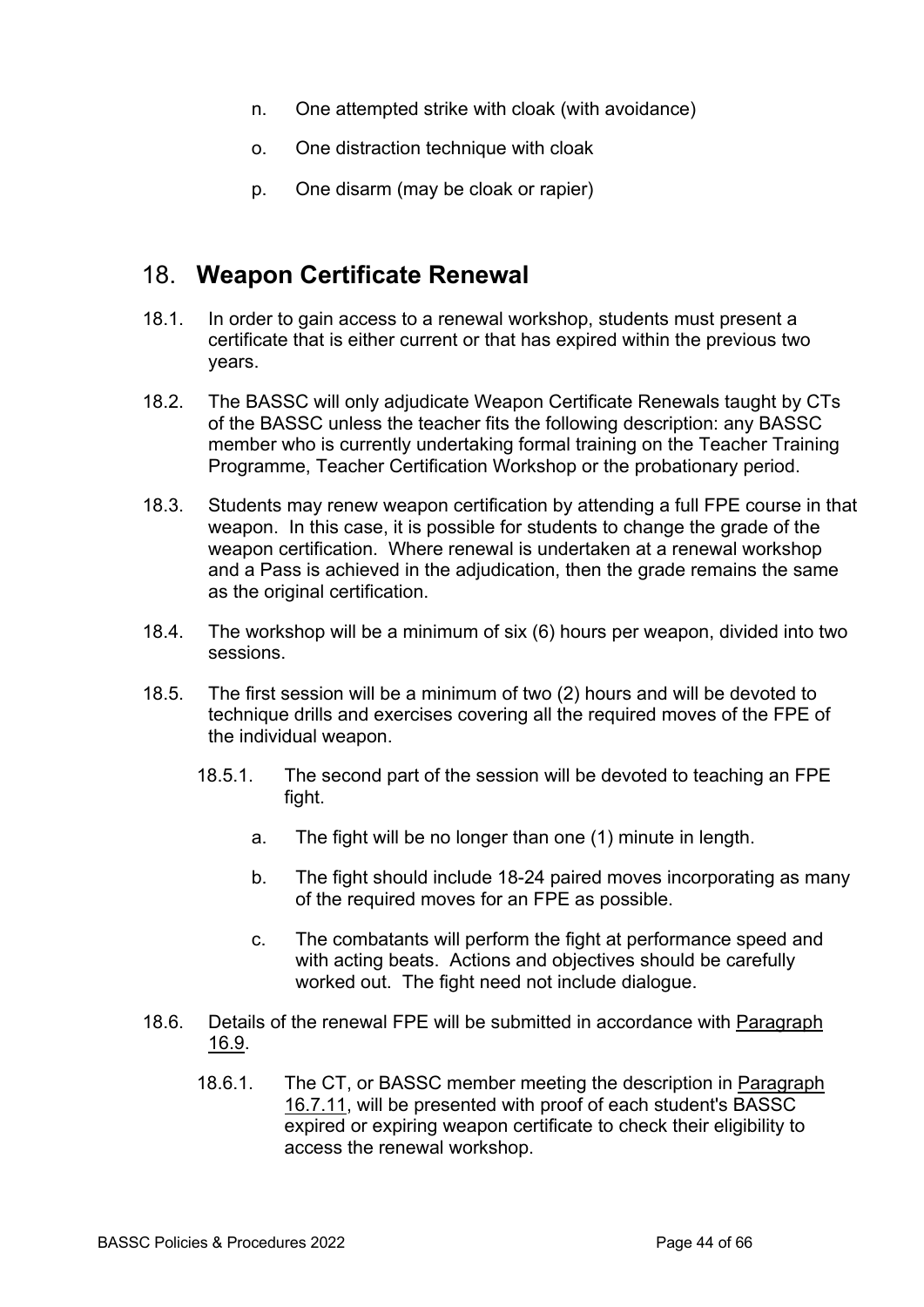- n. One attempted strike with cloak (with avoidance)
- o. One distraction technique with cloak
- p. One disarm (may be cloak or rapier)

### 18. **Weapon Certificate Renewal**

- 18.1. In order to gain access to a renewal workshop, students must present a certificate that is either current or that has expired within the previous two years.
- 18.2. The BASSC will only adjudicate Weapon Certificate Renewals taught by CTs of the BASSC unless the teacher fits the following description: any BASSC member who is currently undertaking formal training on the Teacher Training Programme, Teacher Certification Workshop or the probationary period.
- 18.3. Students may renew weapon certification by attending a full FPE course in that weapon. In this case, it is possible for students to change the grade of the weapon certification. Where renewal is undertaken at a renewal workshop and a Pass is achieved in the adjudication, then the grade remains the same as the original certification.
- 18.4. The workshop will be a minimum of six (6) hours per weapon, divided into two sessions.
- 18.5. The first session will be a minimum of two (2) hours and will be devoted to technique drills and exercises covering all the required moves of the FPE of the individual weapon.
	- 18.5.1. The second part of the session will be devoted to teaching an FPE fight.
		- a. The fight will be no longer than one (1) minute in length.
		- b. The fight should include 18-24 paired moves incorporating as many of the required moves for an FPE as possible.
		- c. The combatants will perform the fight at performance speed and with acting beats. Actions and objectives should be carefully worked out. The fight need not include dialogue.
- 18.6. Details of the renewal FPE will be submitted in accordance with Paragraph 16.9.
	- 18.6.1. The CT, or BASSC member meeting the description in Paragraph 16.7.11, will be presented with proof of each student's BASSC expired or expiring weapon certificate to check their eligibility to access the renewal workshop.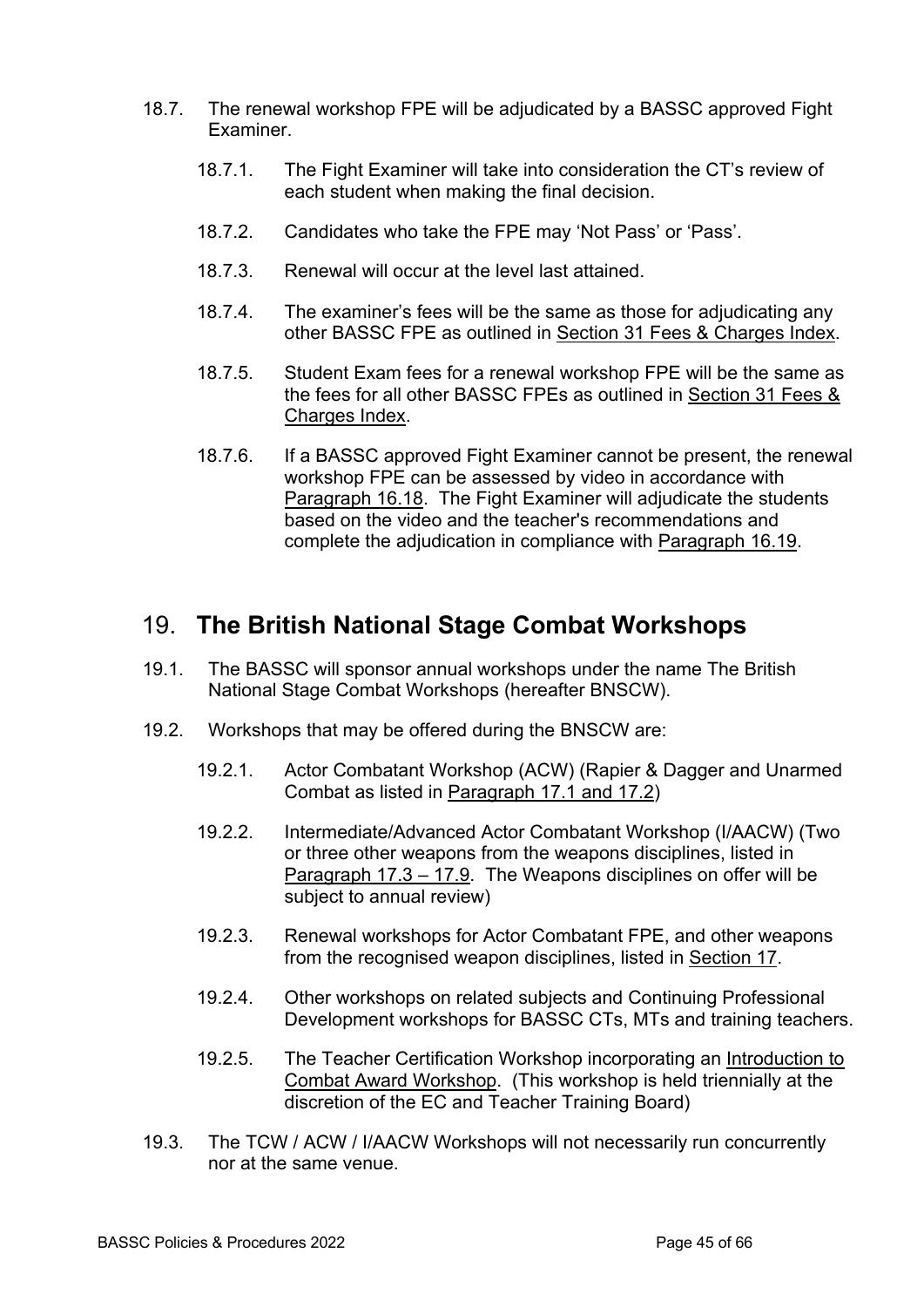- 18.7. The renewal workshop FPE will be adjudicated by a BASSC approved Fight Examiner.
	- 18.7.1. The Fight Examiner will take into consideration the CT's review of each student when making the final decision.
	- 18.7.2. Candidates who take the FPE may 'Not Pass' or 'Pass'.
	- 18.7.3. Renewal will occur at the level last attained.
	- 18.7.4. The examiner's fees will be the same as those for adjudicating any other BASSC FPE as outlined in Section 31 Fees & Charges Index.
	- 18.7.5. Student Exam fees for a renewal workshop FPE will be the same as the fees for all other BASSC FPEs as outlined in Section 31 Fees & Charges Index.
	- 18.7.6. If a BASSC approved Fight Examiner cannot be present, the renewal workshop FPE can be assessed by video in accordance with Paragraph 16.18. The Fight Examiner will adjudicate the students based on the video and the teacher's recommendations and complete the adjudication in compliance with Paragraph 16.19.

## 19. **The British National Stage Combat Workshops**

- 19.1. The BASSC will sponsor annual workshops under the name The British National Stage Combat Workshops (hereafter BNSCW).
- 19.2. Workshops that may be offered during the BNSCW are:
	- 19.2.1. Actor Combatant Workshop (ACW) (Rapier & Dagger and Unarmed Combat as listed in Paragraph 17.1 and 17.2)
	- 19.2.2. Intermediate/Advanced Actor Combatant Workshop (I/AACW) (Two or three other weapons from the weapons disciplines, listed in Paragraph 17.3 – 17.9. The Weapons disciplines on offer will be subject to annual review)
	- 19.2.3. Renewal workshops for Actor Combatant FPE, and other weapons from the recognised weapon disciplines, listed in Section 17.
	- 19.2.4. Other workshops on related subjects and Continuing Professional Development workshops for BASSC CTs, MTs and training teachers.
	- 19.2.5. The Teacher Certification Workshop incorporating an Introduction to Combat Award Workshop. (This workshop is held triennially at the discretion of the EC and Teacher Training Board)
- 19.3. The TCW / ACW / I/AACW Workshops will not necessarily run concurrently nor at the same venue.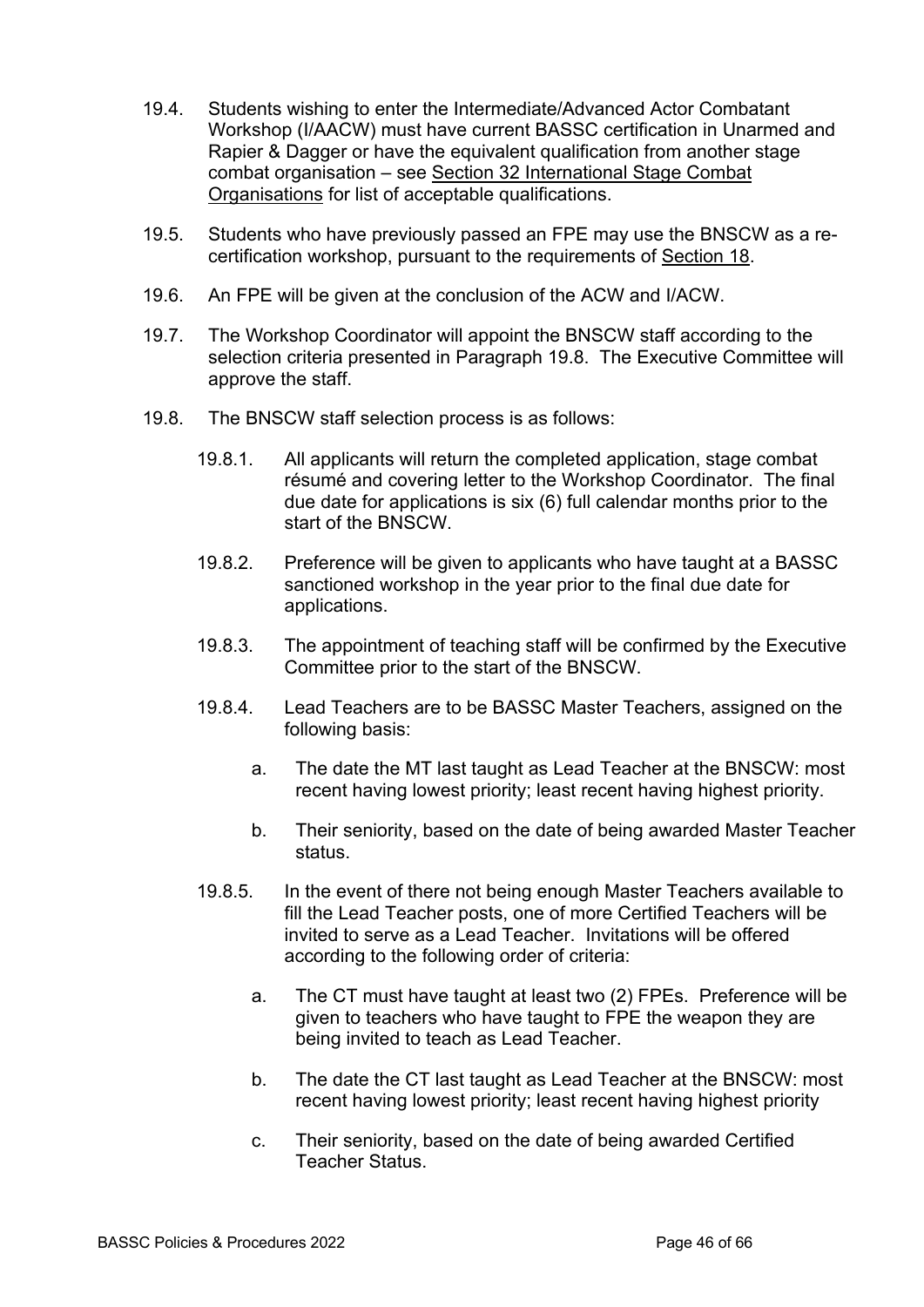- 19.4. Students wishing to enter the Intermediate/Advanced Actor Combatant Workshop (I/AACW) must have current BASSC certification in Unarmed and Rapier & Dagger or have the equivalent qualification from another stage combat organisation – see Section 32 International Stage Combat Organisations for list of acceptable qualifications.
- 19.5. Students who have previously passed an FPE may use the BNSCW as a recertification workshop, pursuant to the requirements of Section 18.
- 19.6. An FPE will be given at the conclusion of the ACW and I/ACW.
- 19.7. The Workshop Coordinator will appoint the BNSCW staff according to the selection criteria presented in Paragraph 19.8. The Executive Committee will approve the staff.
- 19.8. The BNSCW staff selection process is as follows:
	- 19.8.1. All applicants will return the completed application, stage combat résumé and covering letter to the Workshop Coordinator. The final due date for applications is six (6) full calendar months prior to the start of the BNSCW.
	- 19.8.2. Preference will be given to applicants who have taught at a BASSC sanctioned workshop in the year prior to the final due date for applications.
	- 19.8.3. The appointment of teaching staff will be confirmed by the Executive Committee prior to the start of the BNSCW.
	- 19.8.4. Lead Teachers are to be BASSC Master Teachers, assigned on the following basis:
		- a. The date the MT last taught as Lead Teacher at the BNSCW: most recent having lowest priority; least recent having highest priority.
		- b. Their seniority, based on the date of being awarded Master Teacher status.
	- 19.8.5. In the event of there not being enough Master Teachers available to fill the Lead Teacher posts, one of more Certified Teachers will be invited to serve as a Lead Teacher. Invitations will be offered according to the following order of criteria:
		- a. The CT must have taught at least two (2) FPEs. Preference will be given to teachers who have taught to FPE the weapon they are being invited to teach as Lead Teacher.
		- b. The date the CT last taught as Lead Teacher at the BNSCW: most recent having lowest priority; least recent having highest priority
		- c. Their seniority, based on the date of being awarded Certified Teacher Status.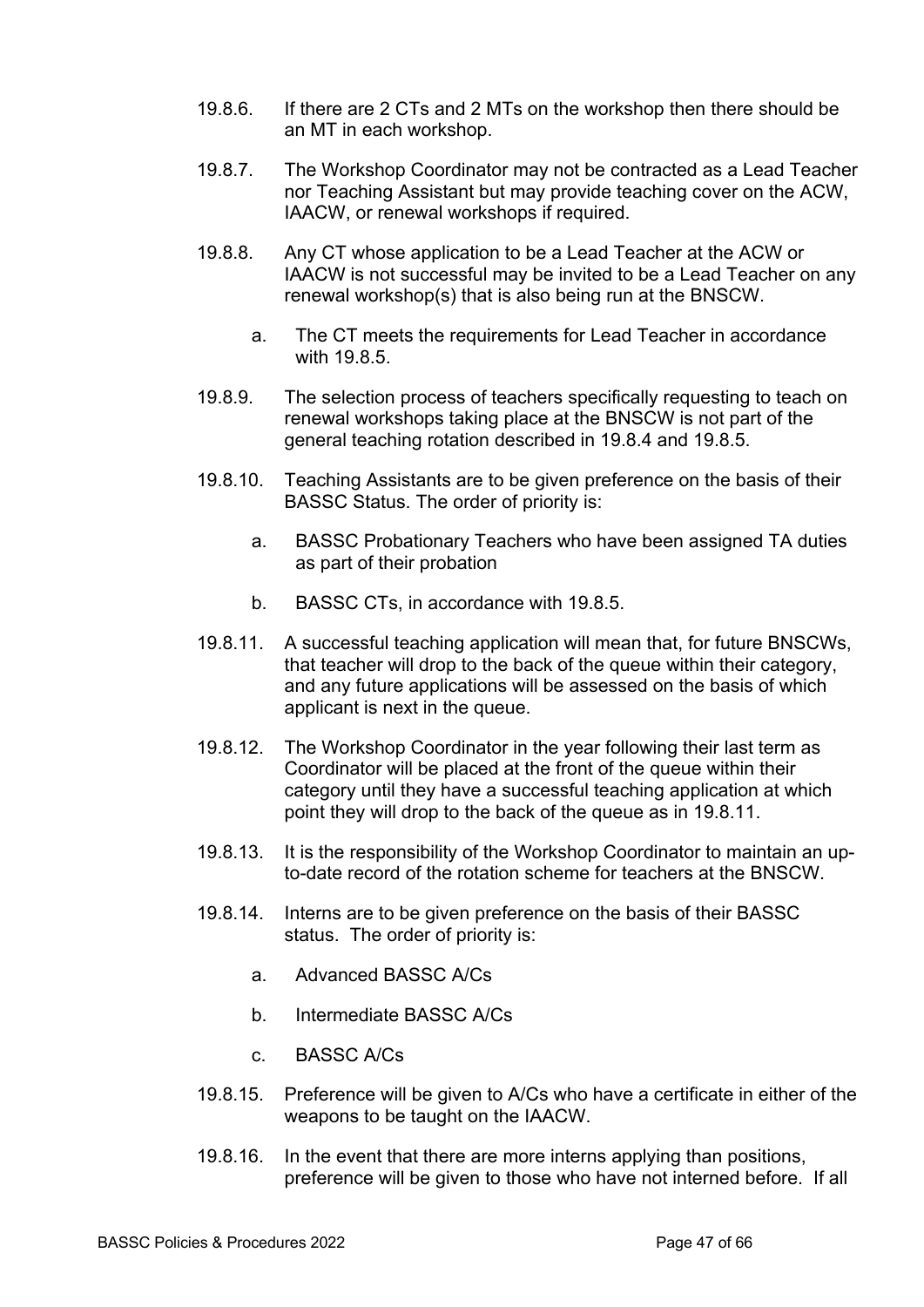- 19.8.6. If there are 2 CTs and 2 MTs on the workshop then there should be an MT in each workshop.
- 19.8.7. The Workshop Coordinator may not be contracted as a Lead Teacher nor Teaching Assistant but may provide teaching cover on the ACW, IAACW, or renewal workshops if required.
- 19.8.8. Any CT whose application to be a Lead Teacher at the ACW or IAACW is not successful may be invited to be a Lead Teacher on any renewal workshop(s) that is also being run at the BNSCW.
	- a. The CT meets the requirements for Lead Teacher in accordance with 19.8.5.
- 19.8.9. The selection process of teachers specifically requesting to teach on renewal workshops taking place at the BNSCW is not part of the general teaching rotation described in 19.8.4 and 19.8.5.
- 19.8.10. Teaching Assistants are to be given preference on the basis of their BASSC Status. The order of priority is:
	- a. BASSC Probationary Teachers who have been assigned TA duties as part of their probation
	- b. BASSC CTs, in accordance with 19.8.5.
- 19.8.11. A successful teaching application will mean that, for future BNSCWs, that teacher will drop to the back of the queue within their category, and any future applications will be assessed on the basis of which applicant is next in the queue.
- 19.8.12. The Workshop Coordinator in the year following their last term as Coordinator will be placed at the front of the queue within their category until they have a successful teaching application at which point they will drop to the back of the queue as in 19.8.11.
- 19.8.13. It is the responsibility of the Workshop Coordinator to maintain an upto-date record of the rotation scheme for teachers at the BNSCW.
- 19.8.14. Interns are to be given preference on the basis of their BASSC status. The order of priority is:
	- a. Advanced BASSC A/Cs
	- b. Intermediate BASSC A/Cs
	- c. BASSC A/Cs
- 19.8.15. Preference will be given to A/Cs who have a certificate in either of the weapons to be taught on the IAACW.
- 19.8.16. In the event that there are more interns applying than positions, preference will be given to those who have not interned before. If all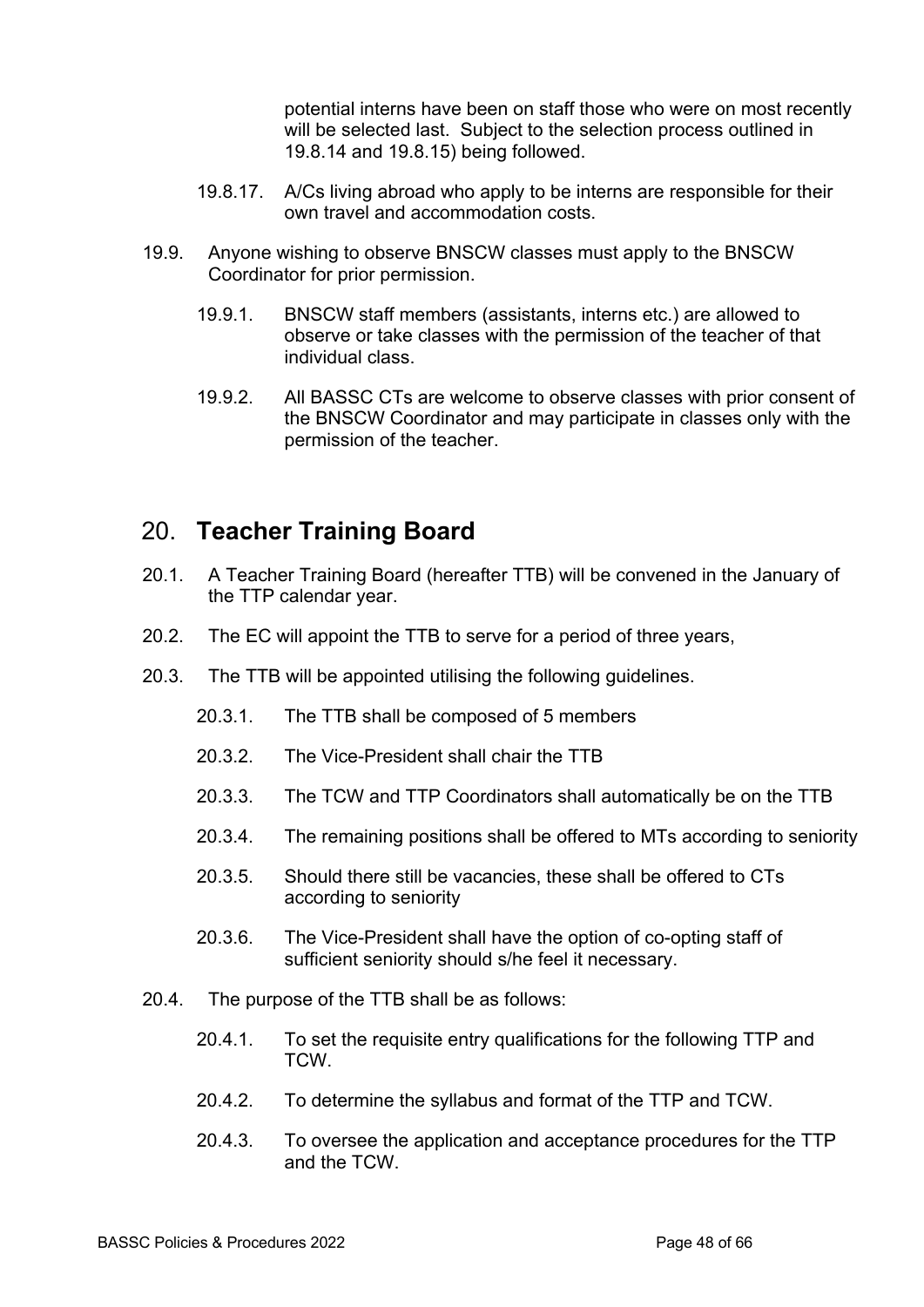potential interns have been on staff those who were on most recently will be selected last. Subject to the selection process outlined in 19.8.14 and 19.8.15) being followed.

- 19.8.17. A/Cs living abroad who apply to be interns are responsible for their own travel and accommodation costs.
- 19.9. Anyone wishing to observe BNSCW classes must apply to the BNSCW Coordinator for prior permission.
	- 19.9.1. BNSCW staff members (assistants, interns etc.) are allowed to observe or take classes with the permission of the teacher of that individual class.
	- 19.9.2. All BASSC CTs are welcome to observe classes with prior consent of the BNSCW Coordinator and may participate in classes only with the permission of the teacher.

### 20. **Teacher Training Board**

- 20.1. A Teacher Training Board (hereafter TTB) will be convened in the January of the TTP calendar year.
- 20.2. The EC will appoint the TTB to serve for a period of three years,
- 20.3. The TTB will be appointed utilising the following guidelines.
	- 20.3.1. The TTB shall be composed of 5 members
	- 20.3.2. The Vice-President shall chair the TTB
	- 20.3.3. The TCW and TTP Coordinators shall automatically be on the TTB
	- 20.3.4. The remaining positions shall be offered to MTs according to seniority
	- 20.3.5. Should there still be vacancies, these shall be offered to CTs according to seniority
	- 20.3.6. The Vice-President shall have the option of co-opting staff of sufficient seniority should s/he feel it necessary.
- 20.4. The purpose of the TTB shall be as follows:
	- 20.4.1. To set the requisite entry qualifications for the following TTP and TCW.
	- 20.4.2. To determine the syllabus and format of the TTP and TCW.
	- 20.4.3. To oversee the application and acceptance procedures for the TTP and the TCW.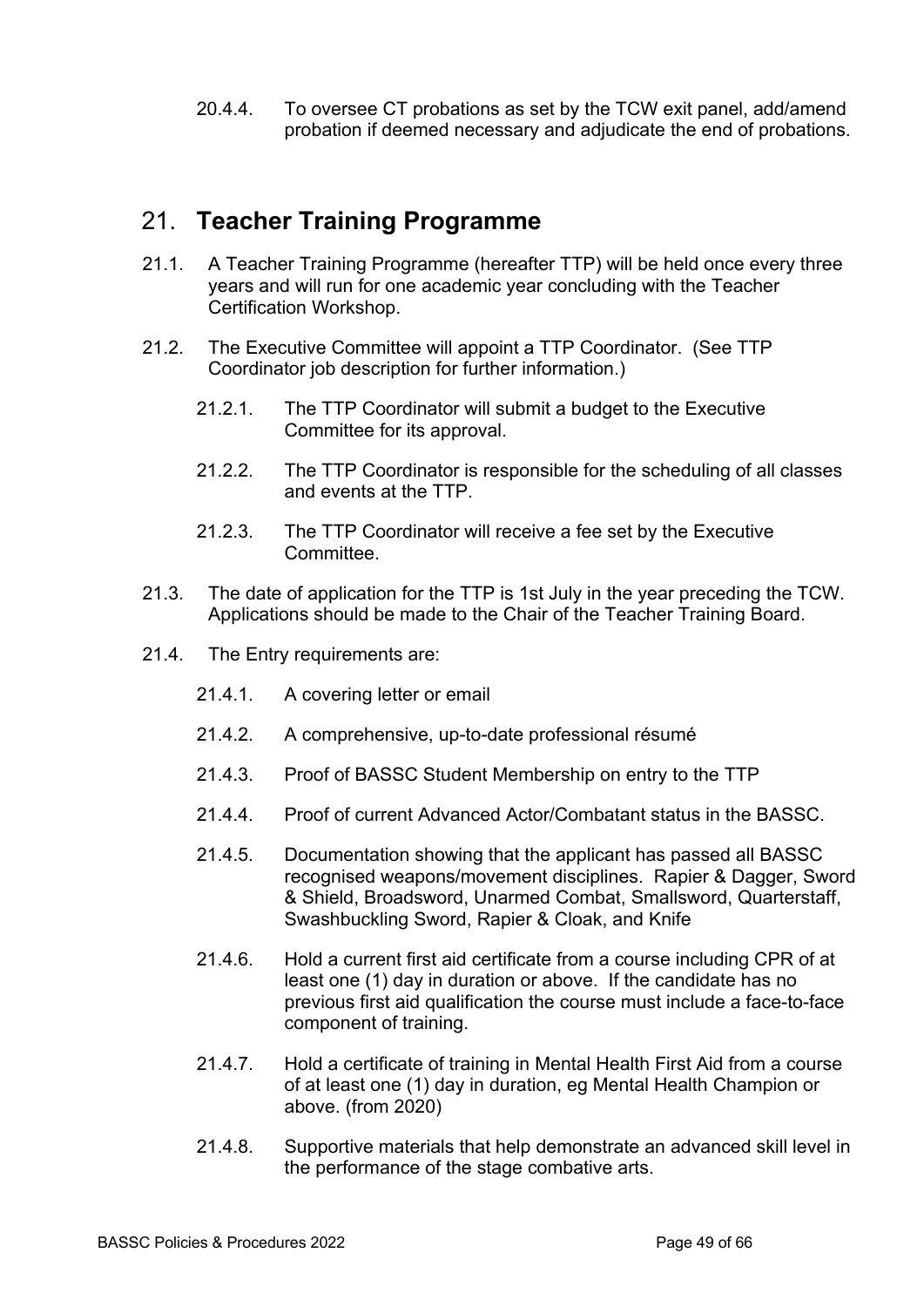20.4.4. To oversee CT probations as set by the TCW exit panel, add/amend probation if deemed necessary and adjudicate the end of probations.

#### 21. **Teacher Training Programme**

- 21.1. A Teacher Training Programme (hereafter TTP) will be held once every three years and will run for one academic year concluding with the Teacher Certification Workshop.
- 21.2. The Executive Committee will appoint a TTP Coordinator. (See TTP Coordinator job description for further information.)
	- 21.2.1. The TTP Coordinator will submit a budget to the Executive Committee for its approval.
	- 21.2.2. The TTP Coordinator is responsible for the scheduling of all classes and events at the TTP.
	- 21.2.3. The TTP Coordinator will receive a fee set by the Executive Committee.
- 21.3. The date of application for the TTP is 1st July in the year preceding the TCW. Applications should be made to the Chair of the Teacher Training Board.
- 21.4. The Entry requirements are:
	- 21.4.1. A covering letter or email
	- 21.4.2. A comprehensive, up-to-date professional résumé
	- 21.4.3. Proof of BASSC Student Membership on entry to the TTP
	- 21.4.4. Proof of current Advanced Actor/Combatant status in the BASSC.
	- 21.4.5. Documentation showing that the applicant has passed all BASSC recognised weapons/movement disciplines. Rapier & Dagger, Sword & Shield, Broadsword, Unarmed Combat, Smallsword, Quarterstaff, Swashbuckling Sword, Rapier & Cloak, and Knife
	- 21.4.6. Hold a current first aid certificate from a course including CPR of at least one (1) day in duration or above. If the candidate has no previous first aid qualification the course must include a face-to-face component of training.
	- 21.4.7. Hold a certificate of training in Mental Health First Aid from a course of at least one (1) day in duration, eg Mental Health Champion or above. (from 2020)
	- 21.4.8. Supportive materials that help demonstrate an advanced skill level in the performance of the stage combative arts.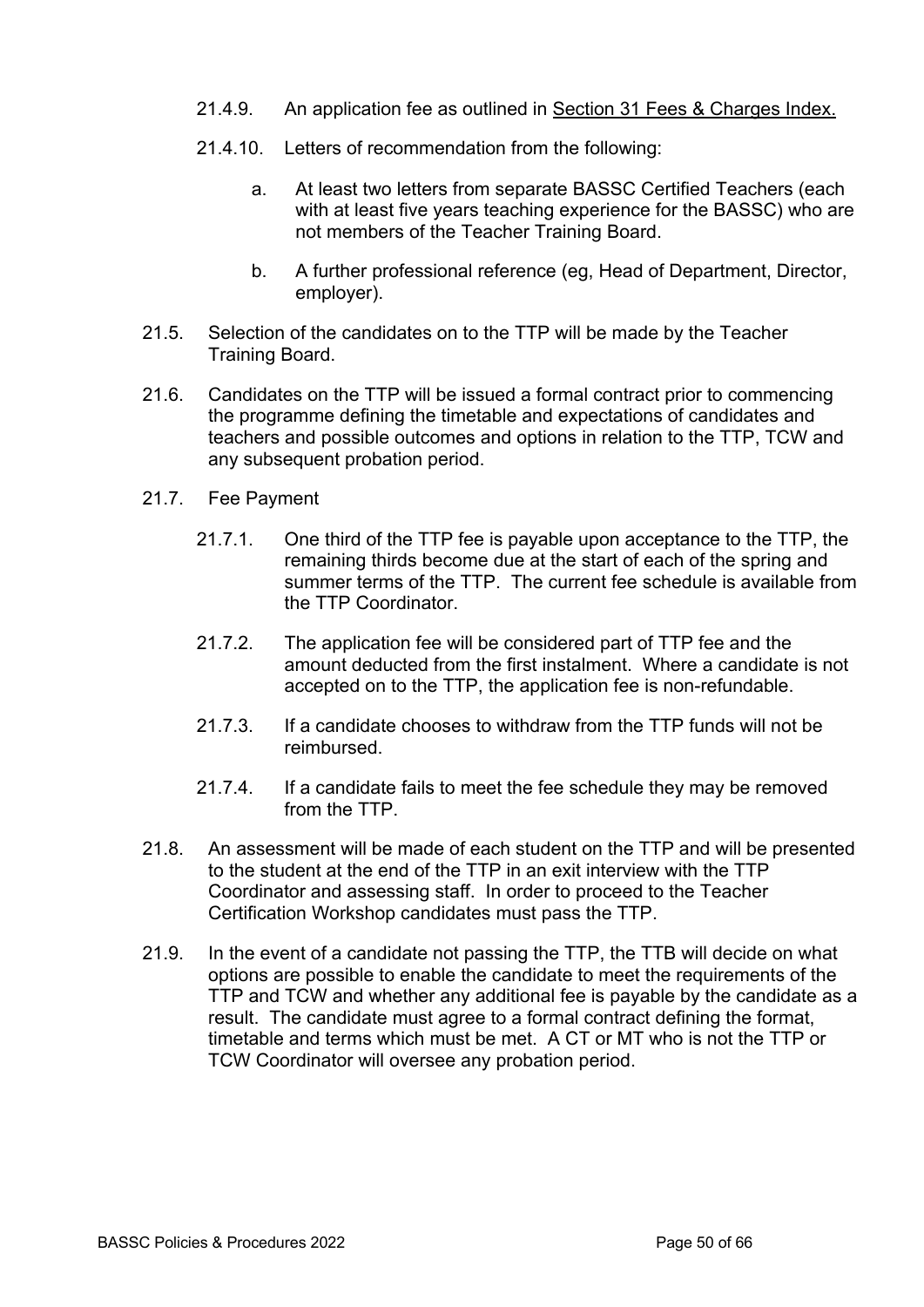- 21.4.9. An application fee as outlined in Section 31 Fees & Charges Index.
- 21.4.10. Letters of recommendation from the following:
	- a. At least two letters from separate BASSC Certified Teachers (each with at least five years teaching experience for the BASSC) who are not members of the Teacher Training Board.
	- b. A further professional reference (eg, Head of Department, Director, employer).
- 21.5. Selection of the candidates on to the TTP will be made by the Teacher Training Board.
- 21.6. Candidates on the TTP will be issued a formal contract prior to commencing the programme defining the timetable and expectations of candidates and teachers and possible outcomes and options in relation to the TTP, TCW and any subsequent probation period.
- 21.7. Fee Payment
	- 21.7.1. One third of the TTP fee is payable upon acceptance to the TTP, the remaining thirds become due at the start of each of the spring and summer terms of the TTP. The current fee schedule is available from the TTP Coordinator.
	- 21.7.2. The application fee will be considered part of TTP fee and the amount deducted from the first instalment. Where a candidate is not accepted on to the TTP, the application fee is non-refundable.
	- 21.7.3. If a candidate chooses to withdraw from the TTP funds will not be reimbursed.
	- 21.7.4. If a candidate fails to meet the fee schedule they may be removed from the TTP.
- 21.8. An assessment will be made of each student on the TTP and will be presented to the student at the end of the TTP in an exit interview with the TTP Coordinator and assessing staff. In order to proceed to the Teacher Certification Workshop candidates must pass the TTP.
- 21.9. In the event of a candidate not passing the TTP, the TTB will decide on what options are possible to enable the candidate to meet the requirements of the TTP and TCW and whether any additional fee is payable by the candidate as a result. The candidate must agree to a formal contract defining the format, timetable and terms which must be met. A CT or MT who is not the TTP or TCW Coordinator will oversee any probation period.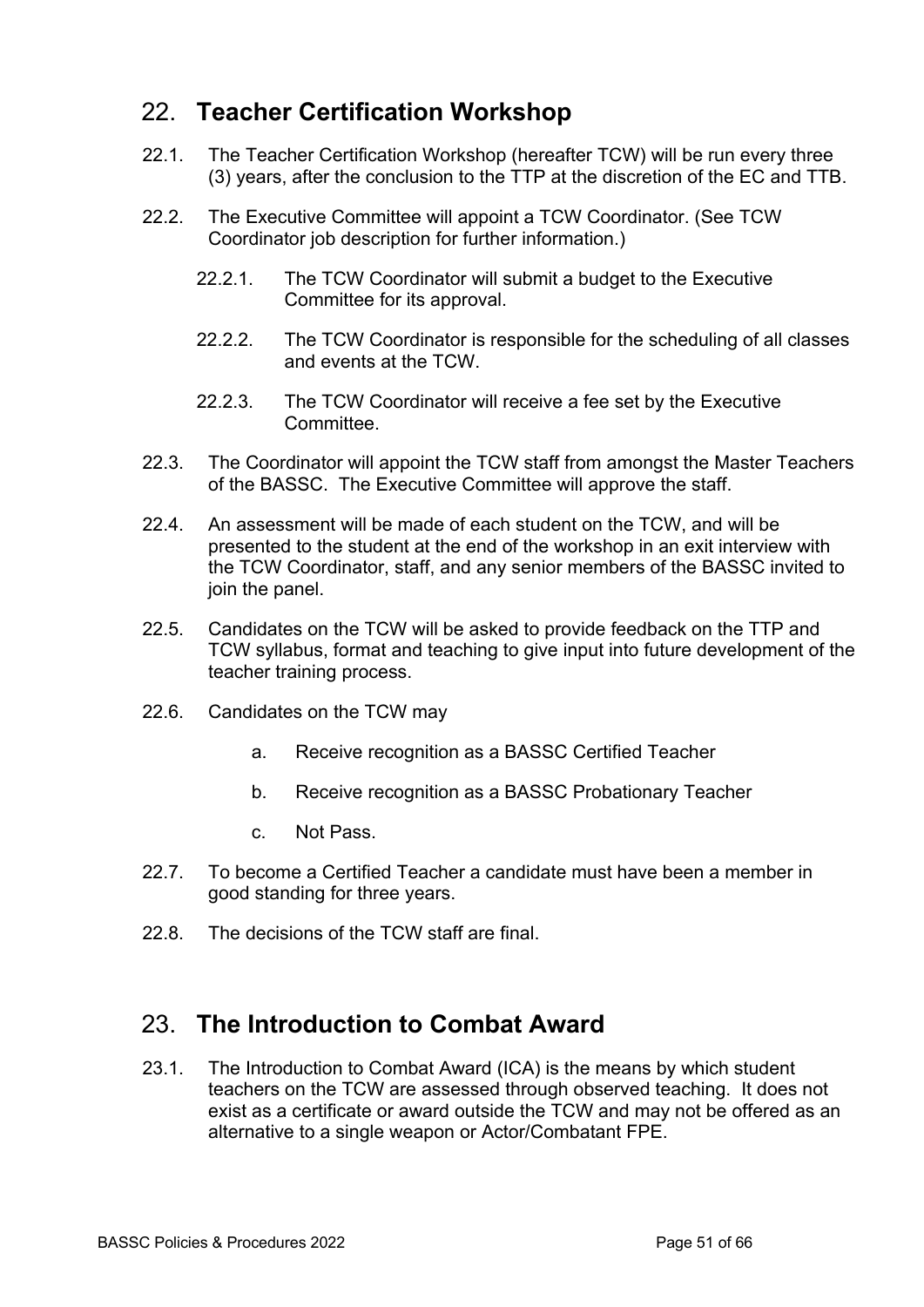# 22. **Teacher Certification Workshop**

- 22.1. The Teacher Certification Workshop (hereafter TCW) will be run every three (3) years, after the conclusion to the TTP at the discretion of the EC and TTB.
- 22.2. The Executive Committee will appoint a TCW Coordinator. (See TCW Coordinator job description for further information.)
	- 22.2.1. The TCW Coordinator will submit a budget to the Executive Committee for its approval.
	- 22.2.2. The TCW Coordinator is responsible for the scheduling of all classes and events at the TCW.
	- 22.2.3. The TCW Coordinator will receive a fee set by the Executive Committee.
- 22.3. The Coordinator will appoint the TCW staff from amongst the Master Teachers of the BASSC. The Executive Committee will approve the staff.
- 22.4. An assessment will be made of each student on the TCW, and will be presented to the student at the end of the workshop in an exit interview with the TCW Coordinator, staff, and any senior members of the BASSC invited to join the panel.
- 22.5. Candidates on the TCW will be asked to provide feedback on the TTP and TCW syllabus, format and teaching to give input into future development of the teacher training process.
- 22.6. Candidates on the TCW may
	- a. Receive recognition as a BASSC Certified Teacher
	- b. Receive recognition as a BASSC Probationary Teacher
	- c. Not Pass.
- 22.7. To become a Certified Teacher a candidate must have been a member in good standing for three years.
- 22.8. The decisions of the TCW staff are final.

#### 23. **The Introduction to Combat Award**

23.1. The Introduction to Combat Award (ICA) is the means by which student teachers on the TCW are assessed through observed teaching. It does not exist as a certificate or award outside the TCW and may not be offered as an alternative to a single weapon or Actor/Combatant FPE.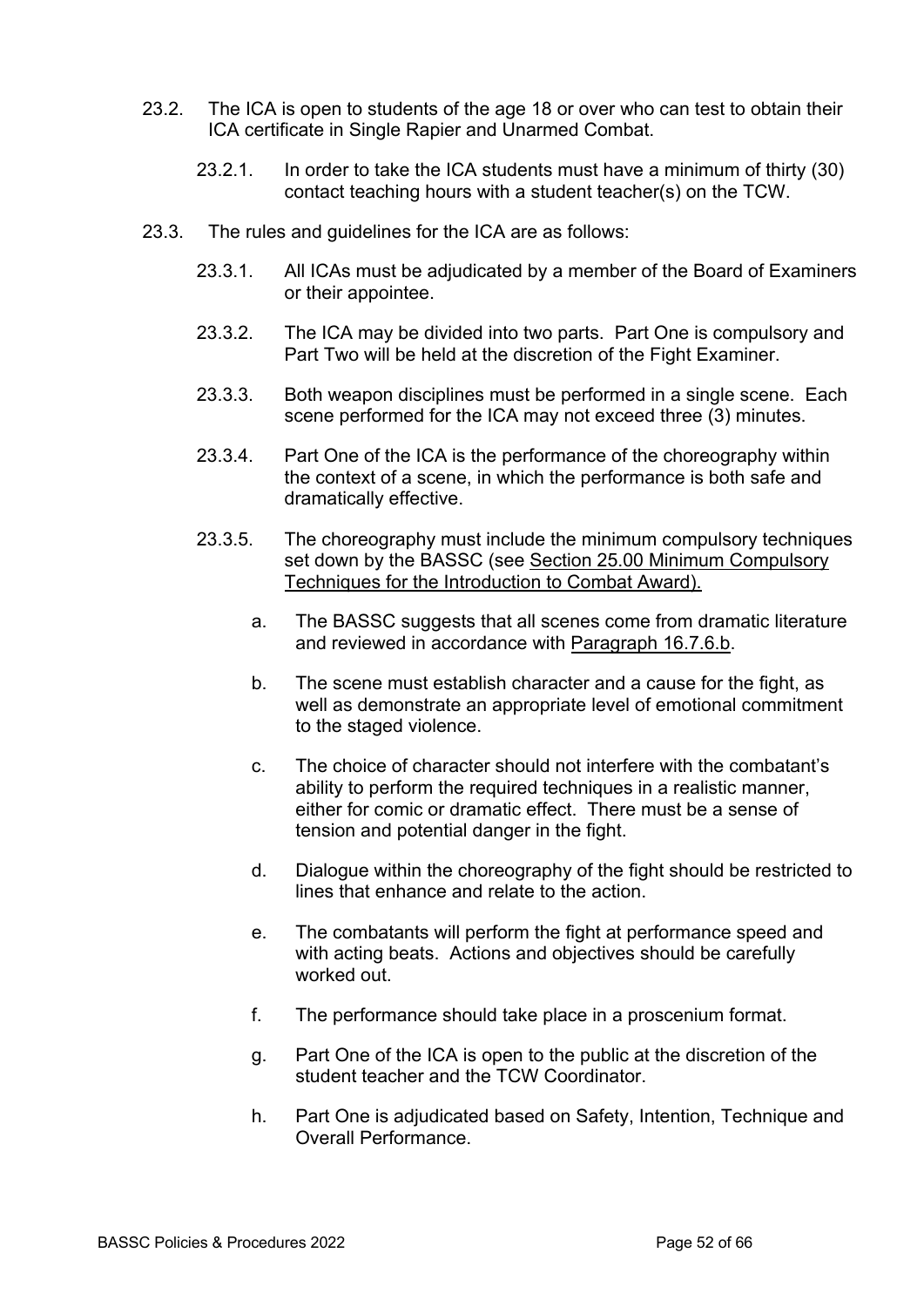- 23.2. The ICA is open to students of the age 18 or over who can test to obtain their ICA certificate in Single Rapier and Unarmed Combat.
	- 23.2.1. In order to take the ICA students must have a minimum of thirty (30) contact teaching hours with a student teacher(s) on the TCW.
- 23.3. The rules and guidelines for the ICA are as follows:
	- 23.3.1. All ICAs must be adjudicated by a member of the Board of Examiners or their appointee.
	- 23.3.2. The ICA may be divided into two parts. Part One is compulsory and Part Two will be held at the discretion of the Fight Examiner.
	- 23.3.3. Both weapon disciplines must be performed in a single scene. Each scene performed for the ICA may not exceed three (3) minutes.
	- 23.3.4. Part One of the ICA is the performance of the choreography within the context of a scene, in which the performance is both safe and dramatically effective.
	- 23.3.5. The choreography must include the minimum compulsory techniques set down by the BASSC (see Section 25.00 Minimum Compulsory Techniques for the Introduction to Combat Award).
		- a. The BASSC suggests that all scenes come from dramatic literature and reviewed in accordance with Paragraph 16.7.6.b.
		- b. The scene must establish character and a cause for the fight, as well as demonstrate an appropriate level of emotional commitment to the staged violence.
		- c. The choice of character should not interfere with the combatant's ability to perform the required techniques in a realistic manner, either for comic or dramatic effect. There must be a sense of tension and potential danger in the fight.
		- d. Dialogue within the choreography of the fight should be restricted to lines that enhance and relate to the action.
		- e. The combatants will perform the fight at performance speed and with acting beats. Actions and objectives should be carefully worked out.
		- f. The performance should take place in a proscenium format.
		- g. Part One of the ICA is open to the public at the discretion of the student teacher and the TCW Coordinator.
		- h. Part One is adjudicated based on Safety, Intention, Technique and Overall Performance.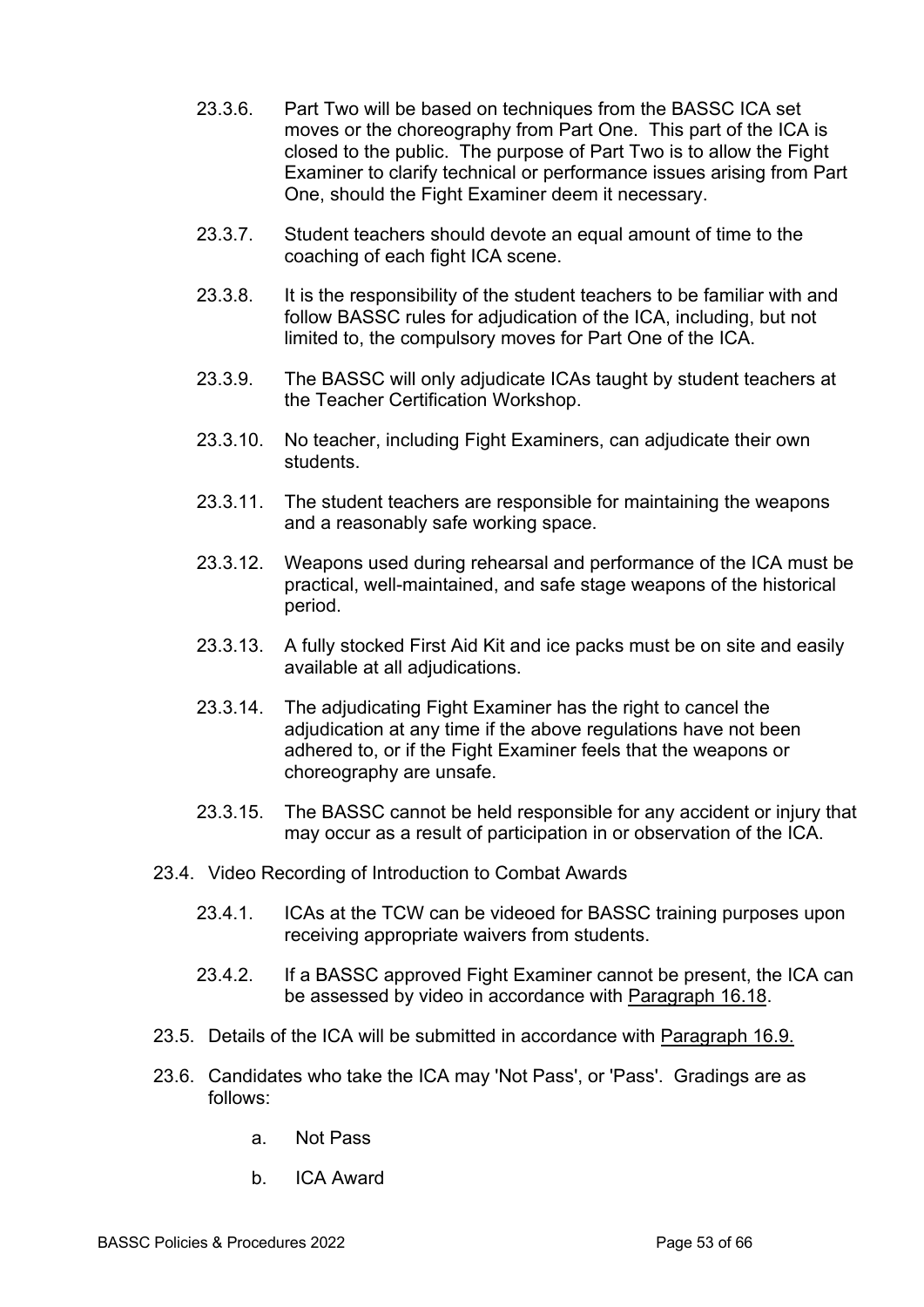- 23.3.6. Part Two will be based on techniques from the BASSC ICA set moves or the choreography from Part One. This part of the ICA is closed to the public. The purpose of Part Two is to allow the Fight Examiner to clarify technical or performance issues arising from Part One, should the Fight Examiner deem it necessary.
- 23.3.7. Student teachers should devote an equal amount of time to the coaching of each fight ICA scene.
- 23.3.8. It is the responsibility of the student teachers to be familiar with and follow BASSC rules for adjudication of the ICA, including, but not limited to, the compulsory moves for Part One of the ICA.
- 23.3.9. The BASSC will only adjudicate ICAs taught by student teachers at the Teacher Certification Workshop.
- 23.3.10. No teacher, including Fight Examiners, can adjudicate their own students.
- 23.3.11. The student teachers are responsible for maintaining the weapons and a reasonably safe working space.
- 23.3.12. Weapons used during rehearsal and performance of the ICA must be practical, well-maintained, and safe stage weapons of the historical period.
- 23.3.13. A fully stocked First Aid Kit and ice packs must be on site and easily available at all adjudications.
- 23.3.14. The adjudicating Fight Examiner has the right to cancel the adjudication at any time if the above regulations have not been adhered to, or if the Fight Examiner feels that the weapons or choreography are unsafe.
- 23.3.15. The BASSC cannot be held responsible for any accident or injury that may occur as a result of participation in or observation of the ICA.
- 23.4. Video Recording of Introduction to Combat Awards
	- 23.4.1. ICAs at the TCW can be videoed for BASSC training purposes upon receiving appropriate waivers from students.
	- 23.4.2. If a BASSC approved Fight Examiner cannot be present, the ICA can be assessed by video in accordance with Paragraph 16.18.
- 23.5. Details of the ICA will be submitted in accordance with Paragraph 16.9.
- 23.6. Candidates who take the ICA may 'Not Pass', or 'Pass'. Gradings are as follows:
	- a. Not Pass
	- b. ICA Award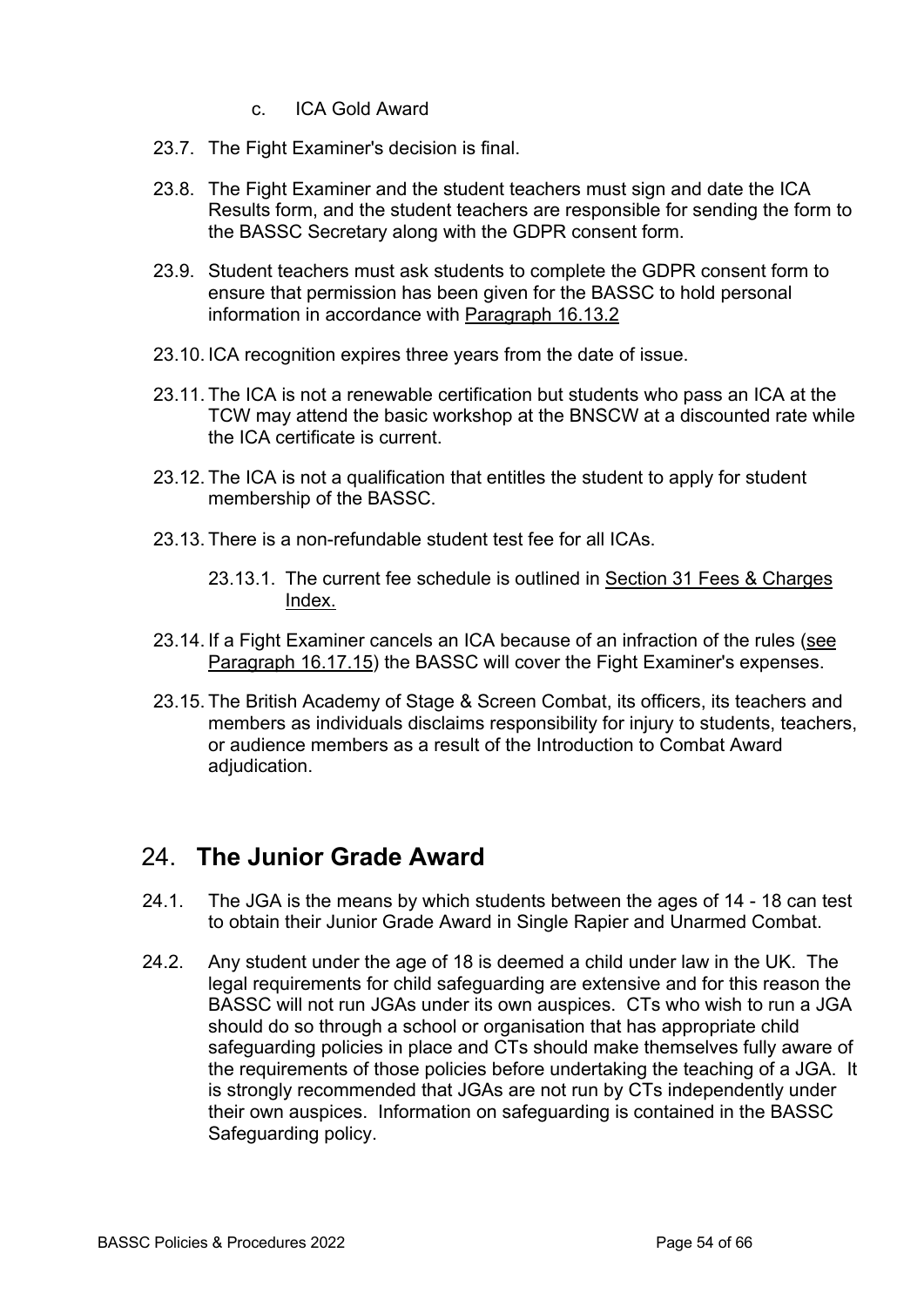- c. ICA Gold Award
- 23.7. The Fight Examiner's decision is final.
- 23.8. The Fight Examiner and the student teachers must sign and date the ICA Results form, and the student teachers are responsible for sending the form to the BASSC Secretary along with the GDPR consent form.
- 23.9. Student teachers must ask students to complete the GDPR consent form to ensure that permission has been given for the BASSC to hold personal information in accordance with Paragraph 16.13.2
- 23.10. ICA recognition expires three years from the date of issue.
- 23.11. The ICA is not a renewable certification but students who pass an ICA at the TCW may attend the basic workshop at the BNSCW at a discounted rate while the ICA certificate is current.
- 23.12. The ICA is not a qualification that entitles the student to apply for student membership of the BASSC.
- 23.13. There is a non-refundable student test fee for all ICAs.
	- 23.13.1. The current fee schedule is outlined in Section 31 Fees & Charges Index.
- 23.14. If a Fight Examiner cancels an ICA because of an infraction of the rules (see Paragraph 16.17.15) the BASSC will cover the Fight Examiner's expenses.
- 23.15. The British Academy of Stage & Screen Combat, its officers, its teachers and members as individuals disclaims responsibility for injury to students, teachers, or audience members as a result of the Introduction to Combat Award adjudication.

#### 24. **The Junior Grade Award**

- 24.1. The JGA is the means by which students between the ages of 14 18 can test to obtain their Junior Grade Award in Single Rapier and Unarmed Combat.
- 24.2. Any student under the age of 18 is deemed a child under law in the UK. The legal requirements for child safeguarding are extensive and for this reason the BASSC will not run JGAs under its own auspices. CTs who wish to run a JGA should do so through a school or organisation that has appropriate child safeguarding policies in place and CTs should make themselves fully aware of the requirements of those policies before undertaking the teaching of a JGA. It is strongly recommended that JGAs are not run by CTs independently under their own auspices. Information on safeguarding is contained in the BASSC Safeguarding policy.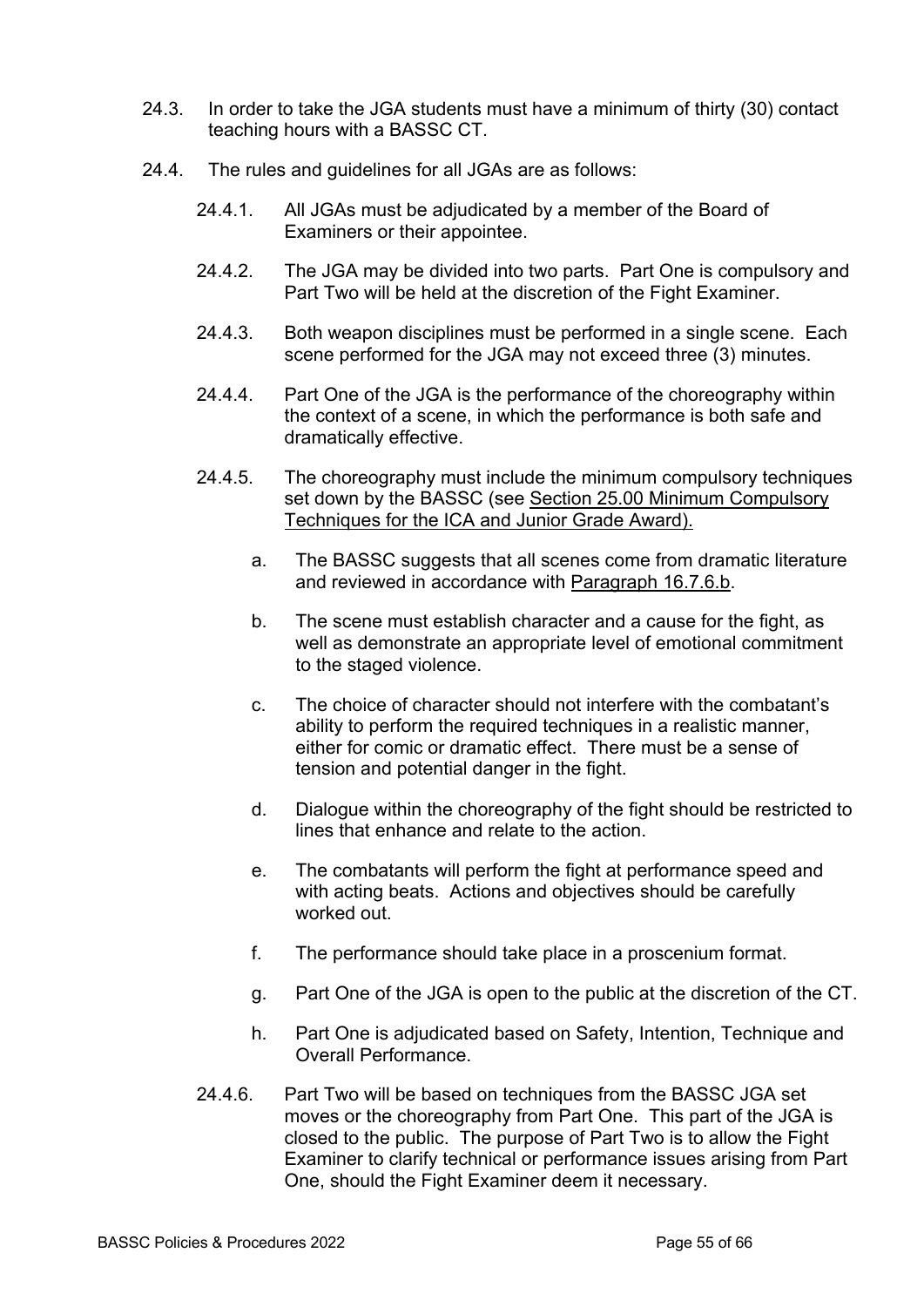- 24.3. In order to take the JGA students must have a minimum of thirty (30) contact teaching hours with a BASSC CT.
- 24.4. The rules and guidelines for all JGAs are as follows:
	- 24.4.1. All JGAs must be adjudicated by a member of the Board of Examiners or their appointee.
	- 24.4.2. The JGA may be divided into two parts. Part One is compulsory and Part Two will be held at the discretion of the Fight Examiner.
	- 24.4.3. Both weapon disciplines must be performed in a single scene. Each scene performed for the JGA may not exceed three (3) minutes.
	- 24.4.4. Part One of the JGA is the performance of the choreography within the context of a scene, in which the performance is both safe and dramatically effective.
	- 24.4.5. The choreography must include the minimum compulsory techniques set down by the BASSC (see Section 25.00 Minimum Compulsory Techniques for the ICA and Junior Grade Award).
		- a. The BASSC suggests that all scenes come from dramatic literature and reviewed in accordance with Paragraph 16.7.6.b.
		- b. The scene must establish character and a cause for the fight, as well as demonstrate an appropriate level of emotional commitment to the staged violence.
		- c. The choice of character should not interfere with the combatant's ability to perform the required techniques in a realistic manner, either for comic or dramatic effect. There must be a sense of tension and potential danger in the fight.
		- d. Dialogue within the choreography of the fight should be restricted to lines that enhance and relate to the action.
		- e. The combatants will perform the fight at performance speed and with acting beats. Actions and objectives should be carefully worked out.
		- f. The performance should take place in a proscenium format.
		- g. Part One of the JGA is open to the public at the discretion of the CT.
		- h. Part One is adjudicated based on Safety, Intention, Technique and Overall Performance.
	- 24.4.6. Part Two will be based on techniques from the BASSC JGA set moves or the choreography from Part One. This part of the JGA is closed to the public. The purpose of Part Two is to allow the Fight Examiner to clarify technical or performance issues arising from Part One, should the Fight Examiner deem it necessary.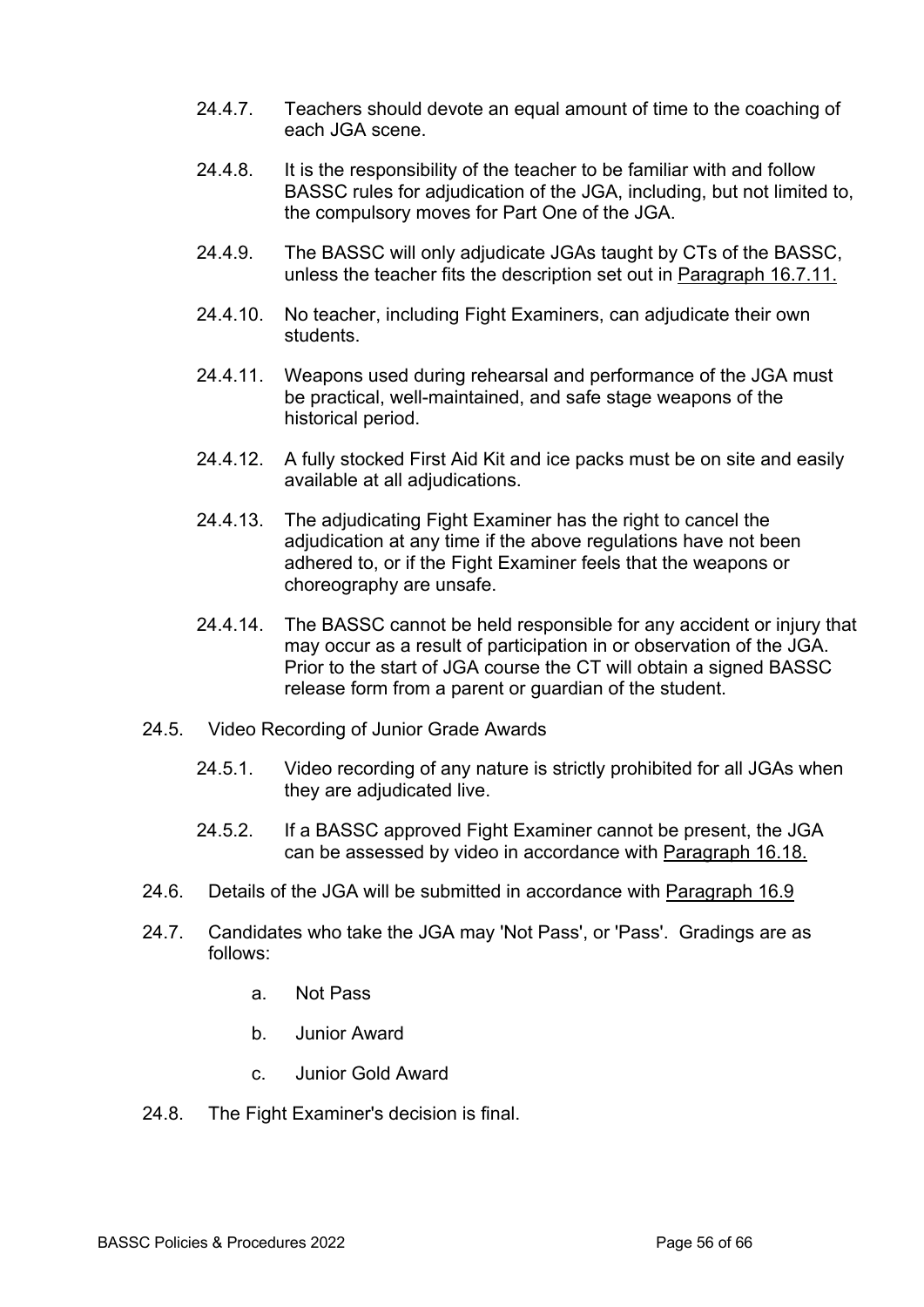- 24.4.7. Teachers should devote an equal amount of time to the coaching of each JGA scene.
- 24.4.8. It is the responsibility of the teacher to be familiar with and follow BASSC rules for adjudication of the JGA, including, but not limited to, the compulsory moves for Part One of the JGA.
- 24.4.9. The BASSC will only adjudicate JGAs taught by CTs of the BASSC, unless the teacher fits the description set out in Paragraph 16.7.11.
- 24.4.10. No teacher, including Fight Examiners, can adjudicate their own students.
- 24.4.11. Weapons used during rehearsal and performance of the JGA must be practical, well-maintained, and safe stage weapons of the historical period.
- 24.4.12. A fully stocked First Aid Kit and ice packs must be on site and easily available at all adjudications.
- 24.4.13. The adjudicating Fight Examiner has the right to cancel the adjudication at any time if the above regulations have not been adhered to, or if the Fight Examiner feels that the weapons or choreography are unsafe.
- 24.4.14. The BASSC cannot be held responsible for any accident or injury that may occur as a result of participation in or observation of the JGA. Prior to the start of JGA course the CT will obtain a signed BASSC release form from a parent or guardian of the student.
- 24.5. Video Recording of Junior Grade Awards
	- 24.5.1. Video recording of any nature is strictly prohibited for all JGAs when they are adjudicated live.
	- 24.5.2. If a BASSC approved Fight Examiner cannot be present, the JGA can be assessed by video in accordance with Paragraph 16.18.
- 24.6. Details of the JGA will be submitted in accordance with Paragraph 16.9
- 24.7. Candidates who take the JGA may 'Not Pass', or 'Pass'. Gradings are as follows:
	- a. Not Pass
	- b. Junior Award
	- c. Junior Gold Award
- 24.8. The Fight Examiner's decision is final.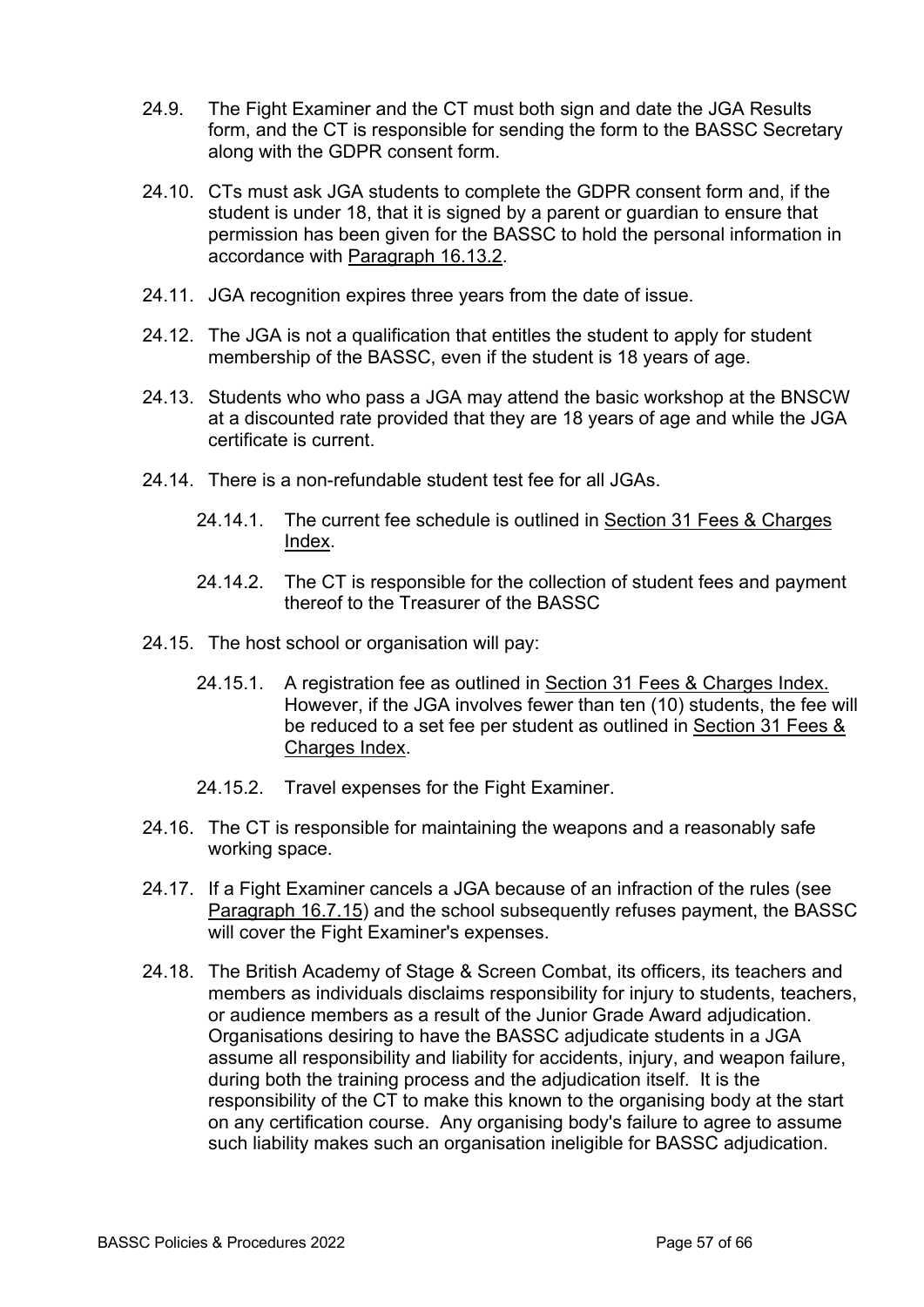- 24.9. The Fight Examiner and the CT must both sign and date the JGA Results form, and the CT is responsible for sending the form to the BASSC Secretary along with the GDPR consent form.
- 24.10. CTs must ask JGA students to complete the GDPR consent form and, if the student is under 18, that it is signed by a parent or guardian to ensure that permission has been given for the BASSC to hold the personal information in accordance with Paragraph 16.13.2.
- 24.11. JGA recognition expires three years from the date of issue.
- 24.12. The JGA is not a qualification that entitles the student to apply for student membership of the BASSC, even if the student is 18 years of age.
- 24.13. Students who who pass a JGA may attend the basic workshop at the BNSCW at a discounted rate provided that they are 18 years of age and while the JGA certificate is current.
- 24.14. There is a non-refundable student test fee for all JGAs.
	- 24.14.1. The current fee schedule is outlined in Section 31 Fees & Charges Index.
	- 24.14.2. The CT is responsible for the collection of student fees and payment thereof to the Treasurer of the BASSC
- 24.15. The host school or organisation will pay:
	- 24.15.1. A registration fee as outlined in Section 31 Fees & Charges Index. However, if the JGA involves fewer than ten (10) students, the fee will be reduced to a set fee per student as outlined in Section 31 Fees & Charges Index.
	- 24.15.2. Travel expenses for the Fight Examiner.
- 24.16. The CT is responsible for maintaining the weapons and a reasonably safe working space.
- 24.17. If a Fight Examiner cancels a JGA because of an infraction of the rules (see Paragraph 16.7.15) and the school subsequently refuses payment, the BASSC will cover the Fight Examiner's expenses.
- 24.18. The British Academy of Stage & Screen Combat, its officers, its teachers and members as individuals disclaims responsibility for injury to students, teachers, or audience members as a result of the Junior Grade Award adjudication. Organisations desiring to have the BASSC adjudicate students in a JGA assume all responsibility and liability for accidents, injury, and weapon failure, during both the training process and the adjudication itself. It is the responsibility of the CT to make this known to the organising body at the start on any certification course. Any organising body's failure to agree to assume such liability makes such an organisation ineligible for BASSC adjudication.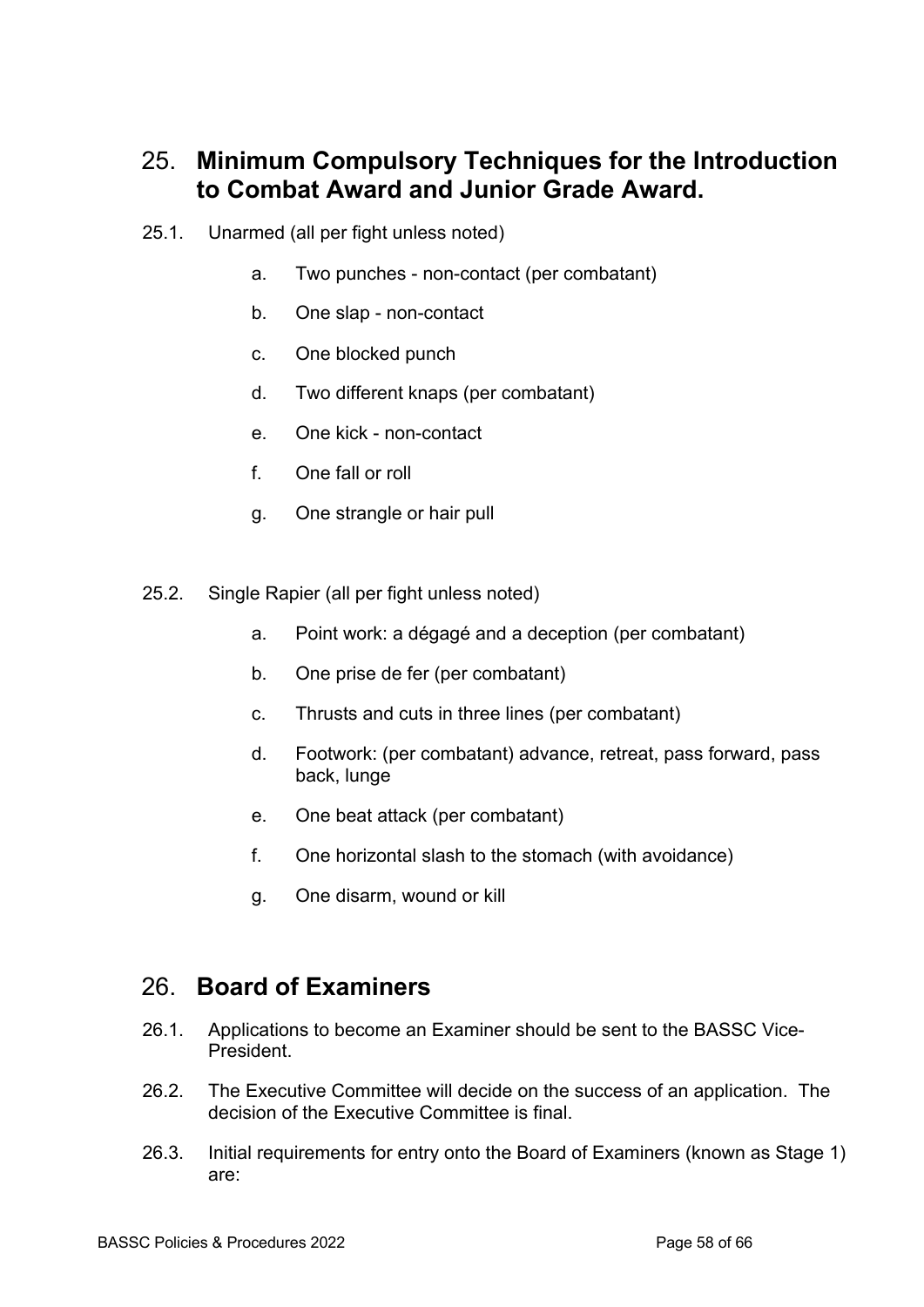## 25. **Minimum Compulsory Techniques for the Introduction to Combat Award and Junior Grade Award.**

- 25.1. Unarmed (all per fight unless noted)
	- a. Two punches non-contact (per combatant)
	- b. One slap non-contact
	- c. One blocked punch
	- d. Two different knaps (per combatant)
	- e. One kick non-contact
	- f. One fall or roll
	- g. One strangle or hair pull
- 25.2. Single Rapier (all per fight unless noted)
	- a. Point work: a dégagé and a deception (per combatant)
	- b. One prise de fer (per combatant)
	- c. Thrusts and cuts in three lines (per combatant)
	- d. Footwork: (per combatant) advance, retreat, pass forward, pass back, lunge
	- e. One beat attack (per combatant)
	- f. One horizontal slash to the stomach (with avoidance)
	- g. One disarm, wound or kill

#### 26. **Board of Examiners**

- 26.1. Applications to become an Examiner should be sent to the BASSC Vice-President.
- 26.2. The Executive Committee will decide on the success of an application. The decision of the Executive Committee is final.
- 26.3. Initial requirements for entry onto the Board of Examiners (known as Stage 1) are: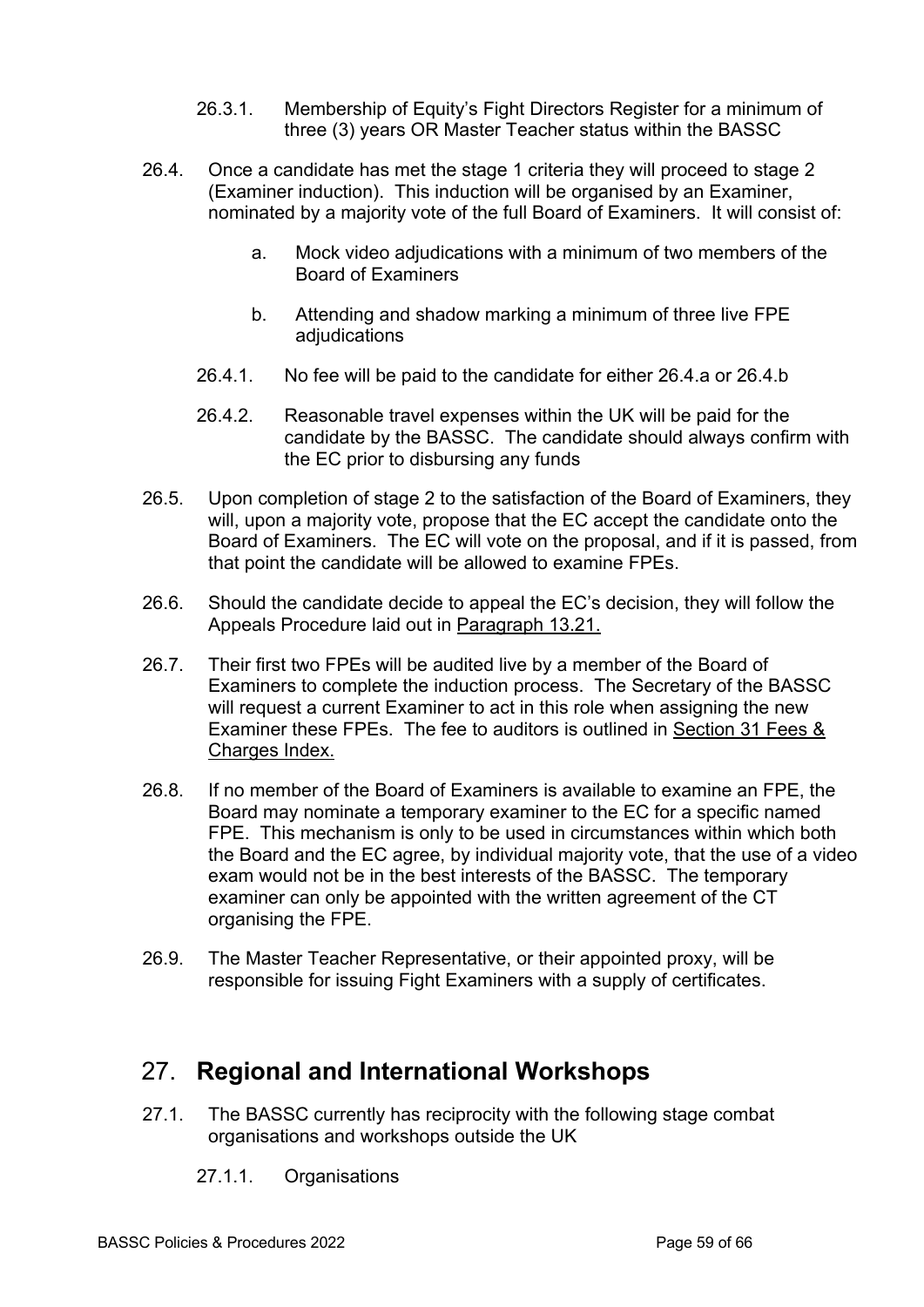- 26.3.1. Membership of Equity's Fight Directors Register for a minimum of three (3) years OR Master Teacher status within the BASSC
- 26.4. Once a candidate has met the stage 1 criteria they will proceed to stage 2 (Examiner induction). This induction will be organised by an Examiner, nominated by a majority vote of the full Board of Examiners. It will consist of:
	- a. Mock video adjudications with a minimum of two members of the Board of Examiners
	- b. Attending and shadow marking a minimum of three live FPE adjudications
	- 26.4.1. No fee will be paid to the candidate for either 26.4.a or 26.4.b
	- 26.4.2. Reasonable travel expenses within the UK will be paid for the candidate by the BASSC. The candidate should always confirm with the EC prior to disbursing any funds
- 26.5. Upon completion of stage 2 to the satisfaction of the Board of Examiners, they will, upon a majority vote, propose that the EC accept the candidate onto the Board of Examiners. The EC will vote on the proposal, and if it is passed, from that point the candidate will be allowed to examine FPEs.
- 26.6. Should the candidate decide to appeal the EC's decision, they will follow the Appeals Procedure laid out in Paragraph 13.21.
- 26.7. Their first two FPEs will be audited live by a member of the Board of Examiners to complete the induction process. The Secretary of the BASSC will request a current Examiner to act in this role when assigning the new Examiner these FPEs. The fee to auditors is outlined in Section 31 Fees & Charges Index.
- 26.8. If no member of the Board of Examiners is available to examine an FPE, the Board may nominate a temporary examiner to the EC for a specific named FPE. This mechanism is only to be used in circumstances within which both the Board and the EC agree, by individual majority vote, that the use of a video exam would not be in the best interests of the BASSC. The temporary examiner can only be appointed with the written agreement of the CT organising the FPE.
- 26.9. The Master Teacher Representative, or their appointed proxy, will be responsible for issuing Fight Examiners with a supply of certificates.

## 27. **Regional and International Workshops**

- 27.1. The BASSC currently has reciprocity with the following stage combat organisations and workshops outside the UK
	- 27.1.1. Organisations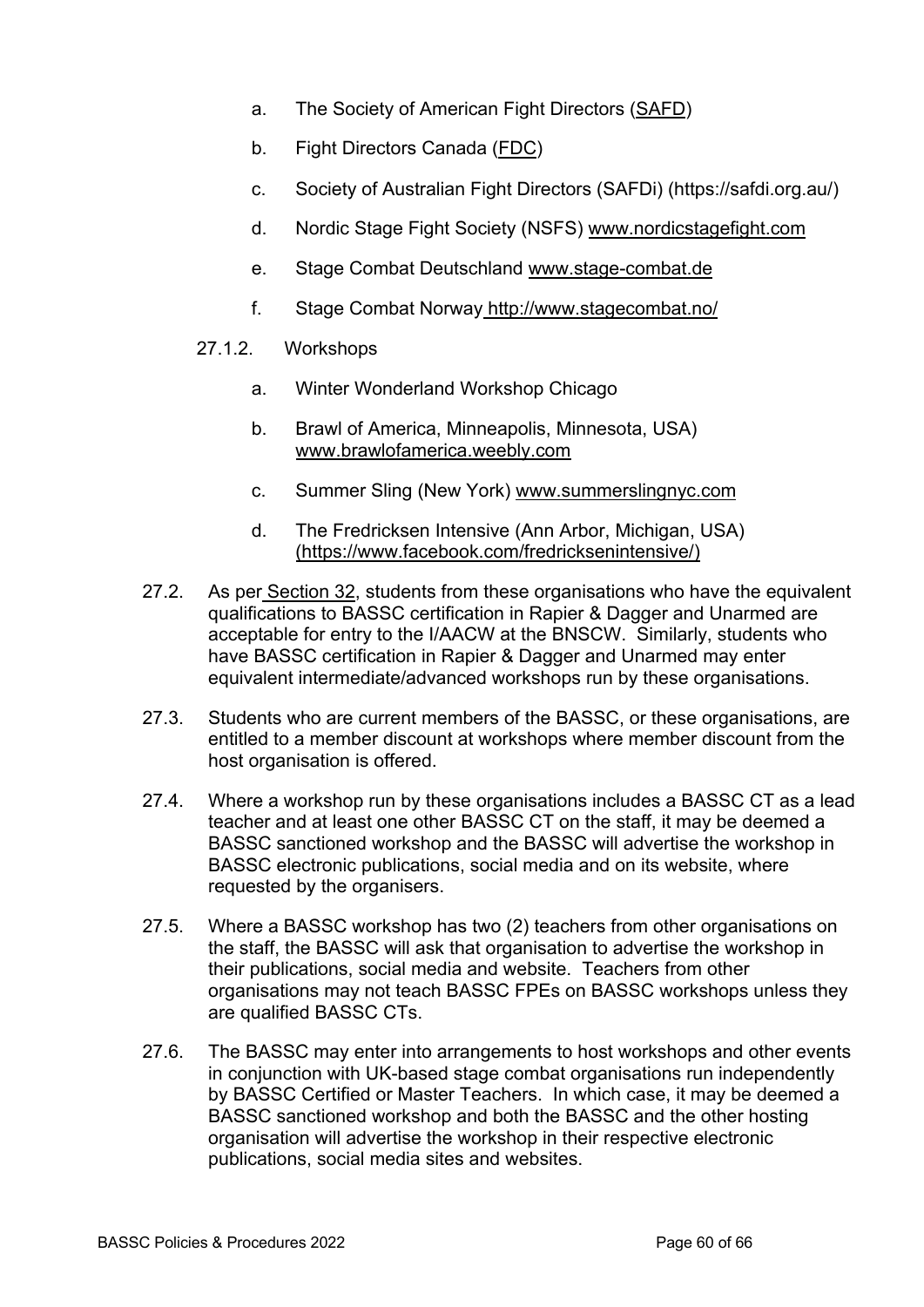- a. The Society of American Fight Directors (SAFD)
- b. Fight Directors Canada (FDC)
- c. Society of Australian Fight Directors (SAFDi) (https://safdi.org.au/)
- d. Nordic Stage Fight Society (NSFS) www.nordicstagefight.com
- e. Stage Combat Deutschland www.stage-combat.de
- f. Stage Combat Norway http://www.stagecombat.no/
- 27.1.2. Workshops
	- a. Winter Wonderland Workshop Chicago
	- b. Brawl of America, Minneapolis, Minnesota, USA) www.brawlofamerica.weebly.com
	- c. Summer Sling (New York) www.summerslingnyc.com
	- d. The Fredricksen Intensive (Ann Arbor, Michigan, USA) (https://www.facebook.com/fredricksenintensive/)
- 27.2. As per Section 32, students from these organisations who have the equivalent qualifications to BASSC certification in Rapier & Dagger and Unarmed are acceptable for entry to the I/AACW at the BNSCW. Similarly, students who have BASSC certification in Rapier & Dagger and Unarmed may enter equivalent intermediate/advanced workshops run by these organisations.
- 27.3. Students who are current members of the BASSC, or these organisations, are entitled to a member discount at workshops where member discount from the host organisation is offered.
- 27.4. Where a workshop run by these organisations includes a BASSC CT as a lead teacher and at least one other BASSC CT on the staff, it may be deemed a BASSC sanctioned workshop and the BASSC will advertise the workshop in BASSC electronic publications, social media and on its website, where requested by the organisers.
- 27.5. Where a BASSC workshop has two (2) teachers from other organisations on the staff, the BASSC will ask that organisation to advertise the workshop in their publications, social media and website. Teachers from other organisations may not teach BASSC FPEs on BASSC workshops unless they are qualified BASSC CTs.
- 27.6. The BASSC may enter into arrangements to host workshops and other events in conjunction with UK-based stage combat organisations run independently by BASSC Certified or Master Teachers. In which case, it may be deemed a BASSC sanctioned workshop and both the BASSC and the other hosting organisation will advertise the workshop in their respective electronic publications, social media sites and websites.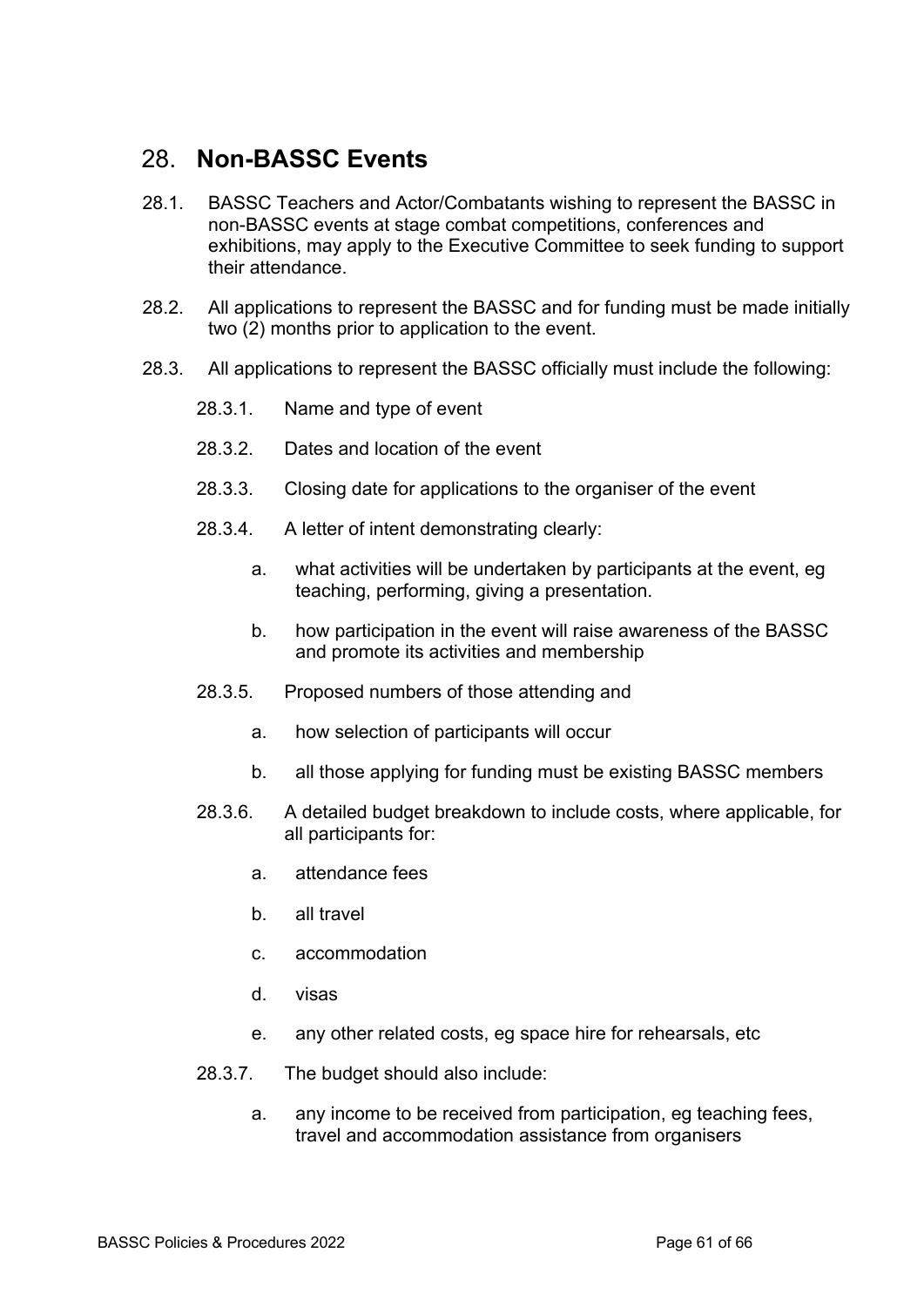# 28. **Non-BASSC Events**

- 28.1. BASSC Teachers and Actor/Combatants wishing to represent the BASSC in non-BASSC events at stage combat competitions, conferences and exhibitions, may apply to the Executive Committee to seek funding to support their attendance.
- 28.2. All applications to represent the BASSC and for funding must be made initially two (2) months prior to application to the event.
- 28.3. All applications to represent the BASSC officially must include the following:
	- 28.3.1. Name and type of event
	- 28.3.2. Dates and location of the event
	- 28.3.3. Closing date for applications to the organiser of the event
	- 28.3.4. A letter of intent demonstrating clearly:
		- a. what activities will be undertaken by participants at the event, eg teaching, performing, giving a presentation.
		- b. how participation in the event will raise awareness of the BASSC and promote its activities and membership
	- 28.3.5. Proposed numbers of those attending and
		- a. how selection of participants will occur
		- b. all those applying for funding must be existing BASSC members
	- 28.3.6. A detailed budget breakdown to include costs, where applicable, for all participants for:
		- a. attendance fees
		- b. all travel
		- c. accommodation
		- d. visas
		- e. any other related costs, eg space hire for rehearsals, etc
	- 28.3.7. The budget should also include:
		- a. any income to be received from participation, eg teaching fees, travel and accommodation assistance from organisers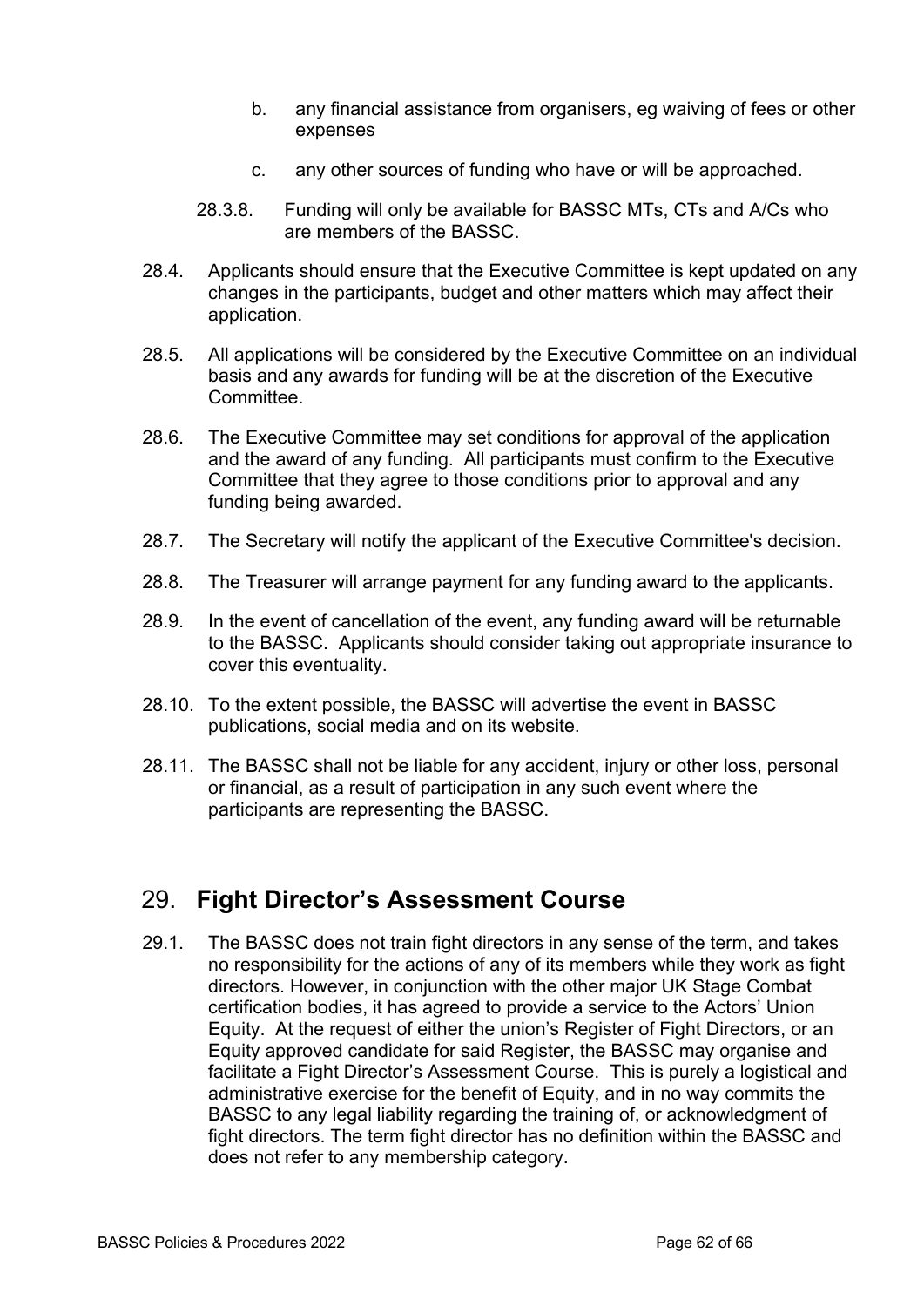- b. any financial assistance from organisers, eg waiving of fees or other expenses
- c. any other sources of funding who have or will be approached.
- 28.3.8. Funding will only be available for BASSC MTs, CTs and A/Cs who are members of the BASSC.
- 28.4. Applicants should ensure that the Executive Committee is kept updated on any changes in the participants, budget and other matters which may affect their application.
- 28.5. All applications will be considered by the Executive Committee on an individual basis and any awards for funding will be at the discretion of the Executive Committee.
- 28.6. The Executive Committee may set conditions for approval of the application and the award of any funding. All participants must confirm to the Executive Committee that they agree to those conditions prior to approval and any funding being awarded.
- 28.7. The Secretary will notify the applicant of the Executive Committee's decision.
- 28.8. The Treasurer will arrange payment for any funding award to the applicants.
- 28.9. In the event of cancellation of the event, any funding award will be returnable to the BASSC. Applicants should consider taking out appropriate insurance to cover this eventuality.
- 28.10. To the extent possible, the BASSC will advertise the event in BASSC publications, social media and on its website.
- 28.11. The BASSC shall not be liable for any accident, injury or other loss, personal or financial, as a result of participation in any such event where the participants are representing the BASSC.

#### 29. **Fight Director's Assessment Course**

29.1. The BASSC does not train fight directors in any sense of the term, and takes no responsibility for the actions of any of its members while they work as fight directors. However, in conjunction with the other major UK Stage Combat certification bodies, it has agreed to provide a service to the Actors' Union Equity. At the request of either the union's Register of Fight Directors, or an Equity approved candidate for said Register, the BASSC may organise and facilitate a Fight Director's Assessment Course. This is purely a logistical and administrative exercise for the benefit of Equity, and in no way commits the BASSC to any legal liability regarding the training of, or acknowledgment of fight directors. The term fight director has no definition within the BASSC and does not refer to any membership category.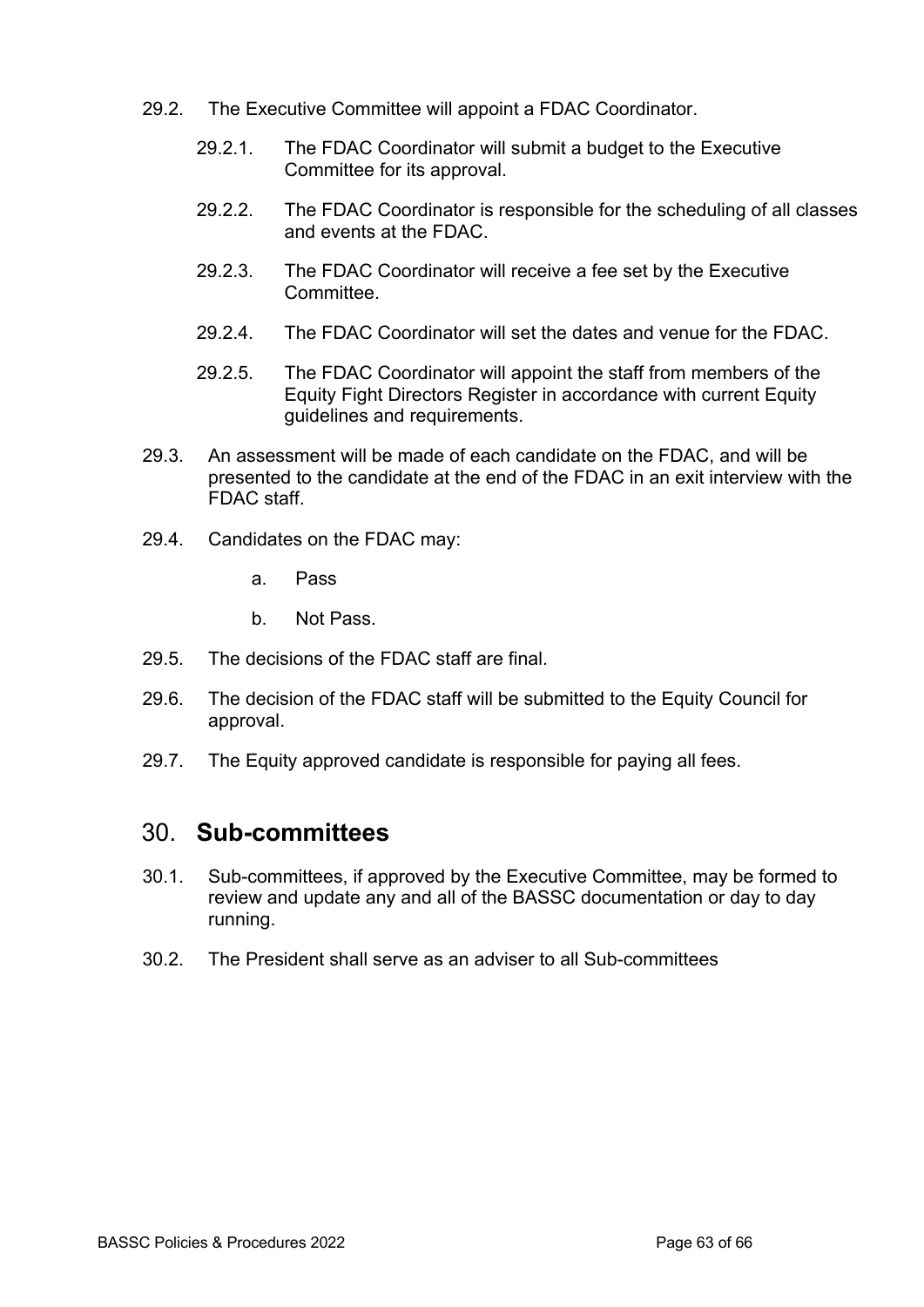- 29.2. The Executive Committee will appoint a FDAC Coordinator.
	- 29.2.1. The FDAC Coordinator will submit a budget to the Executive Committee for its approval.
	- 29.2.2. The FDAC Coordinator is responsible for the scheduling of all classes and events at the FDAC.
	- 29.2.3. The FDAC Coordinator will receive a fee set by the Executive Committee.
	- 29.2.4. The FDAC Coordinator will set the dates and venue for the FDAC.
	- 29.2.5. The FDAC Coordinator will appoint the staff from members of the Equity Fight Directors Register in accordance with current Equity guidelines and requirements.
- 29.3. An assessment will be made of each candidate on the FDAC, and will be presented to the candidate at the end of the FDAC in an exit interview with the FDAC staff.
- 29.4. Candidates on the FDAC may:
	- a. Pass
	- b. Not Pass.
- 29.5. The decisions of the FDAC staff are final.
- 29.6. The decision of the FDAC staff will be submitted to the Equity Council for approval.
- 29.7. The Equity approved candidate is responsible for paying all fees.

#### 30. **Sub-committees**

- 30.1. Sub-committees, if approved by the Executive Committee, may be formed to review and update any and all of the BASSC documentation or day to day running.
- 30.2. The President shall serve as an adviser to all Sub-committees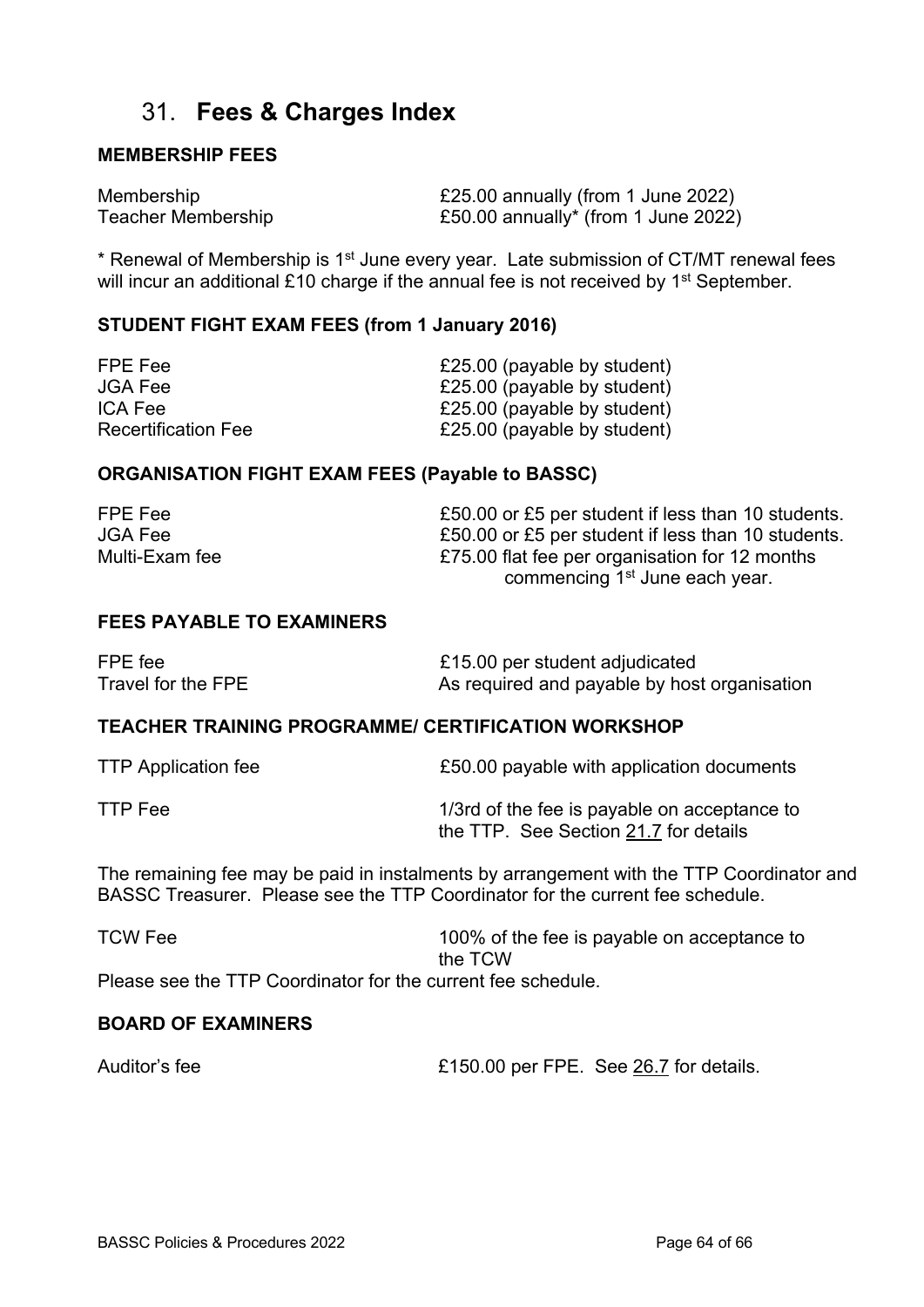### 31. **Fees & Charges Index**

#### **MEMBERSHIP FEES**

Membership **E25.00** annually (from 1 June 2022) Teacher Membership **E50.00** annually<sup>\*</sup> (from 1 June 2022)

\* Renewal of Membership is 1st June every year. Late submission of CT/MT renewal fees will incur an additional  $£10$  charge if the annual fee is not received by 1<sup>st</sup> September.

#### **STUDENT FIGHT EXAM FEES (from 1 January 2016)**

| FPE Fee                    | £25.00 (payable by student) |
|----------------------------|-----------------------------|
| <b>JGA Fee</b>             | £25.00 (payable by student) |
| ICA Fee                    | £25.00 (payable by student) |
| <b>Recertification Fee</b> | £25.00 (payable by student) |

#### **ORGANISATION FIGHT EXAM FEES (Payable to BASSC)**

| FPE Fee        | £50.00 or £5 per student if less than 10 students. |
|----------------|----------------------------------------------------|
| <b>JGA Fee</b> | £50.00 or £5 per student if less than 10 students. |
| Multi-Exam fee | £75.00 flat fee per organisation for 12 months     |
|                | commencing 1 <sup>st</sup> June each year.         |

#### **FEES PAYABLE TO EXAMINERS**

| FPE fee            | £15.00 per student adjudicated               |
|--------------------|----------------------------------------------|
| Travel for the FPE | As required and payable by host organisation |

#### **TEACHER TRAINING PROGRAMME/ CERTIFICATION WORKSHOP**

| <b>TTP Application fee</b> | £50.00 payable with application documents    |
|----------------------------|----------------------------------------------|
| TTP Fee                    | 1/3rd of the fee is payable on acceptance to |
|                            | the TTP. See Section 21.7 for details        |

The remaining fee may be paid in instalments by arrangement with the TTP Coordinator and BASSC Treasurer. Please see the TTP Coordinator for the current fee schedule.

| <b>TCW Fee</b>                                               | 100% of the fee is payable on acceptance to |
|--------------------------------------------------------------|---------------------------------------------|
|                                                              | the TCW                                     |
| Please see the TTP Coordinator for the current fee schedule. |                                             |

#### **BOARD OF EXAMINERS**

Auditor's fee **E150.00 per FPE.** See 26.7 for details.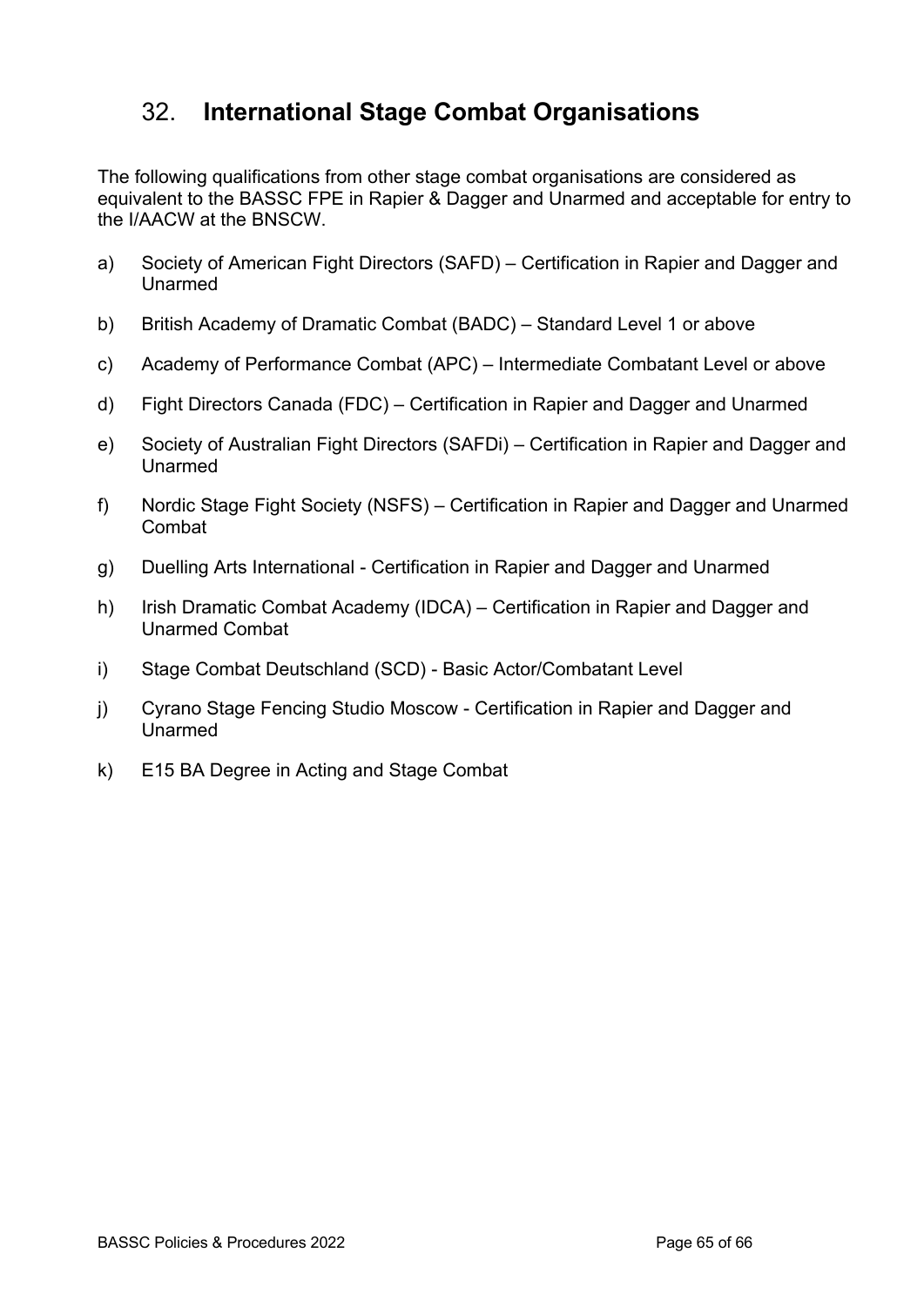# 32. **International Stage Combat Organisations**

The following qualifications from other stage combat organisations are considered as equivalent to the BASSC FPE in Rapier & Dagger and Unarmed and acceptable for entry to the I/AACW at the BNSCW.

- a) Society of American Fight Directors (SAFD) Certification in Rapier and Dagger and Unarmed
- b) British Academy of Dramatic Combat (BADC) Standard Level 1 or above
- c) Academy of Performance Combat (APC) Intermediate Combatant Level or above
- d) Fight Directors Canada (FDC) Certification in Rapier and Dagger and Unarmed
- e) Society of Australian Fight Directors (SAFDi) Certification in Rapier and Dagger and Unarmed
- f) Nordic Stage Fight Society (NSFS) Certification in Rapier and Dagger and Unarmed Combat
- g) Duelling Arts International Certification in Rapier and Dagger and Unarmed
- h) Irish Dramatic Combat Academy (IDCA) Certification in Rapier and Dagger and Unarmed Combat
- i) Stage Combat Deutschland (SCD) Basic Actor/Combatant Level
- j) Cyrano Stage Fencing Studio Moscow Certification in Rapier and Dagger and Unarmed
- k) E15 BA Degree in Acting and Stage Combat